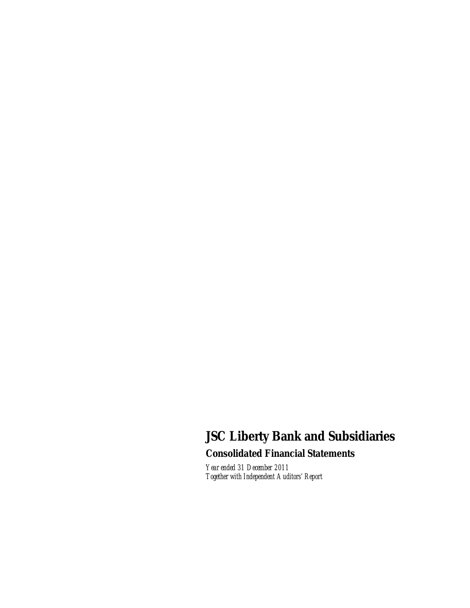# **JSC Liberty Bank and Subsidiaries**

**Consolidated Financial Statements** 

*Year ended 31 December 2011 Together with Independent Auditors' Report*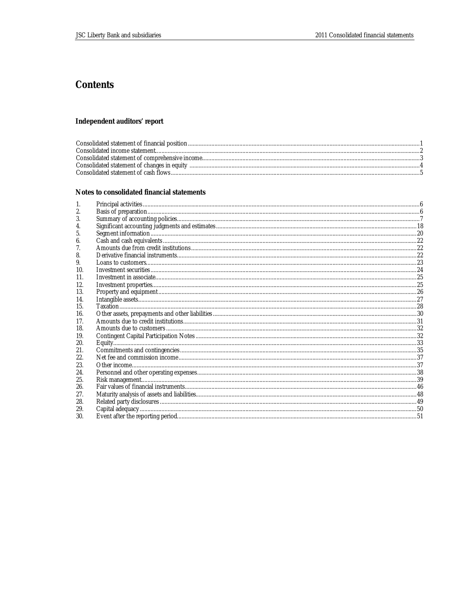# Contents

# Independent auditors' report

## Notes to consolidated financial statements

| 2.  |  |
|-----|--|
| 3.  |  |
|     |  |
|     |  |
| b.  |  |
|     |  |
| 8.  |  |
| 9.  |  |
| 10. |  |
| 11. |  |
| 12. |  |
| 13. |  |
| 14. |  |
| 15. |  |
| 16. |  |
| 17. |  |
| 18. |  |
| 19. |  |
| 20. |  |
| 21. |  |
| 22. |  |
| 23. |  |
| 24. |  |
| 25. |  |
| 26. |  |
| 27. |  |
| 28. |  |
| 29. |  |
| 30. |  |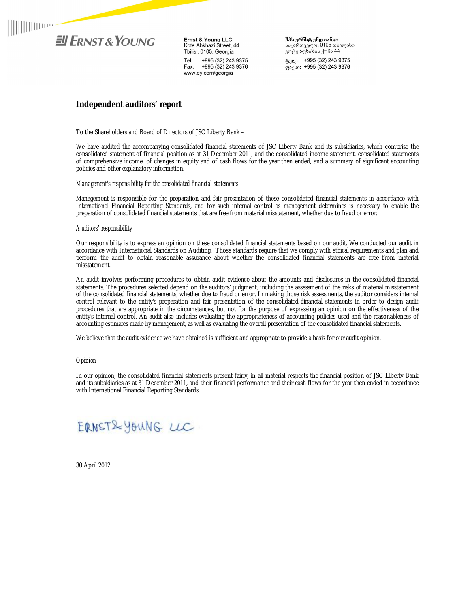

Ernst & Young LLC<br>Kote Abkhazi Street, 44 Tbilisi, 0105, Georgia Tel: +995 (32) 243 9375 Fax: +995 (32) 243 9376 www.ey.com/georgia

**შპს ერნსტ ენდ იანგი**<br>საქართველო, 0105 თბილისი<br>კოტე აფხაზის ქუჩა 44 ტელ: +995 (32) 243 9375 ფაქსი: +995 (32) 243 9376

# **Independent auditors' report**

To the Shareholders and Board of Directors of JSC Liberty Bank –

We have audited the accompanying consolidated financial statements of JSC Liberty Bank and its subsidiaries, which comprise the consolidated statement of financial position as at 31 December 2011, and the consolidated income statement, consolidated statements of comprehensive income, of changes in equity and of cash flows for the year then ended, and a summary of significant accounting policies and other explanatory information.

## *Management's responsibility for the consolidated financial statements*

Management is responsible for the preparation and fair presentation of these consolidated financial statements in accordance with International Financial Reporting Standards, and for such internal control as management determines is necessary to enable the preparation of consolidated financial statements that are free from material misstatement, whether due to fraud or error.

#### *Auditors' responsibility*

Our responsibility is to express an opinion on these consolidated financial statements based on our audit. We conducted our audit in accordance with International Standards on Auditing. Those standards require that we comply with ethical requirements and plan and perform the audit to obtain reasonable assurance about whether the consolidated financial statements are free from material misstatement.

An audit involves performing procedures to obtain audit evidence about the amounts and disclosures in the consolidated financial statements. The procedures selected depend on the auditors' judgment, including the assessment of the risks of material misstatement of the consolidated financial statements, whether due to fraud or error. In making those risk assessments, the auditor considers internal control relevant to the entity's preparation and fair presentation of the consolidated financial statements in order to design audit procedures that are appropriate in the circumstances, but not for the purpose of expressing an opinion on the effectiveness of the entity's internal control. An audit also includes evaluating the appropriateness of accounting policies used and the reasonableness of accounting estimates made by management, as well as evaluating the overall presentation of the consolidated financial statements.

We believe that the audit evidence we have obtained is sufficient and appropriate to provide a basis for our audit opinion.

#### *Opinion*

In our opinion, the consolidated financial statements present fairly, in all material respects the financial position of JSC Liberty Bank and its subsidiaries as at 31 December 2011, and their financial performance and their cash flows for the year then ended in accordance with International Financial Reporting Standards.



30 April 2012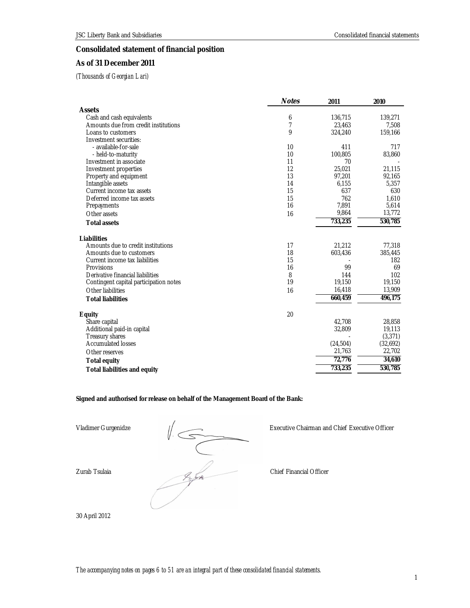# **Consolidated statement of financial position**

# **As of 31 December 2011**

*(Thousands of Georgian Lari)* 

|                                        | <b>Notes</b>   | 2011      | 2010     |
|----------------------------------------|----------------|-----------|----------|
| Assets                                 |                |           |          |
| Cash and cash equivalents              | 6              | 136,715   | 139,271  |
| Amounts due from credit institutions   | $\overline{7}$ | 23,463    | 7,508    |
| Loans to customers                     | 9              | 324,240   | 159,166  |
| Investment securities:                 |                |           |          |
| - available-for-sale                   | 10             | 411       | 717      |
| - held-to-maturity                     | 10             | 100,805   | 83,860   |
| Investment in associate                | 11             | 70        |          |
| Investment properties                  | 12             | 25,021    | 21,115   |
| Property and equipment                 | 13             | 97,201    | 92,165   |
| Intangible assets                      | 14             | 6,155     | 5,357    |
| Current income tax assets              | 15             | 637       | 630      |
| Deferred income tax assets             | 15<br>16       | 762       | 1,610    |
| Prepayments                            |                | 7,891     | 5,614    |
| Other assets                           | 16             | 9,864     | 13,772   |
| <b>Total assets</b>                    |                | 733,235   | 530,785  |
| Liabilities                            |                |           |          |
| Amounts due to credit institutions     | 17             | 21,212    | 77,318   |
| Amounts due to customers               | 18             | 603,436   | 385,445  |
| Current income tax liabilities         | 15             |           | 182      |
| Provisions                             | 16             | 99        | 69       |
| Derivative financial liabilities       | 8              | 144       | 102      |
| Contingent capital participation notes | 19             | 19,150    | 19,150   |
| Other liabilities                      | 16             | 16,418    | 13,909   |
| <b>Total liabilities</b>               |                | 660,459   | 496,175  |
| Equity                                 | 20             |           |          |
| Share capital                          |                | 42,708    | 28,858   |
| Additional paid-in capital             |                | 32,809    | 19,113   |
| Treasury shares                        |                |           | (3,371)  |
| Accumulated losses                     |                | (24, 504) | (32,692) |
| Other reserves                         |                | 21,763    | 22,702   |
| Total equity                           |                | 72,776    | 34,610   |
| Total liabilities and equity           |                | 733,235   | 530,785  |

**Signed and authorised for release on behalf of the Management Board of the Bank:** 

Vladimer Gurgenidze<br>  $\sqrt{\frac{1}{25}}$ <br>
Executive Chairman an<br>
Chief Financial Officer<br>
Chief Financial Officer

Vladimer Gurgenidze Executive Chairman and Chief Executive Officer

30 April 2012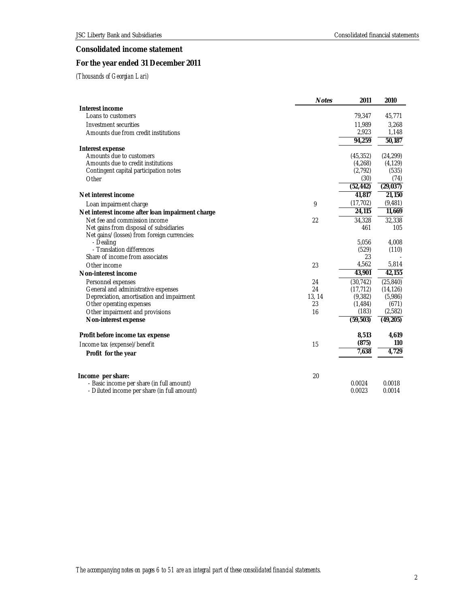# **Consolidated income statement**

# **For the year ended 31 December 2011**

|                                                                       | <b>Notes</b> | 2011               | 2010                |
|-----------------------------------------------------------------------|--------------|--------------------|---------------------|
| Interest income                                                       |              |                    |                     |
| Loans to customers                                                    |              | 79,347             | 45,771              |
| Investment securities                                                 |              | 11,989             | 3,268               |
| Amounts due from credit institutions                                  |              | 2,923              | 1,148               |
|                                                                       |              | 94,259             | $\overline{50,187}$ |
| Interest expense                                                      |              |                    |                     |
| Amounts due to customers                                              |              | (45, 352)          | (24, 299)           |
| Amounts due to credit institutions                                    |              | (4,268)            | (4, 129)            |
| Contingent capital participation notes                                |              | (2,792)            | (535)               |
| Other                                                                 |              | (30)               | (74)                |
|                                                                       |              | (52, 442)          | (29, 037)           |
| Net interest income                                                   |              | 41,817             | 21,150              |
| Loan impairment charge                                                | 9            | (17, 702)          | (9, 481)            |
| Net interest income after loan impairment charge                      |              | 24,115             | 11,669              |
| Net fee and commission income                                         | 22           | 34,328             | 32,338              |
| Net gains from disposal of subsidiaries                               |              | 461                | 105                 |
| Net gains/(losses) from foreign currencies:                           |              |                    |                     |
| - Dealing                                                             |              | 5,056              | 4,008               |
| - Translation differences<br>Share of income from associates          |              | (529)<br>23        | (110)               |
| Other income                                                          | 23           | 4,562              | 5,814               |
|                                                                       |              | 43,901             | 42,155              |
| Non-interest income                                                   |              |                    |                     |
| Personnel expenses                                                    | 24           | (30, 742)          | (25, 840)           |
| General and administrative expenses                                   | 24<br>13, 14 | (17, 712)          | (14, 126)           |
| Depreciation, amortisation and impairment<br>Other operating expenses | 23           | (9,382)<br>(1,484) | (5,986)<br>(671)    |
| Other impairment and provisions                                       | 16           | (183)              | (2,582)             |
| Non-interest expense                                                  |              | (59, 503)          | (49,205)            |
|                                                                       |              |                    |                     |
| Profit before income tax expense                                      |              | 8,513              | 4,619               |
| Income tax (expense)/benefit                                          | 15           | (875)              | 110                 |
| Profit for the year                                                   |              | 7,638              | 4,729               |
|                                                                       |              |                    |                     |
| Income per share:                                                     | 20           |                    |                     |
| - Basic income per share (in full amount)                             |              | 0.0024             | 0.0018              |
| - Diluted income per share (in full amount)                           |              | 0.0023             | 0.0014              |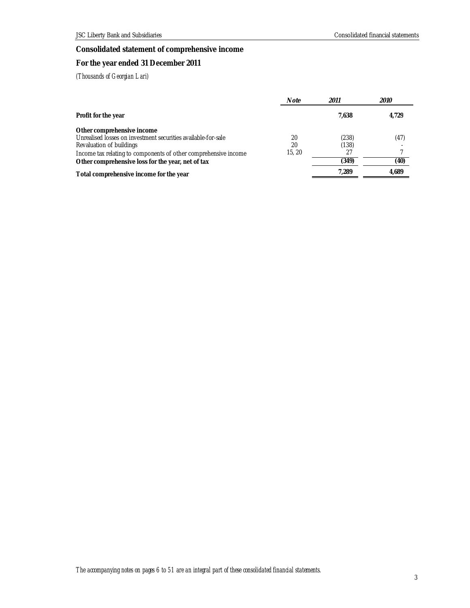# **Consolidated statement of comprehensive income**

# **For the year ended 31 December 2011**

|                                                                                                                                                                                                                                                 | Note              | 2011                          | <i>2010</i>  |
|-------------------------------------------------------------------------------------------------------------------------------------------------------------------------------------------------------------------------------------------------|-------------------|-------------------------------|--------------|
| Profit for the year                                                                                                                                                                                                                             |                   | 7.638                         | 4,729        |
| Other comprehensive income<br>Unrealised losses on investment securities available-for-sale<br>Revaluation of buildings<br>Income tax relating to components of other comprehensive income<br>Other comprehensive loss for the year, net of tax | 20<br>20<br>15.20 | (238)<br>(138)<br>27<br>(349) | (47)<br>(40) |
| Total comprehensive income for the year                                                                                                                                                                                                         |                   | 7.289                         | 4.689        |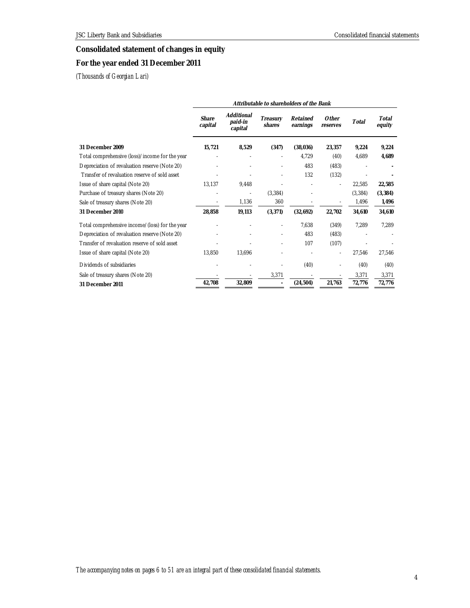# **Consolidated statement of changes in equity**

# **For the year ended 31 December 2011**

|                                                | Attributable to shareholders of the Bank |                                  |                    |                      |                   |          |                 |
|------------------------------------------------|------------------------------------------|----------------------------------|--------------------|----------------------|-------------------|----------|-----------------|
|                                                | Share<br>capital                         | Additional<br>paid-in<br>capital | Treasury<br>shares | Retained<br>earnings | Other<br>reserves | Total    | Total<br>equity |
| 31 December 2009                               | 15,721                                   | 8,529                            | (347)              | (38,036)             | 23,357            | 9,224    | 9,224           |
| Total comprehensive (loss)/income for the year |                                          |                                  |                    | 4.729                | (40)              | 4,689    | 4,689           |
| Depreciation of revaluation reserve (Note 20)  |                                          |                                  |                    | 483                  | (483)             |          |                 |
| Transfer of revaluation reserve of sold asset  |                                          |                                  |                    | 132                  | (132)             |          |                 |
| Issue of share capital (Note 20)               | 13,137                                   | 9,448                            |                    |                      |                   | 22,585   | 22,585          |
| Purchase of treasury shares (Note 20)          | ٠                                        | $\overline{\phantom{a}}$         | (3,384)            |                      |                   | (3, 384) | (3, 384)        |
| Sale of treasury shares (Note 20)              |                                          | 1,136                            | 360                |                      |                   | 1,496    | 1,496           |
| 31 December 2010                               | 28,858                                   | 19,113                           | (3, 371)           | (32,692)             | 22,702            | 34,610   | 34,610          |
| Total comprehensive income/(loss) for the year |                                          |                                  |                    | 7,638                | (349)             | 7,289    | 7,289           |
| Depreciation of revaluation reserve (Note 20)  |                                          |                                  |                    | 483                  | (483)             |          |                 |
| Transfer of revaluation reserve of sold asset  |                                          |                                  |                    | 107                  | (107)             |          |                 |
| Issue of share capital (Note 20)               | 13,850                                   | 13,696                           |                    |                      |                   | 27,546   | 27,546          |
| Dividends of subsidiaries                      |                                          |                                  |                    | (40)                 |                   | (40)     | (40)            |
| Sale of treasury shares (Note 20)              |                                          |                                  | 3,371              |                      |                   | 3,371    | 3,371           |
| 31 December 2011                               | 42,708                                   | 32,809                           |                    | (24, 504)            | 21,763            | 72,776   | 72,776          |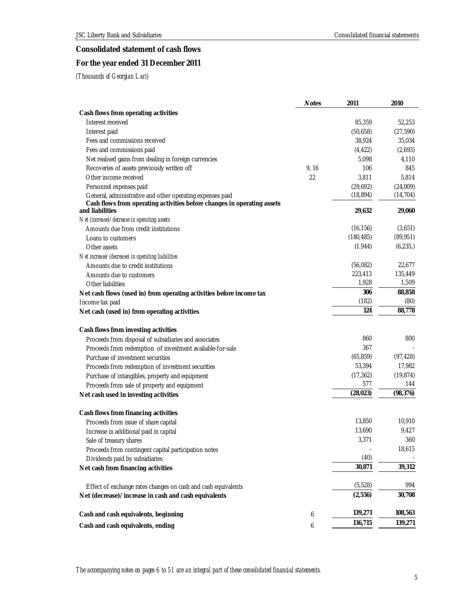# **Consolidated statement of cash flows**

# **For the year ended 31 December 2011**

|                                                                                                                                                         | <b>Notes</b> | 2011                | 2010                |
|---------------------------------------------------------------------------------------------------------------------------------------------------------|--------------|---------------------|---------------------|
| Cash flows from operating activities                                                                                                                    |              |                     |                     |
| Interest received                                                                                                                                       |              | 85,359              | 52,253              |
| Interest paid                                                                                                                                           |              | (50,658)            | (27, 590)           |
| Fees and commissions received                                                                                                                           |              | 38,924              | 35,034              |
| Fees and commissions paid                                                                                                                               |              | (4, 422)            | (2,693)             |
| Net realised gains from dealing in foreign currencies                                                                                                   |              | 5,098               | 4,110               |
| Recoveries of assets previously written off                                                                                                             | 9, 16        | 106                 | 845                 |
| Other income received                                                                                                                                   | 22           | 3,811               | 5,814               |
| Personnel expenses paid                                                                                                                                 |              | (29,692)            | (24,009)            |
| General, administrative and other operating expenses paid<br>Cash flows from operating activities before changes in operating assets<br>and liabilities |              | (18, 894)<br>29,632 | (14, 704)<br>29,060 |
|                                                                                                                                                         |              |                     |                     |
| Net (increase)/decrease in operating assets<br>Amounts due from credit institutions                                                                     |              | (16, 156)           | (3,651)             |
|                                                                                                                                                         |              | (180, 485)          | (89, 951)           |
| Loans to customers                                                                                                                                      |              | (1.944)             | (6, 235)            |
| Other assets                                                                                                                                            |              |                     |                     |
| Net increase/(decrease) in operating liabilities                                                                                                        |              | (56,082)            | 22,677              |
| Amounts due to credit institutions                                                                                                                      |              | 223,413             | 135,449             |
| Amounts due to customers                                                                                                                                |              | 1,928               | 1,509               |
| Other liabilities                                                                                                                                       |              | 306                 | 88,858              |
| Net cash flows (used in) from operating activities before income tax                                                                                    |              | (182)               | (80)                |
| Income tax paid                                                                                                                                         |              | 124                 | 88,778              |
| Net cash (used in) from operating activities                                                                                                            |              |                     |                     |
| Cash flows from investing activities                                                                                                                    |              |                     |                     |
| Proceeds from disposal of subsidiaries and associates                                                                                                   |              | 860                 | 800                 |
| Proceeds from redemption of investment available-for-sale                                                                                               |              | 367                 |                     |
| Purchase of investment securities                                                                                                                       |              | (65, 859)           | (97, 428)           |
| Proceeds from redemption of investment securities                                                                                                       |              | 53,394              | 17,982              |
| Purchase of intangibles, property and equipment                                                                                                         |              | (17, 362)           | (19, 874)           |
| Proceeds from sale of property and equipment                                                                                                            |              | 577                 | 144                 |
| Net cash used in investing activities                                                                                                                   |              | (28, 023)           | (98, 376)           |
| Cash flows from financing activities                                                                                                                    |              |                     |                     |
| Proceeds from issue of share capital                                                                                                                    |              | 13,850              | 10,910              |
| Increase in additional paid in capital                                                                                                                  |              | 13,690              | 9,427               |
| Sale of treasury shares                                                                                                                                 |              | 3,371               | 360                 |
| Proceeds from contingent capital participation notes                                                                                                    |              |                     | 18,615              |
| Dividends paid by subsidiaries                                                                                                                          |              | (40)                |                     |
| Net cash from financing activities                                                                                                                      |              | 30,871              | 39,312              |
|                                                                                                                                                         |              |                     |                     |
| Effect of exchange rates changes on cash and cash equivalents                                                                                           |              | (5, 528)            | 994                 |
| Net (decrease)/increase in cash and cash equivalents                                                                                                    |              | (2,556)             | 30,708              |
| Cash and cash equivalents, beginning                                                                                                                    | 6            | 139,271             | 108,563             |
| Cash and cash equivalents, ending                                                                                                                       | 6            | 136,715             | 139,271             |
|                                                                                                                                                         |              |                     |                     |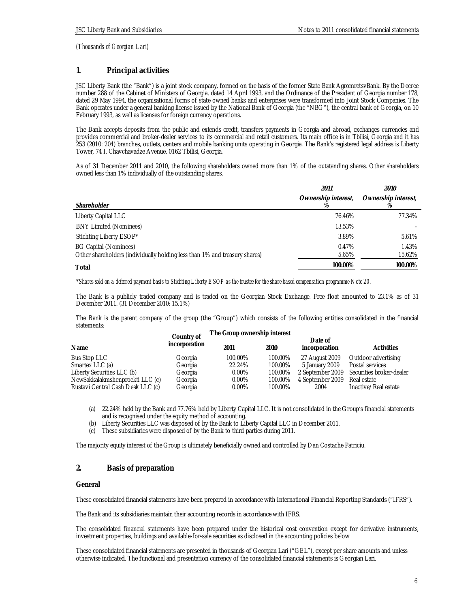## **1. Principal activities**

JSC Liberty Bank (the "Bank") is a joint stock company, formed on the basis of the former State Bank AgromretsvBank. By the Decree number 288 of the Cabinet of Ministers of Georgia, dated 14 April 1993, and the Ordinance of the President of Georgia number 178, dated 29 May 1994, the organisational forms of state owned banks and enterprises were transformed into Joint Stock Companies. The Bank operates under a general banking license issued by the National Bank of Georgia (the "NBG"), the central bank of Georgia, on 10 February 1993, as well as licenses for foreign currency operations.

The Bank accepts deposits from the public and extends credit, transfers payments in Georgia and abroad, exchanges currencies and provides commercial and broker-dealer services to its commercial and retail customers. Its main office is in Tbilisi, Georgia and it has 253 (2010: 204) branches, outlets, centers and mobile banking units operating in Georgia. The Bank's registered legal address is Liberty Tower, 74 I. Chavchavadze Avenue, 0162 Tbilisi, Georgia.

As of 31 December 2011 and 2010, the following shareholders owned more than 1% of the outstanding shares. Other shareholders owned less than 1% individually of the outstanding shares.

|                                                                                                            | 2011                | 2010                |
|------------------------------------------------------------------------------------------------------------|---------------------|---------------------|
| Shareholder                                                                                                | Ownership interest, | Ownership interest, |
| Liberty Capital LLC                                                                                        | 76.46%              | 77.34%              |
| <b>BNY Limited (Nominees)</b>                                                                              | 13.53%              |                     |
| Stichting Liberty ESOP*                                                                                    | 3.89%               | 5.61%               |
| <b>BG Capital (Nominees)</b><br>Other shareholders (individually holding less than 1% and treasury shares) | 0.47%<br>5.65%      | 1.43%<br>15.62%     |
| Total                                                                                                      | 100.00%             | 100.00%             |

\**Shares sold on a deferred payment basis to Stichting Liberty ESOP as the trustee for the share based compensation programme Note 20.* 

The Bank is a publicly traded company and is traded on the Georgian Stock Exchange. Free float amounted to 23.1% as of 31 December 2011. (31 December 2010: 15.1%)

The Bank is the parent company of the group (the "Group") which consists of the following entities consolidated in the financial statements:

| incorporation | 2011       | 2010    | Date of<br>incorporation     | Activities                                |  |
|---------------|------------|---------|------------------------------|-------------------------------------------|--|
| Georgia       | 100.00%    | 100.00% | 27 August 2009               | Outdoor advertising                       |  |
| Georgia       | 22.24%     | 100.00% | 5 January 2009               | Postal services                           |  |
| Georgia       | $0.00\%$   | 100.00% |                              | 2 September 2009 Securities broker-dealer |  |
| Georgia       | $0.00\%$   | 100.00% | 4 September 2009             | Real estate                               |  |
| Georgia       | $0.00\%$   | 100.00% | 2004                         | Inactive/Real estate                      |  |
|               | Country of |         | The Group ownership interest |                                           |  |

(a) 22.24% held by the Bank and 77.76% held by Liberty Capital LLC. It is not consolidated in the Group's financial statements and is recognised under the equity method of accounting.

(b) Liberty Securities LLC was disposed of by the Bank to Liberty Capital LLC in December 2011.

(c) These subsidiaries were disposed of by the Bank to third parties during 2011.

The majority equity interest of the Group is ultimately beneficially owned and controlled by Dan Costache Patriciu.

## **2. Basis of preparation**

## **General**

These consolidated financial statements have been prepared in accordance with International Financial Reporting Standards ("IFRS").

The Bank and its subsidiaries maintain their accounting records in accordance with IFRS.

The consolidated financial statements have been prepared under the historical cost convention except for derivative instruments, investment properties, buildings and available-for-sale securities as disclosed in the accounting policies below

These consolidated financial statements are presented in thousands of Georgian Lari ("GEL"), except per share amounts and unless otherwise indicated. The functional and presentation currency of the consolidated financial statements is Georgian Lari.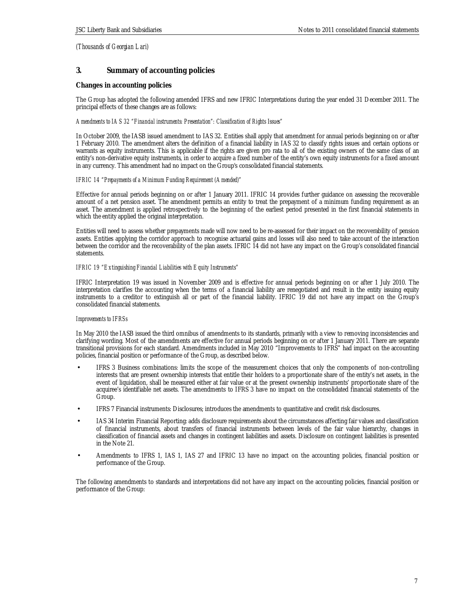## **3. Summary of accounting policies**

## **Changes in accounting policies**

The Group has adopted the following amended IFRS and new IFRIC Interpretations during the year ended 31 December 2011. The principal effects of these changes are as follows:

## *Amendments to IAS 32 "Financial instruments: Presentation": Classification of Rights Issues"*

In October 2009, the IASB issued amendment to IAS 32. Entities shall apply that amendment for annual periods beginning on or after 1 February 2010. The amendment alters the definition of a financial liability in IAS 32 to classify rights issues and certain options or warrants as equity instruments. This is applicable if the rights are given pro rata to all of the existing owners of the same class of an entity's non-derivative equity instruments, in order to acquire a fixed number of the entity's own equity instruments for a fixed amount in any currency. This amendment had no impact on the Group's consolidated financial statements.

## *IFRIC 14 "Prepayments of a Minimum Funding Requirement (Amended)"*

Effective for annual periods beginning on or after 1 January 2011. IFRIC 14 provides further guidance on assessing the recoverable amount of a net pension asset. The amendment permits an entity to treat the prepayment of a minimum funding requirement as an asset. The amendment is applied retrospectively to the beginning of the earliest period presented in the first financial statements in which the entity applied the original interpretation.

Entities will need to assess whether prepayments made will now need to be re-assessed for their impact on the recoverability of pension assets. Entities applying the corridor approach to recognise actuarial gains and losses will also need to take account of the interaction between the corridor and the recoverability of the plan assets. IFRIC 14 did not have any impact on the Group's consolidated financial statements.

#### *IFRIC 19 "Extinguishing Financial Liabilities with Equity Instruments"*

IFRIC Interpretation 19 was issued in November 2009 and is effective for annual periods beginning on or after 1 July 2010. The interpretation clarifies the accounting when the terms of a financial liability are renegotiated and result in the entity issuing equity instruments to a creditor to extinguish all or part of the financial liability. IFRIC 19 did not have any impact on the Group's consolidated financial statements.

## *Improvements to IFRSs*

In May 2010 the IASB issued the third omnibus of amendments to its standards, primarily with a view to removing inconsistencies and clarifying wording. Most of the amendments are effective for annual periods beginning on or after 1 January 2011. There are separate transitional provisions for each standard. Amendments included in May 2010 "Improvements to IFRS" had impact on the accounting policies, financial position or performance of the Group, as described below.

- IFRS 3 Business combinations: limits the scope of the measurement choices that only the components of non-controlling interests that are present ownership interests that entitle their holders to a proportionate share of the entity's net assets, in the event of liquidation, shall be measured either at fair value or at the present ownership instruments' proportionate share of the acquiree's identifiable net assets. The amendments to IFRS 3 have no impact on the consolidated financial statements of the Group.
- IFRS 7 Financial instruments: Disclosures; introduces the amendments to quantitative and credit risk disclosures.
- IAS 34 Interim Financial Reporting: adds disclosure requirements about the circumstances affecting fair values and classification of financial instruments, about transfers of financial instruments between levels of the fair value hierarchy, changes in classification of financial assets and changes in contingent liabilities and assets. Disclosure on contingent liabilities is presented in the Note 21.
- Amendments to IFRS 1, IAS 1, IAS 27 and IFRIC 13 have no impact on the accounting policies, financial position or performance of the Group.

The following amendments to standards and interpretations did not have any impact on the accounting policies, financial position or performance of the Group: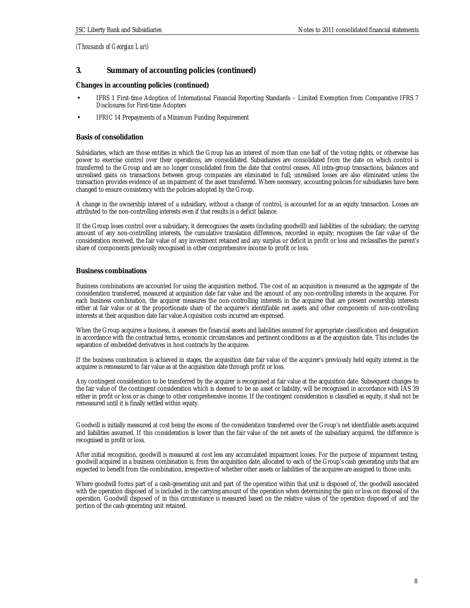## **3. Summary of accounting policies (continued)**

**Changes in accounting policies (continued)**

- IFRS 1 First-time Adoption of International Financial Reporting Standards Limited Exemption from Comparative IFRS 7 Disclosures for First-time Adopters
- IFRIC 14 Prepayments of a Minimum Funding Requirement

## **Basis of consolidation**

Subsidiaries, which are those entities in which the Group has an interest of more than one half of the voting rights, or otherwise has power to exercise control over their operations, are consolidated. Subsidiaries are consolidated from the date on which control is transferred to the Group and are no longer consolidated from the date that control ceases. All intra-group transactions, balances and unrealised gains on transactions between group companies are eliminated in full; unrealised losses are also eliminated unless the transaction provides evidence of an impairment of the asset transferred. Where necessary, accounting policies for subsidiaries have been changed to ensure consistency with the policies adopted by the Group.

A change in the ownership interest of a subsidiary, without a change of control, is accounted for as an equity transaction. Losses are attributed to the non-controlling interests even if that results in a deficit balance.

If the Group loses control over a subsidiary, it derecognises the assets (including goodwill) and liabilities of the subsidiary, the carrying amount of any non-controlling interests, the cumulative translation differences, recorded in equity; recognises the fair value of the consideration received, the fair value of any investment retained and any surplus or deficit in profit or loss and reclassifies the parent's share of components previously recognised in other comprehensive income to profit or loss.

## **Business combinations**

Business combinations are accounted for using the acquisition method. The cost of an acquisition is measured as the aggregate of the consideration transferred, measured at acquisition date fair value and the amount of any non-controlling interests in the acquiree. For each business combination, the acquirer measures the non-controlling interests in the acquiree that are present ownership interests either at fair value or at the proportionate share of the acquiree's identifiable net assets and other components of non-controlling interests at their acquisition date fair value.Acquisition costs incurred are expensed.

When the Group acquires a business, it assesses the financial assets and liabilities assumed for appropriate classification and designation in accordance with the contractual terms, economic circumstances and pertinent conditions as at the acquisition date. This includes the separation of embedded derivatives in host contracts by the acquiree.

If the business combination is achieved in stages, the acquisition date fair value of the acquirer's previously held equity interest in the acquiree is remeasured to fair value as at the acquisition date through profit or loss.

Any contingent consideration to be transferred by the acquirer is recognised at fair value at the acquisition date. Subsequent changes to the fair value of the contingent consideration which is deemed to be an asset or liability, will be recognised in accordance with IAS 39 either in profit or loss or as change to other comprehensive income. If the contingent consideration is classified as equity, it shall not be remeasured until it is finally settled within equity.

Goodwill is initially measured at cost being the excess of the consideration transferred over the Group's net identifiable assets acquired and liabilities assumed. If this consideration is lower than the fair value of the net assets of the subsidiary acquired, the difference is recognised in profit or loss.

After initial recognition, goodwill is measured at cost less any accumulated impairment losses. For the purpose of impairment testing, goodwill acquired in a business combination is, from the acquisition date, allocated to each of the Group's cash generating units that are expected to benefit from the combination, irrespective of whether other assets or liabilities of the acquiree are assigned to those units.

Where goodwill forms part of a cash-generating unit and part of the operation within that unit is disposed of, the goodwill associated with the operation disposed of is included in the carrying amount of the operation when determining the gain or loss on disposal of the operation. Goodwill disposed of in this circumstance is measured based on the relative values of the operation disposed of and the portion of the cash-generating unit retained.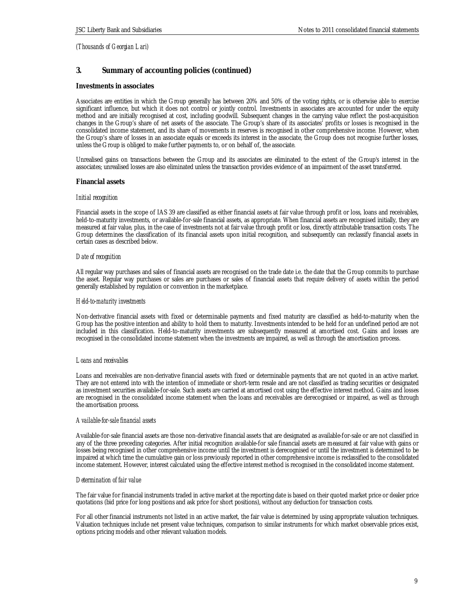# **3. Summary of accounting policies (continued)**

## **Investments in associates**

Associates are entities in which the Group generally has between 20% and 50% of the voting rights, or is otherwise able to exercise significant influence, but which it does not control or jointly control. Investments in associates are accounted for under the equity method and are initially recognised at cost, including goodwill. Subsequent changes in the carrying value reflect the post-acquisition changes in the Group's share of net assets of the associate. The Group's share of its associates' profits or losses is recognised in the consolidated income statement, and its share of movements in reserves is recognised in other comprehensive income. However, when the Group's share of losses in an associate equals or exceeds its interest in the associate, the Group does not recognise further losses, unless the Group is obliged to make further payments to, or on behalf of, the associate.

Unrealised gains on transactions between the Group and its associates are eliminated to the extent of the Group's interest in the associates; unrealised losses are also eliminated unless the transaction provides evidence of an impairment of the asset transferred.

## **Financial assets**

## *Initial recognition*

Financial assets in the scope of IAS 39 are classified as either financial assets at fair value through profit or loss, loans and receivables, held-to-maturity investments, or available-for-sale financial assets, as appropriate. When financial assets are recognised initially, they are measured at fair value, plus, in the case of investments not at fair value through profit or loss, directly attributable transaction costs. The Group determines the classification of its financial assets upon initial recognition, and subsequently can reclassify financial assets in certain cases as described below.

#### *Date of recognition*

All regular way purchases and sales of financial assets are recognised on the trade date i.e. the date that the Group commits to purchase the asset. Regular way purchases or sales are purchases or sales of financial assets that require delivery of assets within the period generally established by regulation or convention in the marketplace.

#### *Held-to-maturity investments*

Non-derivative financial assets with fixed or determinable payments and fixed maturity are classified as held-to-maturity when the Group has the positive intention and ability to hold them to maturity. Investments intended to be held for an undefined period are not included in this classification. Held-to-maturity investments are subsequently measured at amortised cost. Gains and losses are recognised in the consolidated income statement when the investments are impaired, as well as through the amortisation process.

#### *Loans and receivables*

Loans and receivables are non-derivative financial assets with fixed or determinable payments that are not quoted in an active market. They are not entered into with the intention of immediate or short-term resale and are not classified as trading securities or designated as investment securities available-for-sale. Such assets are carried at amortised cost using the effective interest method. Gains and losses are recognised in the consolidated income statement when the loans and receivables are derecognised or impaired, as well as through the amortisation process.

#### *Available-for-sale financial assets*

Available-for-sale financial assets are those non-derivative financial assets that are designated as available-for-sale or are not classified in any of the three preceding categories. After initial recognition available-for sale financial assets are measured at fair value with gains or losses being recognised in other comprehensive income until the investment is derecognised or until the investment is determined to be impaired at which time the cumulative gain or loss previously reported in other comprehensive income is reclassified to the consolidated income statement. However, interest calculated using the effective interest method is recognised in the consolidated income statement.

## *Determination of fair value*

The fair value for financial instruments traded in active market at the reporting date is based on their quoted market price or dealer price quotations (bid price for long positions and ask price for short positions), without any deduction for transaction costs.

For all other financial instruments not listed in an active market, the fair value is determined by using appropriate valuation techniques. Valuation techniques include net present value techniques, comparison to similar instruments for which market observable prices exist, options pricing models and other relevant valuation models.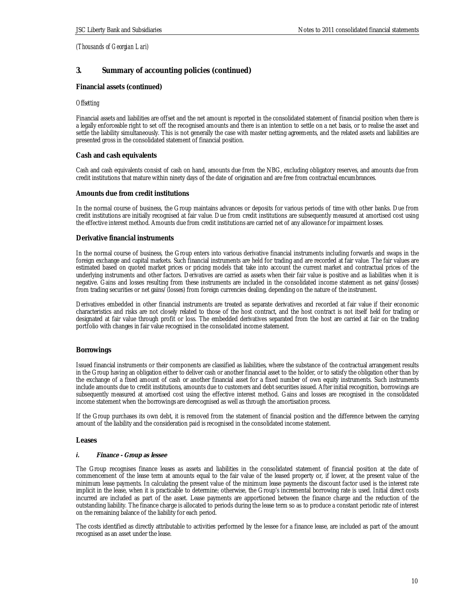## **3. Summary of accounting policies (continued)**

## **Financial assets (continued)**

#### *Offsetting*

Financial assets and liabilities are offset and the net amount is reported in the consolidated statement of financial position when there is a legally enforceable right to set off the recognised amounts and there is an intention to settle on a net basis, or to realise the asset and settle the liability simultaneously. This is not generally the case with master netting agreements, and the related assets and liabilities are presented gross in the consolidated statement of financial position.

## **Cash and cash equivalents**

Cash and cash equivalents consist of cash on hand, amounts due from the NBG, excluding obligatory reserves, and amounts due from credit institutions that mature within ninety days of the date of origination and are free from contractual encumbrances.

#### **Amounts due from credit institutions**

In the normal course of business, the Group maintains advances or deposits for various periods of time with other banks. Due from credit institutions are initially recognised at fair value. Due from credit institutions are subsequently measured at amortised cost using the effective interest method. Amounts due from credit institutions are carried net of any allowance for impairment losses.

## **Derivative financial instruments**

In the normal course of business, the Group enters into various derivative financial instruments including forwards and swaps in the foreign exchange and capital markets. Such financial instruments are held for trading and are recorded at fair value. The fair values are estimated based on quoted market prices or pricing models that take into account the current market and contractual prices of the underlying instruments and other factors. Derivatives are carried as assets when their fair value is positive and as liabilities when it is negative. Gains and losses resulting from these instruments are included in the consolidated income statement as net gains/(losses) from trading securities or net gains/(losses) from foreign currencies dealing, depending on the nature of the instrument.

Derivatives embedded in other financial instruments are treated as separate derivatives and recorded at fair value if their economic characteristics and risks are not closely related to those of the host contract, and the host contract is not itself held for trading or designated at fair value through profit or loss. The embedded derivatives separated from the host are carried at fair on the trading portfolio with changes in fair value recognised in the consolidated income statement.

## **Borrowings**

Issued financial instruments or their components are classified as liabilities, where the substance of the contractual arrangement results in the Group having an obligation either to deliver cash or another financial asset to the holder, or to satisfy the obligation other than by the exchange of a fixed amount of cash or another financial asset for a fixed number of own equity instruments. Such instruments include amounts due to credit institutions, amounts due to customers and debt securities issued. After initial recognition, borrowings are subsequently measured at amortised cost using the effective interest method. Gains and losses are recognised in the consolidated income statement when the borrowings are derecognised as well as through the amortisation process.

If the Group purchases its own debt, it is removed from the statement of financial position and the difference between the carrying amount of the liability and the consideration paid is recognised in the consolidated income statement.

#### **Leases**

#### *i.* **Finance - Group as lessee**

The Group recognises finance leases as assets and liabilities in the consolidated statement of financial position at the date of commencement of the lease term at amounts equal to the fair value of the leased property or, if lower, at the present value of the minimum lease payments. In calculating the present value of the minimum lease payments the discount factor used is the interest rate implicit in the lease, when it is practicable to determine; otherwise, the Group's incremental borrowing rate is used. Initial direct costs incurred are included as part of the asset. Lease payments are apportioned between the finance charge and the reduction of the outstanding liability. The finance charge is allocated to periods during the lease term so as to produce a constant periodic rate of interest on the remaining balance of the liability for each period.

The costs identified as directly attributable to activities performed by the lessee for a finance lease, are included as part of the amount recognised as an asset under the lease.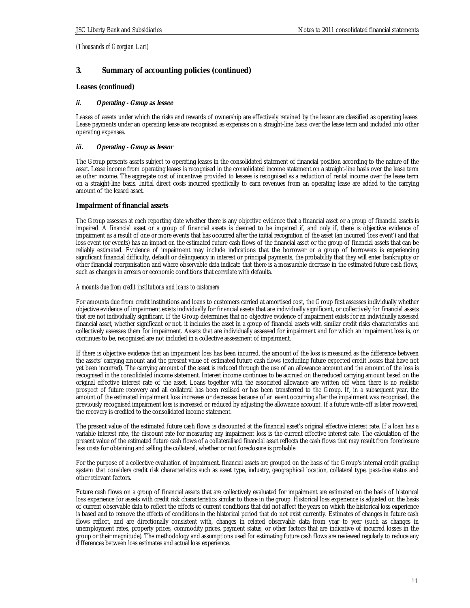## **3. Summary of accounting policies (continued)**

**Leases (continued)** 

## *ii.* **Operating - Group as lessee**

Leases of assets under which the risks and rewards of ownership are effectively retained by the lessor are classified as operating leases. Lease payments under an operating lease are recognised as expenses on a straight-line basis over the lease term and included into other operating expenses.

## *iii.* **Operating - Group as lessor**

The Group presents assets subject to operating leases in the consolidated statement of financial position according to the nature of the asset. Lease income from operating leases is recognised in the consolidated income statement on a straight-line basis over the lease term as other income. The aggregate cost of incentives provided to lessees is recognised as a reduction of rental income over the lease term on a straight-line basis. Initial direct costs incurred specifically to earn revenues from an operating lease are added to the carrying amount of the leased asset.

## **Impairment of financial assets**

The Group assesses at each reporting date whether there is any objective evidence that a financial asset or a group of financial assets is impaired. A financial asset or a group of financial assets is deemed to be impaired if, and only if, there is objective evidence of impairment as a result of one or more events that has occurred after the initial recognition of the asset (an incurred 'loss event') and that loss event (or events) has an impact on the estimated future cash flows of the financial asset or the group of financial assets that can be reliably estimated. Evidence of impairment may include indications that the borrower or a group of borrowers is experiencing significant financial difficulty, default or delinquency in interest or principal payments, the probability that they will enter bankruptcy or other financial reorganisation and where observable data indicate that there is a measurable decrease in the estimated future cash flows, such as changes in arrears or economic conditions that correlate with defaults.

## *Amounts due from credit institutions and loans to customers*

For amounts due from credit institutions and loans to customers carried at amortised cost, the Group first assesses individually whether objective evidence of impairment exists individually for financial assets that are individually significant, or collectively for financial assets that are not individually significant. If the Group determines that no objective evidence of impairment exists for an individually assessed financial asset, whether significant or not, it includes the asset in a group of financial assets with similar credit risks characteristics and collectively assesses them for impairment. Assets that are individually assessed for impairment and for which an impairment loss is, or continues to be, recognised are not included in a collective assessment of impairment.

If there is objective evidence that an impairment loss has been incurred, the amount of the loss is measured as the difference between the assets' carrying amount and the present value of estimated future cash flows (excluding future expected credit losses that have not yet been incurred). The carrying amount of the asset is reduced through the use of an allowance account and the amount of the loss is recognised in the consolidated income statement. Interest income continues to be accrued on the reduced carrying amount based on the original effective interest rate of the asset. Loans together with the associated allowance are written off when there is no realistic prospect of future recovery and all collateral has been realised or has been transferred to the Group. If, in a subsequent year, the amount of the estimated impairment loss increases or decreases because of an event occurring after the impairment was recognised, the previously recognised impairment loss is increased or reduced by adjusting the allowance account. If a future write-off is later recovered, the recovery is credited to the consolidated income statement.

The present value of the estimated future cash flows is discounted at the financial asset's original effective interest rate. If a loan has a variable interest rate, the discount rate for measuring any impairment loss is the current effective interest rate. The calculation of the present value of the estimated future cash flows of a collateralised financial asset reflects the cash flows that may result from foreclosure less costs for obtaining and selling the collateral, whether or not foreclosure is probable.

For the purpose of a collective evaluation of impairment, financial assets are grouped on the basis of the Group's internal credit grading system that considers credit risk characteristics such as asset type, industry, geographical location, collateral type, past-due status and other relevant factors.

Future cash flows on a group of financial assets that are collectively evaluated for impairment are estimated on the basis of historical loss experience for assets with credit risk characteristics similar to those in the group. Historical loss experience is adjusted on the basis of current observable data to reflect the effects of current conditions that did not affect the years on which the historical loss experience is based and to remove the effects of conditions in the historical period that do not exist currently. Estimates of changes in future cash flows reflect, and are directionally consistent with, changes in related observable data from year to year (such as changes in unemployment rates, property prices, commodity prices, payment status, or other factors that are indicative of incurred losses in the group or their magnitude). The methodology and assumptions used for estimating future cash flows are reviewed regularly to reduce any differences between loss estimates and actual loss experience.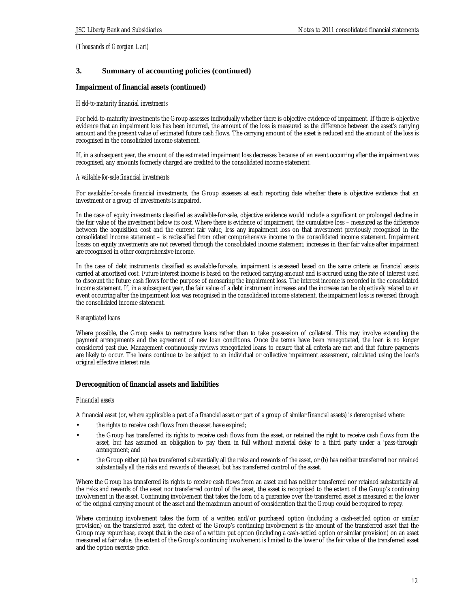## **3. Summary of accounting policies (continued)**

**Impairment of financial assets (continued)** 

## *Held-to-maturity financial investments*

For held-to-maturity investments the Group assesses individually whether there is objective evidence of impairment. If there is objective evidence that an impairment loss has been incurred, the amount of the loss is measured as the difference between the asset's carrying amount and the present value of estimated future cash flows. The carrying amount of the asset is reduced and the amount of the loss is recognised in the consolidated income statement.

If, in a subsequent year, the amount of the estimated impairment loss decreases because of an event occurring after the impairment was recognised, any amounts formerly charged are credited to the consolidated income statement.

## *Available-for-sale financial investments*

For available-for-sale financial investments, the Group assesses at each reporting date whether there is objective evidence that an investment or a group of investments is impaired.

In the case of equity investments classified as available-for-sale, objective evidence would include a significant or prolonged decline in the fair value of the investment below its cost. Where there is evidence of impairment, the cumulative loss – measured as the difference between the acquisition cost and the current fair value, less any impairment loss on that investment previously recognised in the consolidated income statement – is reclassified from other comprehensive income to the consolidated income statement. Impairment losses on equity investments are not reversed through the consolidated income statement; increases in their fair value after impairment are recognised in other comprehensive income.

In the case of debt instruments classified as available-for-sale, impairment is assessed based on the same criteria as financial assets carried at amortised cost. Future interest income is based on the reduced carrying amount and is accrued using the rate of interest used to discount the future cash flows for the purpose of measuring the impairment loss. The interest income is recorded in the consolidated income statement. If, in a subsequent year, the fair value of a debt instrument increases and the increase can be objectively related to an event occurring after the impairment loss was recognised in the consolidated income statement, the impairment loss is reversed through the consolidated income statement.

## *Renegotiated loans*

Where possible, the Group seeks to restructure loans rather than to take possession of collateral. This may involve extending the payment arrangements and the agreement of new loan conditions. Once the terms have been renegotiated, the loan is no longer considered past due. Management continuously reviews renegotiated loans to ensure that all criteria are met and that future payments are likely to occur. The loans continue to be subject to an individual or collective impairment assessment, calculated using the loan's original effective interest rate.

## **Derecognition of financial assets and liabilities**

## *Financial assets*

A financial asset (or, where applicable a part of a financial asset or part of a group of similar financial assets) is derecognised where:

- the rights to receive cash flows from the asset have expired;
- the Group has transferred its rights to receive cash flows from the asset, or retained the right to receive cash flows from the asset, but has assumed an obligation to pay them in full without material delay to a third party under a 'pass-through' arrangement; and
- the Group either (a) has transferred substantially all the risks and rewards of the asset, or (b) has neither transferred nor retained substantially all the risks and rewards of the asset, but has transferred control of the asset.

Where the Group has transferred its rights to receive cash flows from an asset and has neither transferred nor retained substantially all the risks and rewards of the asset nor transferred control of the asset, the asset is recognised to the extent of the Group's continuing involvement in the asset. Continuing involvement that takes the form of a guarantee over the transferred asset is measured at the lower of the original carrying amount of the asset and the maximum amount of consideration that the Group could be required to repay.

Where continuing involvement takes the form of a written and/or purchased option (including a cash-settled option or similar provision) on the transferred asset, the extent of the Group's continuing involvement is the amount of the transferred asset that the Group may repurchase, except that in the case of a written put option (including a cash-settled option or similar provision) on an asset measured at fair value, the extent of the Group's continuing involvement is limited to the lower of the fair value of the transferred asset and the option exercise price.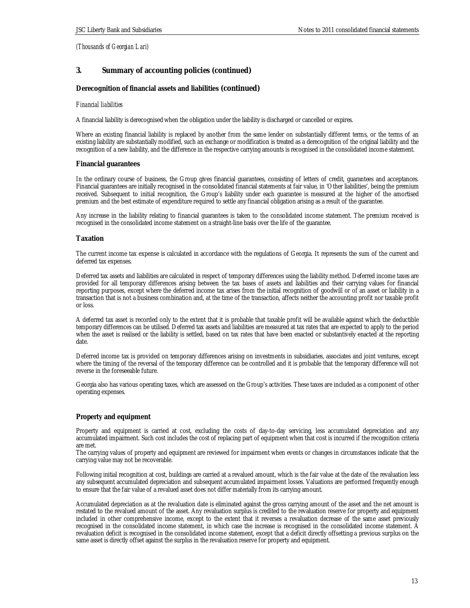## **3. Summary of accounting policies (continued)**

## **Derecognition of financial assets and liabilities (continued)**

## *Financial liabilities*

A financial liability is derecognised when the obligation under the liability is discharged or cancelled or expires.

Where an existing financial liability is replaced by another from the same lender on substantially different terms, or the terms of an existing liability are substantially modified, such an exchange or modification is treated as a derecognition of the original liability and the recognition of a new liability, and the difference in the respective carrying amounts is recognised in the consolidated income statement.

#### **Financial guarantees**

In the ordinary course of business, the Group gives financial guarantees, consisting of letters of credit, guarantees and acceptances. Financial guarantees are initially recognised in the consolidated financial statements at fair value, in 'Other liabilities', being the premium received. Subsequent to initial recognition, the Group's liability under each guarantee is measured at the higher of the amortised premium and the best estimate of expenditure required to settle any financial obligation arising as a result of the guarantee.

Any increase in the liability relating to financial guarantees is taken to the consolidated income statement. The premium received is recognised in the consolidated income statement on a straight-line basis over the life of the guarantee.

#### **Taxation**

The current income tax expense is calculated in accordance with the regulations of Georgia. It represents the sum of the current and deferred tax expenses.

Deferred tax assets and liabilities are calculated in respect of temporary differences using the liability method. Deferred income taxes are provided for all temporary differences arising between the tax bases of assets and liabilities and their carrying values for financial reporting purposes, except where the deferred income tax arises from the initial recognition of goodwill or of an asset or liability in a transaction that is not a business combination and, at the time of the transaction, affects neither the accounting profit nor taxable profit or loss.

A deferred tax asset is recorded only to the extent that it is probable that taxable profit will be available against which the deductible temporary differences can be utilised. Deferred tax assets and liabilities are measured at tax rates that are expected to apply to the period when the asset is realised or the liability is settled, based on tax rates that have been enacted or substantively enacted at the reporting date.

Deferred income tax is provided on temporary differences arising on investments in subsidiaries, associates and joint ventures, except where the timing of the reversal of the temporary difference can be controlled and it is probable that the temporary difference will not reverse in the foreseeable future.

Georgia also has various operating taxes, which are assessed on the Group's activities. These taxes are included as a component of other operating expenses.

## **Property and equipment**

Property and equipment is carried at cost, excluding the costs of day-to-day servicing, less accumulated depreciation and any accumulated impairment. Such cost includes the cost of replacing part of equipment when that cost is incurred if the recognition criteria are met.

The carrying values of property and equipment are reviewed for impairment when events or changes in circumstances indicate that the carrying value may not be recoverable.

Following initial recognition at cost, buildings are carried at a revalued amount, which is the fair value at the date of the revaluation less any subsequent accumulated depreciation and subsequent accumulated impairment losses. Valuations are performed frequently enough to ensure that the fair value of a revalued asset does not differ materially from its carrying amount.

Accumulated depreciation as at the revaluation date is eliminated against the gross carrying amount of the asset and the net amount is restated to the revalued amount of the asset. Any revaluation surplus is credited to the revaluation reserve for property and equipment included in other comprehensive income, except to the extent that it reverses a revaluation decrease of the same asset previously recognised in the consolidated income statement, in which case the increase is recognised in the consolidated income statement. A revaluation deficit is recognised in the consolidated income statement, except that a deficit directly offsetting a previous surplus on the same asset is directly offset against the surplus in the revaluation reserve for property and equipment.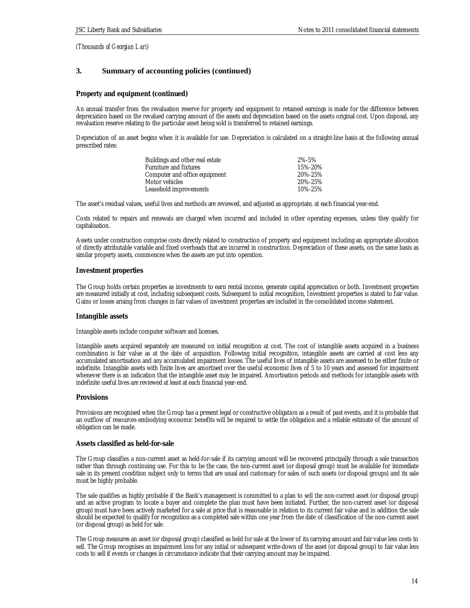## **3. Summary of accounting policies (continued)**

**Property and equipment (continued)** 

An annual transfer from the revaluation reserve for property and equipment to retained earnings is made for the difference between depreciation based on the revalued carrying amount of the assets and depreciation based on the assets original cost. Upon disposal, any revaluation reserve relating to the particular asset being sold is transferred to retained earnings.

Depreciation of an asset begins when it is available for use. Depreciation is calculated on a straight-line basis at the following annual prescribed rates:

| Buildings and other real estate | 2%-5%   |
|---------------------------------|---------|
| Furniture and fixtures          | 15%-20% |
| Computer and office equipment   | 20%-25% |
| Motor vehicles                  | 20%-25% |
| Leasehold improvements          | 10%-25% |

The asset's residual values, useful lives and methods are reviewed, and adjusted as appropriate, at each financial year-end.

Costs related to repairs and renewals are charged when incurred and included in other operating expenses, unless they qualify for capitalisation.

Assets under construction comprise costs directly related to construction of property and equipment including an appropriate allocation of directly attributable variable and fixed overheads that are incurred in construction. Depreciation of these assets, on the same basis as similar property assets, commences when the assets are put into operation.

## **Investment properties**

The Group holds certain properties as investments to earn rental income, generate capital appreciation or both. Investment properties are measured initially at cost, including subsequent costs. Subsequent to initial recognition, Investment properties is stated to fair value. Gains or losses arising from changes in fair values of investment properties are included in the consolidated income statement.

## **Intangible assets**

Intangible assets include computer software and licenses.

Intangible assets acquired separately are measured on initial recognition at cost. The cost of intangible assets acquired in a business combination is fair value as at the date of acquisition. Following initial recognition, intangible assets are carried at cost less any accumulated amortisation and any accumulated impairment losses. The useful lives of intangible assets are assessed to be either finite or indefinite. Intangible assets with finite lives are amortised over the useful economic lives of 5 to 10 years and assessed for impairment whenever there is an indication that the intangible asset may be impaired. Amortisation periods and methods for intangible assets with indefinite useful lives are reviewed at least at each financial year-end.

## **Provisions**

Provisions are recognised when the Group has a present legal or constructive obligation as a result of past events, and it is probable that an outflow of resources embodying economic benefits will be required to settle the obligation and a reliable estimate of the amount of obligation can be made.

## **Assets classified as held-for-sale**

The Group classifies a non-current asset as held-for-sale if its carrying amount will be recovered principally through a sale transaction rather than through continuing use. For this to be the case, the non-current asset (or disposal group) must be available for immediate sale in its present condition subject only to terms that are usual and customary for sales of such assets (or disposal groups) and its sale must be highly probable.

The sale qualifies as highly probable if the Bank's management is committed to a plan to sell the non-current asset (or disposal group) and an active program to locate a buyer and complete the plan must have been initiated. Further, the non-current asset (or disposal group) must have been actively marketed for a sale at price that is reasonable in relation to its current fair value and in addition the sale should be expected to qualify for recognition as a completed sale within one year from the date of classification of the non-current asset (or disposal group) as held for sale.

The Group measures an asset (or disposal group) classified as held for sale at the lower of its carrying amount and fair value less costs to sell. The Group recognises an impairment loss for any initial or subsequent write-down of the asset (or disposal group) to fair value less costs to sell if events or changes in circumstance indicate that their carrying amount may be impaired.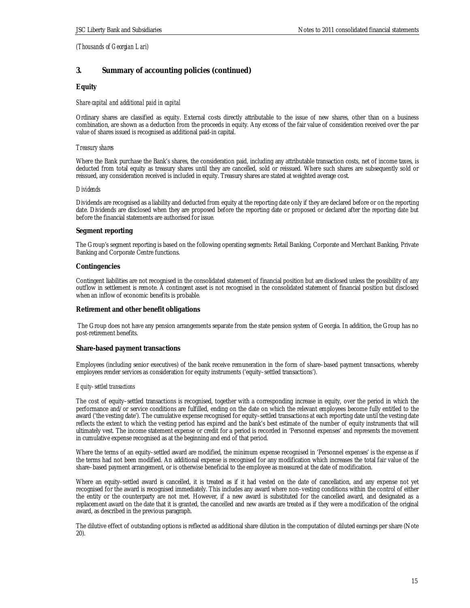## **3. Summary of accounting policies (continued)**

## **Equity**

#### *Share capital and additional paid in capital*

Ordinary shares are classified as equity. External costs directly attributable to the issue of new shares, other than on a business combination, are shown as a deduction from the proceeds in equity. Any excess of the fair value of consideration received over the par value of shares issued is recognised as additional paid-in capital.

#### *Treasury shares*

Where the Bank purchase the Bank's shares, the consideration paid, including any attributable transaction costs, net of income taxes, is deducted from total equity as treasury shares until they are cancelled, sold or reissued. Where such shares are subsequently sold or reissued, any consideration received is included in equity. Treasury shares are stated at weighted average cost.

#### *Dividends*

Dividends are recognised as a liability and deducted from equity at the reporting date only if they are declared before or on the reporting date. Dividends are disclosed when they are proposed before the reporting date or proposed or declared after the reporting date but before the financial statements are authorised for issue.

#### **Segment reporting**

The Group's segment reporting is based on the following operating segments: Retail Banking, Corporate and Merchant Banking, Private Banking and Corporate Centre functions.

## **Contingencies**

Contingent liabilities are not recognised in the consolidated statement of financial position but are disclosed unless the possibility of any outflow in settlement is remote. A contingent asset is not recognised in the consolidated statement of financial position but disclosed when an inflow of economic benefits is probable.

## **Retirement and other benefit obligations**

 The Group does not have any pension arrangements separate from the state pension system of Georgia. In addition, the Group has no post-retirement benefits.

## **Share-based payment transactions**

Employees (including senior executives) of the bank receive remuneration in the form of share–based payment transactions, whereby employees render services as consideration for equity instruments ('equity–settled transactions').

#### *Equity–settled transactions*

The cost of equity–settled transactions is recognised, together with a corresponding increase in equity, over the period in which the performance and/or service conditions are fulfilled, ending on the date on which the relevant employees become fully entitled to the award ('the vesting date'). The cumulative expense recognised for equity–settled transactions at each reporting date until the vesting date reflects the extent to which the vesting period has expired and the bank's best estimate of the number of equity instruments that will ultimately vest. The income statement expense or credit for a period is recorded in 'Personnel expenses' and represents the movement in cumulative expense recognised as at the beginning and end of that period.

Where the terms of an equity–settled award are modified, the minimum expense recognised in 'Personnel expenses' is the expense as if the terms had not been modified. An additional expense is recognised for any modification which increases the total fair value of the share–based payment arrangement, or is otherwise beneficial to the employee as measured at the date of modification.

Where an equity–settled award is cancelled, it is treated as if it had vested on the date of cancellation, and any expense not yet recognised for the award is recognised immediately. This includes any award where non–vesting conditions within the control of either the entity or the counterparty are not met. However, if a new award is substituted for the cancelled award, and designated as a replacement award on the date that it is granted, the cancelled and new awards are treated as if they were a modification of the original award, as described in the previous paragraph.

The dilutive effect of outstanding options is reflected as additional share dilution in the computation of diluted earnings per share (Note 20).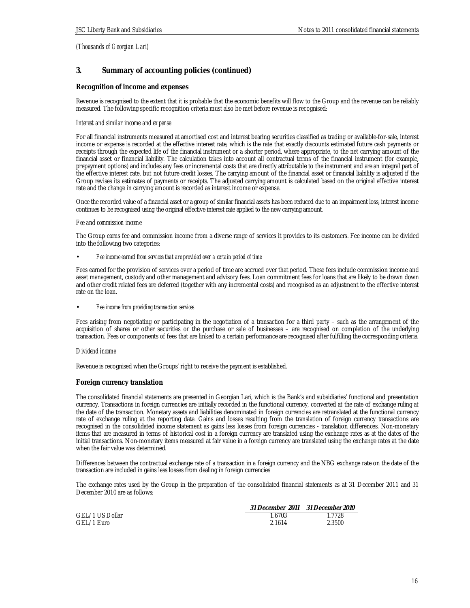# **3. Summary of accounting policies (continued)**

## **Recognition of income and expenses**

Revenue is recognised to the extent that it is probable that the economic benefits will flow to the Group and the revenue can be reliably measured. The following specific recognition criteria must also be met before revenue is recognised:

## *Interest and similar income and expense*

For all financial instruments measured at amortised cost and interest bearing securities classified as trading or available-for-sale, interest income or expense is recorded at the effective interest rate, which is the rate that exactly discounts estimated future cash payments or receipts through the expected life of the financial instrument or a shorter period, where appropriate, to the net carrying amount of the financial asset or financial liability. The calculation takes into account all contractual terms of the financial instrument (for example, prepayment options) and includes any fees or incremental costs that are directly attributable to the instrument and are an integral part of the effective interest rate, but not future credit losses. The carrying amount of the financial asset or financial liability is adjusted if the Group revises its estimates of payments or receipts. The adjusted carrying amount is calculated based on the original effective interest rate and the change in carrying amount is recorded as interest income or expense.

Once the recorded value of a financial asset or a group of similar financial assets has been reduced due to an impairment loss, interest income continues to be recognised using the original effective interest rate applied to the new carrying amount.

## *Fee and commission income*

The Group earns fee and commission income from a diverse range of services it provides to its customers. Fee income can be divided into the following two categories:

#### • *Fee income earned from services that are provided over a certain period of time*

Fees earned for the provision of services over a period of time are accrued over that period. These fees include commission income and asset management, custody and other management and advisory fees. Loan commitment fees for loans that are likely to be drawn down and other credit related fees are deferred (together with any incremental costs) and recognised as an adjustment to the effective interest rate on the loan.

## • *Fee income from providing transaction services*

Fees arising from negotiating or participating in the negotiation of a transaction for a third party – such as the arrangement of the acquisition of shares or other securities or the purchase or sale of businesses – are recognised on completion of the underlying transaction. Fees or components of fees that are linked to a certain performance are recognised after fulfilling the corresponding criteria.

## *Dividend income*

Revenue is recognised when the Groups' right to receive the payment is established.

## **Foreign currency translation**

The consolidated financial statements are presented in Georgian Lari, which is the Bank's and subsidiaries' functional and presentation currency. Transactions in foreign currencies are initially recorded in the functional currency, converted at the rate of exchange ruling at the date of the transaction. Monetary assets and liabilities denominated in foreign currencies are retranslated at the functional currency rate of exchange ruling at the reporting date. Gains and losses resulting from the translation of foreign currency transactions are recognised in the consolidated income statement as gains less losses from foreign currencies - translation differences. Non-monetary items that are measured in terms of historical cost in a foreign currency are translated using the exchange rates as at the dates of the initial transactions. Non-monetary items measured at fair value in a foreign currency are translated using the exchange rates at the date when the fair value was determined.

Differences between the contractual exchange rate of a transaction in a foreign currency and the NBG exchange rate on the date of the transaction are included in gains less losses from dealing in foreign currencies

The exchange rates used by the Group in the preparation of the consolidated financial statements as at 31 December 2011 and 31 December 2010 are as follows:

| GEL/1 US Dollar | 1.6703 | 1.7728 |
|-----------------|--------|--------|
| GEL/1 Euro      | 2.1614 | 2.3500 |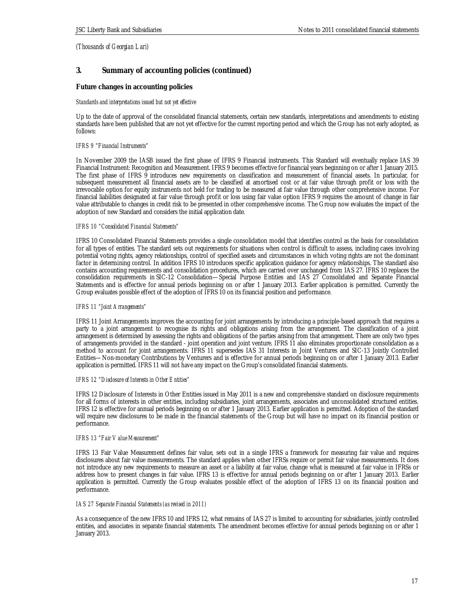# **3. Summary of accounting policies (continued)**

**Future changes in accounting policies** 

## *Standards and interpretations issued but not yet effective*

Up to the date of approval of the consolidated financial statements, certain new standards, interpretations and amendments to existing standards have been published that are not yet effective for the current reporting period and which the Group has not early adopted, as follows:

## *IFRS 9 "Financial Instruments"*

In November 2009 the IASB issued the first phase of IFRS 9 Financial instruments. This Standard will eventually replace IAS 39 Financial Instrument: Recognition and Measurement. IFRS 9 becomes effective for financial years beginning on or after 1 January 2015. The first phase of IFRS 9 introduces new requirements on classification and measurement of financial assets. In particular, for subsequent measurement all financial assets are to be classified at amortised cost or at fair value through profit or loss with the irrevocable option for equity instruments not held for trading to be measured at fair value through other comprehensive income. For financial liabilities designated at fair value through profit or loss using fair value option IFRS 9 requires the amount of change in fair value attributable to changes in credit risk to be presented in other comprehensive income. The Group now evaluates the impact of the adoption of new Standard and considers the initial application date.

#### *IFRS 10 "Consolidated Financial Statements"*

IFRS 10 Consolidated Financial Statements provides a single consolidation model that identifies control as the basis for consolidation for all types of entities. The standard sets out requirements for situations when control is difficult to assess, including cases involving potential voting rights, agency relationships, control of specified assets and circumstances in which voting rights are not the dominant factor in determining control. In addition IFRS 10 introduces specific application guidance for agency relationships. The standard also contains accounting requirements and consolidation procedures, which are carried over unchanged from IAS 27. IFRS 10 replaces the consolidation requirements in SIC-12 Consolidation—Special Purpose Entities and IAS 27 Consolidated and Separate Financial Statements and is effective for annual periods beginning on or after 1 January 2013. Earlier application is permitted. Currently the Group evaluates possible effect of the adoption of IFRS 10 on its financial position and performance.

#### *IFRS 11 "Joint Arrangements"*

IFRS 11 Joint Arrangements improves the accounting for joint arrangements by introducing a principle-based approach that requires a party to a joint arrangement to recognise its rights and obligations arising from the arrangement. The classification of a joint arrangement is determined by assessing the rights and obligations of the parties arising from that arrangement. There are only two types of arrangements provided in the standard - joint operation and joint venture. IFRS 11 also eliminates proportionate consolidation as a method to account for joint arrangements. IFRS 11 supersedes IAS 31 Interests in Joint Ventures and SIC-13 Jointly Controlled Entities—Non-monetary Contributions by Venturers and is effective for annual periods beginning on or after 1 January 2013. Earlier application is permitted. IFRS 11 will not have any impact on the Group's consolidated financial statements.

#### *IFRS 12 "Disclosure of Interests in Other Entities"*

IFRS 12 Disclosure of Interests in Other Entities issued in May 2011 is a new and comprehensive standard on disclosure requirements for all forms of interests in other entities, including subsidiaries, joint arrangements, associates and unconsolidated structured entities. IFRS 12 is effective for annual periods beginning on or after 1 January 2013. Earlier application is permitted. Adoption of the standard will require new disclosures to be made in the financial statements of the Group but will have no impact on its financial position or performance.

#### *IFRS 13 "Fair Value Measurement"*

IFRS 13 Fair Value Measurement defines fair value, sets out in a single IFRS a framework for measuring fair value and requires disclosures about fair value measurements. The standard applies when other IFRSs require or permit fair value measurements. It does not introduce any new requirements to measure an asset or a liability at fair value, change what is measured at fair value in IFRSs or address how to present changes in fair value. IFRS 13 is effective for annual periods beginning on or after 1 January 2013. Earlier application is permitted. Currently the Group evaluates possible effect of the adoption of IFRS 13 on its financial position and performance.

## *IAS 27 Separate Financial Statements (as revised in 2011)*

As a consequence of the new IFRS 10 and IFRS 12, what remains of IAS 27 is limited to accounting for subsidiaries, jointly controlled entities, and associates in separate financial statements. The amendment becomes effective for annual periods beginning on or after 1 January 2013.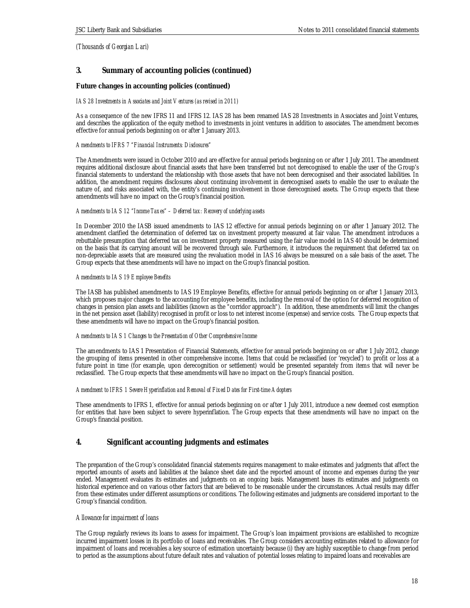# **3. Summary of accounting policies (continued)**

**Future changes in accounting policies (continued)** 

## *IAS 28 Investments in Associates and Joint Ventures (as revised in 2011)*

As a consequence of the new IFRS 11 and IFRS 12. IAS 28 has been renamed IAS 28 Investments in Associates and Joint Ventures, and describes the application of the equity method to investments in joint ventures in addition to associates. The amendment becomes effective for annual periods beginning on or after 1 January 2013.

## *Amendments to IFRS 7 "Financial Instruments: Disclosures"*

The Amendments were issued in October 2010 and are effective for annual periods beginning on or after 1 July 2011. The amendment requires additional disclosure about financial assets that have been transferred but not derecognised to enable the user of the Group's financial statements to understand the relationship with those assets that have not been derecognised and their associated liabilities. In addition, the amendment requires disclosures about continuing involvement in derecognised assets to enable the user to evaluate the nature of, and risks associated with, the entity's continuing involvement in those derecognised assets. The Group expects that these amendments will have no impact on the Group's financial position.

## *Amendments to IAS 12 "Income Taxes" – Deferred tax: Recovery of underlying assets*

In December 2010 the IASB issued amendments to IAS 12 effective for annual periods beginning on or after 1 January 2012. The amendment clarified the determination of deferred tax on investment property measured at fair value. The amendment introduces a rebuttable presumption that deferred tax on investment property measured using the fair value model in IAS 40 should be determined on the basis that its carrying amount will be recovered through sale. Furthermore, it introduces the requirement that deferred tax on non-depreciable assets that are measured using the revaluation model in IAS 16 always be measured on a sale basis of the asset. The Group expects that these amendments will have no impact on the Group's financial position.

## *Amendments to IAS 19 Employee Benefits*

The IASB has published amendments to IAS 19 Employee Benefits, effective for annual periods beginning on or after 1 January 2013, which proposes major changes to the accounting for employee benefits, including the removal of the option for deferred recognition of changes in pension plan assets and liabilities (known as the "corridor approach"). In addition, these amendments will limit the changes in the net pension asset (liability) recognised in profit or loss to net interest income (expense) and service costs. The Group expects that these amendments will have no impact on the Group's financial position.

## *Amendments to IAS 1 Changes to the Presentation of Other Comprehensive Income*

The amendments to IAS 1 Presentation of Financial Statements, effective for annual periods beginning on or after 1 July 2012, change the grouping of items presented in other comprehensive income. Items that could be reclassified (or 'recycled') to profit or loss at a future point in time (for example, upon derecognition or settlement) would be presented separately from items that will never be reclassified. The Group expects that these amendments will have no impact on the Group's financial position.

## *Amendment to IFRS 1 Severe Hyperinflation and Removal of Fixed Dates for First-time Adopters*

These amendments to IFRS 1, effective for annual periods beginning on or after 1 July 2011, introduce a new deemed cost exemption for entities that have been subject to severe hyperinflation. The Group expects that these amendments will have no impact on the Group's financial position.

## **4. Significant accounting judgments and estimates**

The preparation of the Group's consolidated financial statements requires management to make estimates and judgments that affect the reported amounts of assets and liabilities at the balance sheet date and the reported amount of income and expenses during the year ended. Management evaluates its estimates and judgments on an ongoing basis. Management bases its estimates and judgments on historical experience and on various other factors that are believed to be reasonable under the circumstances. Actual results may differ from these estimates under different assumptions or conditions. The following estimates and judgments are considered important to the Group's financial condition.

## *Allowance for impairment of loans*

The Group regularly reviews its loans to assess for impairment. The Group's loan impairment provisions are established to recognize incurred impairment losses in its portfolio of loans and receivables. The Group considers accounting estimates related to allowance for impairment of loans and receivables a key source of estimation uncertainty because (i) they are highly susceptible to change from period to period as the assumptions about future default rates and valuation of potential losses relating to impaired loans and receivables are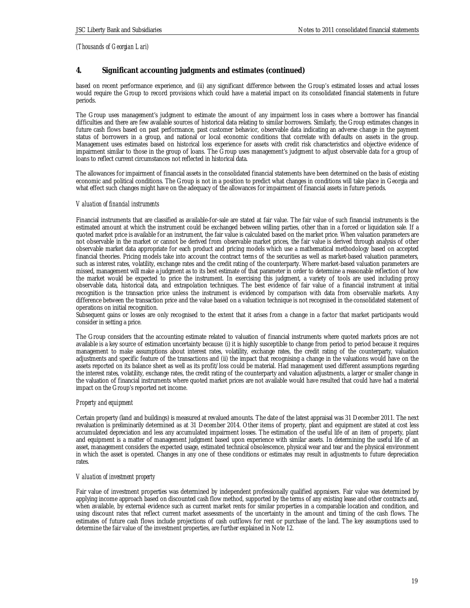# **4. Significant accounting judgments and estimates (continued)**

based on recent performance experience, and (ii) any significant difference between the Group's estimated losses and actual losses would require the Group to record provisions which could have a material impact on its consolidated financial statements in future periods.

The Group uses management's judgment to estimate the amount of any impairment loss in cases where a borrower has financial difficulties and there are few available sources of historical data relating to similar borrowers. Similarly, the Group estimates changes in future cash flows based on past performance, past customer behavior, observable data indicating an adverse change in the payment status of borrowers in a group, and national or local economic conditions that correlate with defaults on assets in the group. Management uses estimates based on historical loss experience for assets with credit risk characteristics and objective evidence of impairment similar to those in the group of loans. The Group uses management's judgment to adjust observable data for a group of loans to reflect current circumstances not reflected in historical data.

The allowances for impairment of financial assets in the consolidated financial statements have been determined on the basis of existing economic and political conditions. The Group is not in a position to predict what changes in conditions will take place in Georgia and what effect such changes might have on the adequacy of the allowances for impairment of financial assets in future periods.

## *Valuation of financial instruments*

Financial instruments that are classified as available-for-sale are stated at fair value. The fair value of such financial instruments is the estimated amount at which the instrument could be exchanged between willing parties, other than in a forced or liquidation sale. If a quoted market price is available for an instrument, the fair value is calculated based on the market price. When valuation parameters are not observable in the market or cannot be derived from observable market prices, the fair value is derived through analysis of other observable market data appropriate for each product and pricing models which use a mathematical methodology based on accepted financial theories. Pricing models take into account the contract terms of the securities as well as market-based valuation parameters, such as interest rates, volatility, exchange rates and the credit rating of the counterparty. Where market-based valuation parameters are missed, management will make a judgment as to its best estimate of that parameter in order to determine a reasonable reflection of how the market would be expected to price the instrument. In exercising this judgment, a variety of tools are used including proxy observable data, historical data, and extrapolation techniques. The best evidence of fair value of a financial instrument at initial recognition is the transaction price unless the instrument is evidenced by comparison with data from observable markets. Any difference between the transaction price and the value based on a valuation technique is not recognised in the consolidated statement of operations on initial recognition.

Subsequent gains or losses are only recognised to the extent that it arises from a change in a factor that market participants would consider in setting a price.

The Group considers that the accounting estimate related to valuation of financial instruments where quoted markets prices are not available is a key source of estimation uncertainty because: (i) it is highly susceptible to change from period to period because it requires management to make assumptions about interest rates, volatility, exchange rates, the credit rating of the counterparty, valuation adjustments and specific feature of the transactions and (ii) the impact that recognising a change in the valuations would have on the assets reported on its balance sheet as well as its profit/loss could be material. Had management used different assumptions regarding the interest rates, volatility, exchange rates, the credit rating of the counterparty and valuation adjustments, a larger or smaller change in the valuation of financial instruments where quoted market prices are not available would have resulted that could have had a material impact on the Group's reported net income.

## *Property and equipment*

Certain property (land and buildings) is measured at revalued amounts. The date of the latest appraisal was 31 December 2011. The next revaluation is preliminarily determined as at 31 December 2014. Other items of property, plant and equipment are stated at cost less accumulated depreciation and less any accumulated impairment losses. The estimation of the useful life of an item of property, plant and equipment is a matter of management judgment based upon experience with similar assets. In determining the useful life of an asset, management considers the expected usage, estimated technical obsolescence, physical wear and tear and the physical environment in which the asset is operated. Changes in any one of these conditions or estimates may result in adjustments to future depreciation rates.

## *Valuation of investment property*

Fair value of investment properties was determined by independent professionally qualified appraisers. Fair value was determined by applying income approach based on discounted cash flow method, supported by the terms of any existing lease and other contracts and, when available, by external evidence such as current market rents for similar properties in a comparable location and condition, and using discount rates that reflect current market assessments of the uncertainty in the amount and timing of the cash flows. The estimates of future cash flows include projections of cash outflows for rent or purchase of the land. The key assumptions used to determine the fair value of the investment properties, are further explained in Note 12.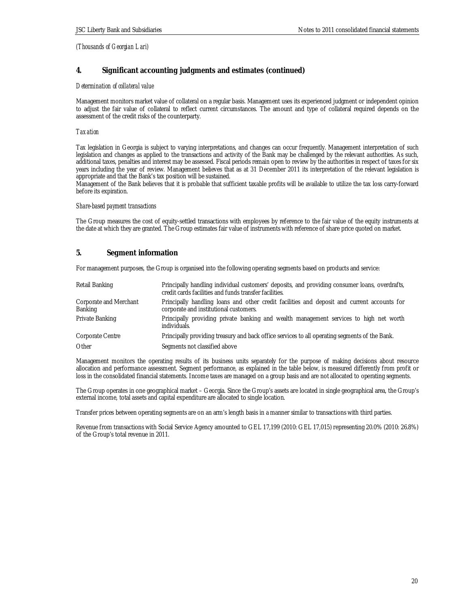## **4. Significant accounting judgments and estimates (continued)**

## *Determination of collateral value*

Management monitors market value of collateral on a regular basis. Management uses its experienced judgment or independent opinion to adjust the fair value of collateral to reflect current circumstances. The amount and type of collateral required depends on the assessment of the credit risks of the counterparty.

## *Taxation*

Tax legislation in Georgia is subject to varying interpretations, and changes can occur frequently. Management interpretation of such legislation and changes as applied to the transactions and activity of the Bank may be challenged by the relevant authorities. As such, additional taxes, penalties and interest may be assessed. Fiscal periods remain open to review by the authorities in respect of taxes for six years including the year of review. Management believes that as at 31 December 2011 its interpretation of the relevant legislation is appropriate and that the Bank's tax position will be sustained.

Management of the Bank believes that it is probable that sufficient taxable profits will be available to utilize the tax loss carry-forward before its expiration.

## *Share-based payment transactions*

The Group measures the cost of equity-settled transactions with employees by reference to the fair value of the equity instruments at the date at which they are granted. The Group estimates fair value of instruments with reference of share price quoted on market.

# **5. Segment information**

For management purposes, the Group is organised into the following operating segments based on products and service:

| Retail Banking                    | Principally handling individual customers' deposits, and providing consumer loans, overdrafts,<br>credit cards facilities and funds transfer facilities. |
|-----------------------------------|----------------------------------------------------------------------------------------------------------------------------------------------------------|
| Corporate and Merchant<br>Banking | Principally handling loans and other credit facilities and deposit and current accounts for<br>corporate and institutional customers.                    |
| Private Banking                   | Principally providing private banking and wealth management services to high net worth<br>individuals.                                                   |
| Corporate Centre                  | Principally providing treasury and back office services to all operating segments of the Bank.                                                           |
| Other                             | Segments not classified above                                                                                                                            |

Management monitors the operating results of its business units separately for the purpose of making decisions about resource allocation and performance assessment. Segment performance, as explained in the table below, is measured differently from profit or loss in the consolidated financial statements. Income taxes are managed on a group basis and are not allocated to operating segments.

The Group operates in one geographical market – Georgia. Since the Group's assets are located in single geographical area, the Group's external income, total assets and capital expenditure are allocated to single location.

Transfer prices between operating segments are on an arm's length basis in a manner similar to transactions with third parties.

Revenue from transactions with Social Service Agency amounted to GEL 17,199 (2010: GEL 17,015) representing 20.0% (2010: 26.8%) of the Group's total revenue in 2011.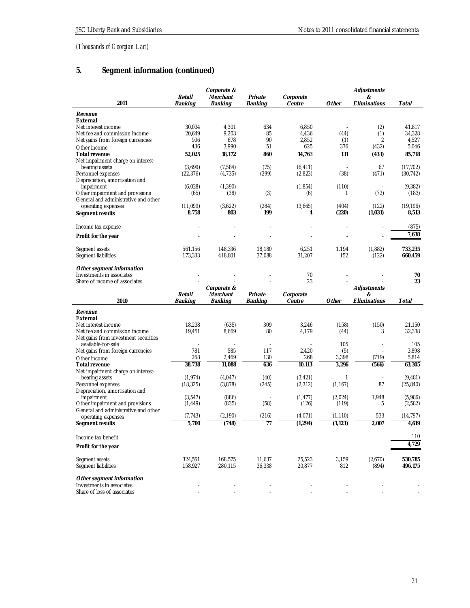# **5. Segment information (continued)**

|                                                          |           | Corporate & |                |           |          | Adjustments    |           |
|----------------------------------------------------------|-----------|-------------|----------------|-----------|----------|----------------|-----------|
|                                                          | Retail    | Merchant    | Private        | Corporate |          | &              |           |
| 2011                                                     | Banking   | Banking     | <b>Banking</b> | Centre    | Other    | Eliminations   | Total     |
| Revenue                                                  |           |             |                |           |          |                |           |
| External                                                 |           |             |                |           |          |                |           |
| Net interest income                                      | 30,034    | 4,301       | 634            | 6,850     |          | (2)            | 41,817    |
| Net fee and commission income                            | 20,649    | 9,203       | 85             | 4,436     | (44)     | (1)            | 34,328    |
| Net gains from foreign currencies                        | 906       | 678         | 90             | 2,852     | (1)      | $\overline{2}$ | 4,527     |
| Other income                                             | 436       | 3,990       | 51             | 625       | 376      | (432)          | 5,046     |
| Total revenue                                            | 52,025    | 18.172      | 860            | 14,763    | 331      | (433)          | 85,718    |
| Net impairment charge on interest-                       |           |             |                |           |          |                |           |
| bearing assets                                           | (3,699)   | (7,584)     | (75)           | (6, 411)  |          | 67             | (17, 702) |
| Personnel expenses                                       | (22, 376) | (4,735)     | (299)          | (2,823)   | (38)     | (471)          | (30, 742) |
| Depreciation, amortisation and                           |           |             |                |           |          |                |           |
| impairment                                               | (6,028)   | (1,390)     |                | (1, 854)  | (110)    |                | (9, 382)  |
| Other impairment and provisions                          | (65)      | (38)        | (3)            | (6)       | 1        | (72)           | (183)     |
| General and administrative and other                     |           |             |                |           |          |                |           |
| operating expenses                                       | (11,099)  | (3,622)     | (284)          | (3,665)   | (404)    | (122)          | (19, 196) |
| Segment results                                          | 8,758     | 803         | 199            | 4         | (220)    | (1,031)        | 8,513     |
|                                                          |           |             |                |           |          |                |           |
|                                                          |           |             |                |           |          |                | (875)     |
| Income tax expense                                       |           |             |                |           |          |                |           |
| Profit for the year                                      |           |             |                |           |          |                | 7,638     |
|                                                          |           |             |                |           |          |                |           |
| Segment assets                                           | 561,156   | 148,336     | 18,180         | 6,251     | 1,194    | (1,882)        | 733,235   |
| Segment liabilities                                      | 173,333   | 418,801     | 37,088         | 31,207    | 152      | (122)          | 660,459   |
|                                                          |           |             |                |           |          |                |           |
| Other segment information                                |           |             |                |           |          |                |           |
| Investments in associates                                |           |             |                | 70        |          |                | 70        |
| Share of income of associates                            |           |             |                | 23        |          |                | 23        |
|                                                          |           | Corporate & |                |           |          | Adjustments    |           |
|                                                          |           |             |                |           |          |                |           |
|                                                          | Retail    | Merchant    | Private        | Corporate |          | &              |           |
| 2010                                                     | Banking   | Banking     | Banking        | Centre    | Other    | Eliminations   | Total     |
|                                                          |           |             |                |           |          |                |           |
| Revenue                                                  |           |             |                |           |          |                |           |
| External                                                 |           |             |                |           |          |                |           |
| Net interest income                                      | 18,238    | (635)       | 309            | 3,246     | (158)    | (150)          | 21,150    |
| Net fee and commission income                            | 19,451    | 8,669       | 80             | 4,179     | (44)     | 3              | 32,338    |
| Net gains from investment securities                     |           |             |                |           |          |                |           |
| available-for-sale                                       |           |             |                |           | 105      |                | 105       |
| Net gains from foreign currencies                        | 781       | 585         | 117            | 2,420     | (5)      |                | 3,898     |
| Other income                                             | 268       | 2,469       | 130            | 268       | 3,398    | (719)          | 5,814     |
| Total revenue                                            | 38,738    | 11,088      | 636            | 10,113    | 3,296    | (566)          | 63,305    |
| Net impairment charge on interest-                       |           |             |                |           |          |                |           |
| bearing assets                                           | (1, 974)  | (4,047)     | (40)           | (3, 421)  | 1        |                | (9, 481)  |
| Personnel expenses                                       | (18, 325) | (3,878)     | (245)          | (2, 312)  | (1, 167) | 87             | (25, 840) |
| Depreciation, amortisation and                           |           |             |                |           |          |                |           |
| impairment                                               | (3,547)   | (886)       |                | (1, 477)  | (2,024)  | 1,948          | (5,986)   |
| Other impairment and provisions                          | (1, 449)  | (835)       | (58)           | (126)     | (119)    | 5              | (2, 582)  |
| General and administrative and other                     | (7,743)   | (2,190)     |                | (4,071)   | (1, 110) | 533            | (14,797)  |
| operating expenses                                       |           |             | (216)<br>77    |           |          |                | 4.619     |
| Segment results                                          | 5,700     | (748)       |                | (1, 294)  | (1, 123) | 2,007          |           |
|                                                          |           |             |                |           |          |                |           |
| Income tax benefit                                       |           |             |                |           |          |                | 110       |
| Profit for the year                                      |           |             |                |           |          |                | 4,729     |
|                                                          |           |             |                |           |          |                |           |
| Segment assets                                           | 324,561   | 168,575     | 11,637         | 25,523    | 3,159    | (2,670)        | 530,785   |
| Segment liabilities                                      | 158,927   | 280,115     | 36,338         | 20,877    | 812      | (894)          | 496,175   |
|                                                          |           |             |                |           |          |                |           |
| Other segment information                                |           |             |                |           |          |                |           |
| Investments in associates<br>Share of loss of associates |           |             |                |           |          |                |           |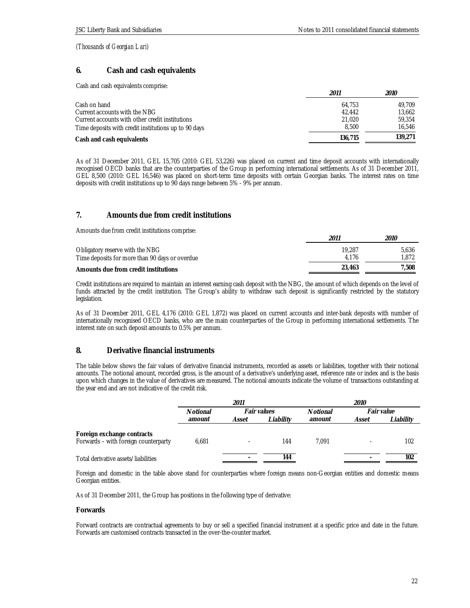## **6. Cash and cash equivalents**

Cash and cash equivalents comprise:

|                                                      | 2011    | <i>2010</i> |
|------------------------------------------------------|---------|-------------|
| Cash on hand                                         | 64.753  | 49.709      |
| Current accounts with the NBG                        | 42.442  | 13.662      |
| Current accounts with other credit institutions      | 21.020  | 59.354      |
| Time deposits with credit institutions up to 90 days | 8.500   | 16.546      |
| Cash and cash equivalents                            | 136,715 | 139.271     |

As of 31 December 2011, GEL 15,705 (2010: GEL 53,226) was placed on current and time deposit accounts with internationally recognised OECD banks that are the counterparties of the Group in performing international settlements. As of 31 December 2011, GEL 8,500 (2010: GEL 16,546) was placed on short-term time deposits with certain Georgian banks. The interest rates on time deposits with credit institutions up to 90 days range between 5% - 9% per annum.

# **7. Amounts due from credit institutions**

Amounts due from credit institutions comprise:

|                                                                                   | 201.            | 2010           |
|-----------------------------------------------------------------------------------|-----------------|----------------|
| Obligatory reserve with the NBG<br>Time deposits for more than 90 days or overdue | 19.287<br>4.176 | 5.636<br>1.872 |
|                                                                                   |                 |                |
| Amounts due from credit institutions                                              | 23.463          | 7.508          |

Credit institutions are required to maintain an interest earning cash deposit with the NBG, the amount of which depends on the level of funds attracted by the credit institution. The Group's ability to withdraw such deposit is significantly restricted by the statutory legislation.

As of 31 December 2011, GEL 4,176 (2010: GEL 1,872) was placed on current accounts and inter-bank deposits with number of internationally recognised OECD banks, who are the main counterparties of the Group in performing international settlements. The interest rate on such deposit amounts to 0.5% per annum.

# **8. Derivative financial instruments**

The table below shows the fair values of derivative financial instruments, recorded as assets or liabilities, together with their notional amounts. The notional amount, recorded gross, is the amount of a derivative's underlying asset, reference rate or index and is the basis upon which changes in the value of derivatives are measured. The notional amounts indicate the volume of transactions outstanding at the year end and are not indicative of the credit risk.

|                                                                    | 2011     |             | <i>2010</i> |                 |            |           |
|--------------------------------------------------------------------|----------|-------------|-------------|-----------------|------------|-----------|
|                                                                    | Notional | Fair values |             | <b>Notional</b> | Fair value |           |
|                                                                    | amount   | Asset       | Liabilitv   | amount          | Asset      | Liabilitv |
| Foreign exchange contracts<br>Forwards - with foreign counterparty | 6.681    |             | 144         | 7.091           |            | 102       |
| Total derivative assets/liabilities                                |          |             | 144         |                 |            | 102       |

Foreign and domestic in the table above stand for counterparties where foreign means non-Georgian entities and domestic means Georgian entities.

As of 31 December 2011, the Group has positions in the following type of derivative:

## **Forwards**

Forward contracts are contractual agreements to buy or sell a specified financial instrument at a specific price and date in the future. Forwards are customised contracts transacted in the over-the-counter market.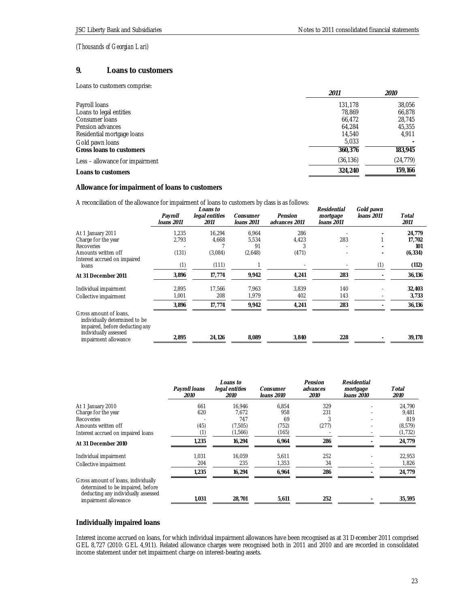## **9. Loans to customers**

Loans to customers comprise:

|                                 | 2011      | 2010      |
|---------------------------------|-----------|-----------|
| Payroll loans                   | 131.178   | 38,056    |
| Loans to legal entities         | 78.869    | 66,878    |
| Consumer Ioans                  | 66,472    | 28,745    |
| Pension advances                | 64.284    | 45,355    |
| Residential mortgage loans      | 14,540    | 4,911     |
| Gold pawn Ioans                 | 5,033     |           |
| Gross Ioans to customers        | 360,376   | 183,945   |
| Less – allowance for impairment | (36, 136) | (24, 779) |
| Loans to customers              | 324,240   | 159.166   |

## **Allowance for impairment of loans to customers**

A reconciliation of the allowance for impairment of loans to customers by class is as follows:

|                                                                                                                    | Payroll<br>Ioans 2011 | Loans to<br>legal entities<br>2011 | Consumer<br>loans 2011 | Pension<br>advances 2011 | Residential<br>mortgage<br>Ioans 2011 | Gold pawn<br>loans 2011 | Total<br>2011 |
|--------------------------------------------------------------------------------------------------------------------|-----------------------|------------------------------------|------------------------|--------------------------|---------------------------------------|-------------------------|---------------|
| At 1 January 2011                                                                                                  | 1,235                 | 16,294                             | 6,964                  | 286                      |                                       |                         | 24,779        |
| Charge for the year                                                                                                | 2,793                 | 4,668                              | 5,534                  | 4,423                    | 283                                   |                         | 17,702        |
| <b>Recoveries</b>                                                                                                  |                       |                                    | 91                     |                          |                                       |                         | 101           |
| Amounts written off<br>Interest accrued on impaired                                                                | (131)                 | (3,084)                            | (2,648)                | (471)                    |                                       |                         | (6, 334)      |
| loans                                                                                                              | (1)                   | (111)                              |                        |                          |                                       | (1)                     | (112)         |
| At 31 December 2011                                                                                                | 3,896                 | 17,774                             | 9,942                  | 4,241                    | 283                                   |                         | 36,136        |
| Individual impairment                                                                                              | 2,895                 | 17,566                             | 7,963                  | 3,839                    | 140                                   |                         | 32,403        |
| Collective impairment                                                                                              | 1,001                 | 208                                | 1,979                  | 402                      | 143                                   |                         | 3,733         |
|                                                                                                                    | 3,896                 | 17,774                             | 9,942                  | 4,241                    | 283                                   |                         | 36,136        |
| Gross amount of loans.<br>individually determined to be<br>impaired, before deducting any<br>individually assessed |                       |                                    |                        |                          |                                       |                         |               |
| impairment allowance                                                                                               | 2,895                 | 24,126                             | 8,089                  | 3,840                    | 228                                   |                         | 39,178        |

|                                                                                                                 |                              | Loans to                      |                        | Pension          | Residential            |               |
|-----------------------------------------------------------------------------------------------------------------|------------------------------|-------------------------------|------------------------|------------------|------------------------|---------------|
|                                                                                                                 | Payroll loans<br><i>2010</i> | legal entities<br><i>2010</i> | Consumer<br>loans 2010 | advances<br>2010 | mortgage<br>loans 2010 | Total<br>2010 |
| At 1 January 2010                                                                                               | 661                          | 16.946                        | 6.854                  | 329              |                        | 24,790        |
| Charge for the year                                                                                             | 620                          | 7.672                         | 958                    | 231              |                        | 9,481         |
| Recoveries                                                                                                      |                              | 747                           | 69                     |                  |                        | 819           |
| Amounts written off                                                                                             | (45)                         | (7,505)                       | (752)                  | (277)            |                        | (8, 579)      |
| Interest accrued on impaired loans                                                                              | (1)                          | (1,566)                       | (165)                  |                  |                        | (1, 732)      |
| At 31 December 2010                                                                                             | 1,235                        | 16,294                        | 6,964                  | 286              |                        | 24,779        |
| Individual impairment                                                                                           | 1.031                        | 16.059                        | 5.611                  | 252              |                        | 22,953        |
| Collective impairment                                                                                           | 204                          | 235                           | 1,353                  | 34               |                        | 1,826         |
|                                                                                                                 | 1,235                        | 16,294                        | 6,964                  | 286              |                        | 24,779        |
| Gross amount of loans, individually<br>determined to be impaired, before<br>deducting any individually assessed |                              |                               |                        |                  |                        |               |
| impairment allowance                                                                                            | 1,031                        | 28,701                        | 5,611                  | 252              |                        | 35,595        |

## **Individually impaired loans**

Interest income accrued on loans, for which individual impairment allowances have been recognised as at 31 December 2011 comprised GEL 8,727 (2010: GEL 4,911). Related allowance charges were recognised both in 2011 and 2010 and are recorded in consolidated income statement under net impairment charge on interest-bearing assets.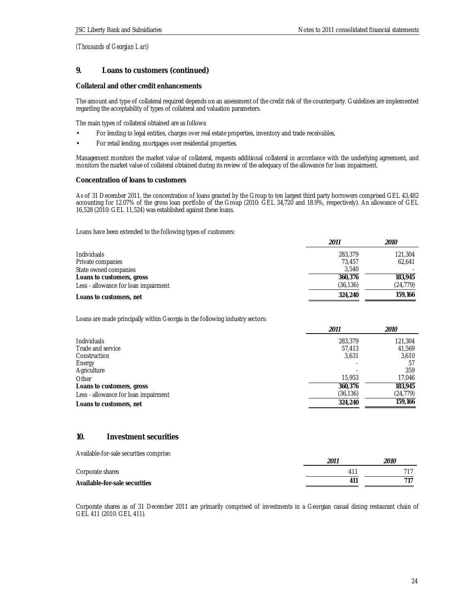# **9. Loans to customers (continued)**

## **Collateral and other credit enhancements**

The amount and type of collateral required depends on an assessment of the credit risk of the counterparty. Guidelines are implemented regarding the acceptability of types of collateral and valuation parameters.

The main types of collateral obtained are as follows:

- For lending to legal entities, charges over real estate properties, inventory and trade receivables,
- For retail lending, mortgages over residential properties.

Management monitors the market value of collateral, requests additional collateral in accordance with the underlying agreement, and monitors the market value of collateral obtained during its review of the adequacy of the allowance for loan impairment.

## **Concentration of loans to customers**

As of 31 December 2011, the concentration of loans granted by the Group to ten largest third party borrowers comprised GEL 43,482 accounting for 12.07% of the gross loan portfolio of the Group (2010: GEL 34,720 and 18.9%, respectively). An allowance of GEL 16,528 (2010: GEL 11,524) was established against these loans.

Loans have been extended to the following types of customers:

|                                      | 2011      | 2010      |
|--------------------------------------|-----------|-----------|
| <b>Individuals</b>                   | 283,379   | 121,304   |
| Private companies                    | 73.457    | 62.641    |
| State owned companies                | 3.540     |           |
| Loans to customers, gross            | 360.376   | 183,945   |
| Less - allowance for loan impairment | (36, 136) | (24, 779) |
| Loans to customers, net              | 324,240   | 159.166   |

Loans are made principally within Georgia in the following industry sectors:

|                                      | 2011      | <i>2010</i> |
|--------------------------------------|-----------|-------------|
| <b>Individuals</b>                   | 283,379   | 121,304     |
| Trade and service                    | 57,413    | 41,569      |
| Construction                         | 3,631     | 3,610       |
| Energy                               |           | 57          |
| Agriculture                          |           | 359         |
| Other                                | 15,953    | 17,046      |
| Loans to customers, gross            | 360,376   | 183,945     |
| Less - allowance for loan impairment | (36, 136) | (24, 779)   |
| Loans to customers, net              | 324,240   | 159,166     |

## **10. Investment securities**

|  | Available-for-sale securities comprise: |
|--|-----------------------------------------|
|--|-----------------------------------------|

|                               | 201                 | <i>2010</i> |
|-------------------------------|---------------------|-------------|
| Corporate shares              | $\mathbf{1}^{\tau}$ |             |
| Available-for-sale securities | $\Delta$ 11         |             |

Corporate shares as of 31 December 2011 are primarily comprised of investments in a Georgian casual dining restaurant chain of GEL 411 (2010: GEL 411).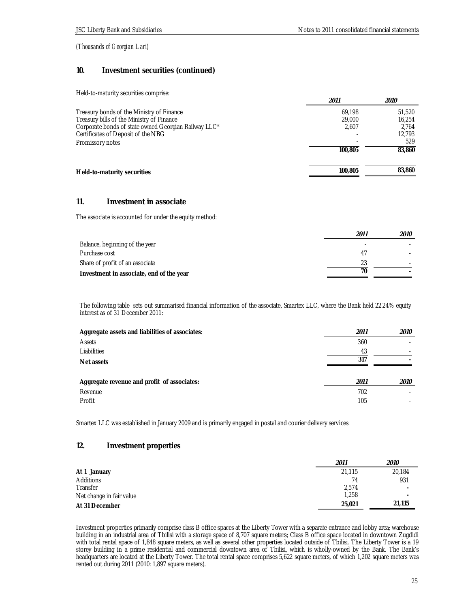## **10. Investment securities (continued)**

Held-to-maturity securities comprise:

|                                                      | 2011    | 2010   |
|------------------------------------------------------|---------|--------|
| Treasury bonds of the Ministry of Finance            | 69.198  | 51,520 |
| Treasury bills of the Ministry of Finance            | 29,000  | 16.254 |
| Corporate bonds of state owned Georgian Railway LLC* | 2.607   | 2.764  |
| Certificates of Deposit of the NBG                   |         | 12.793 |
| Promissory notes                                     |         | 529    |
|                                                      | 100,805 | 83,860 |
|                                                      |         |        |
| Held-to-maturity securities                          | 100,805 | 83,860 |
|                                                      |         |        |

## **11. Investment in associate**

The associate is accounted for under the equity method:

|                                          | 2011 | <i>2010</i> |
|------------------------------------------|------|-------------|
| Balance, beginning of the year           |      |             |
| Purchase cost                            |      |             |
| Share of profit of an associate          |      |             |
| Investment in associate, end of the year | 70   |             |

The following table sets out summarised financial information of the associate, Smartex LLC, where the Bank held 22.24% equity interest as of 31 December 2011:

| Aggregate assets and liabilities of associates: | 2011 | 2010        |
|-------------------------------------------------|------|-------------|
| Assets                                          | 360  |             |
| Liabilities                                     | 43   |             |
| Net assets                                      | 317  |             |
| Aggregate revenue and profit of associates:     | 2011 | <i>2010</i> |
| Revenue                                         | 702  |             |
| Profit                                          | 105  |             |

Smartex LLC was established in January 2009 and is primarily engaged in postal and courier delivery services.

## **12. Investment properties**

|                          | 2011   | 2010                     |
|--------------------------|--------|--------------------------|
| At 1 January             | 21,115 | 20,184                   |
| Additions                | 74     | 931                      |
| Transfer                 | 2.574  | $\overline{\phantom{a}}$ |
| Net change in fair value | 1.258  | $\overline{\phantom{a}}$ |
| At 31 December           | 25,021 | 21,115                   |

Investment properties primarily comprise class B office spaces at the Liberty Tower with a separate entrance and lobby area; warehouse building in an industrial area of Tbilisi with a storage space of 8,707 square meters; Class B office space located in downtown Zugdidi with total rental space of 1,848 square meters, as well as several other properties located outside of Tbilisi. The Liberty Tower is a 19 storey building in a prime residential and commercial downtown area of Tbilisi, which is wholly-owned by the Bank. The Bank's headquarters are located at the Liberty Tower. The total rental space comprises 5,622 square meters, of which 1,202 square meters was rented out during 2011 (2010: 1,897 square meters).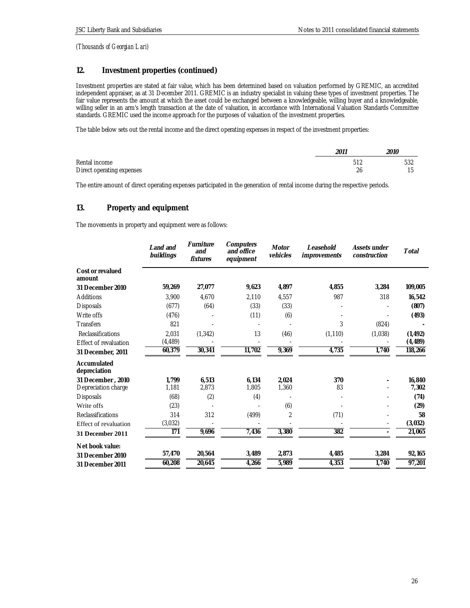# **12. Investment properties (continued)**

Investment properties are stated at fair value, which has been determined based on valuation performed by GREMIC, an accredited independent appraiser, as at 31 December 2011. GREMIC is an industry specialist in valuing these types of investment properties. The fair value represents the amount at which the asset could be exchanged between a knowledgeable, willing buyer and a knowledgeable, willing seller in an arm's length transaction at the date of valuation, in accordance with International Valuation Standards Committee standards. GREMIC used the income approach for the purposes of valuation of the investment properties.

The table below sets out the rental income and the direct operating expenses in respect of the investment properties:

|                                            | 2011 | <i>2010</i> |
|--------------------------------------------|------|-------------|
| Rental income<br>Direct operating expenses | 26   | 532         |

The entire amount of direct operating expenses participated in the generation of rental income during the respective periods.

## **13. Property and equipment**

The movements in property and equipment were as follows:

|                                          | Land and<br>buildings | Furniture<br>and<br>fixtures | Computers<br>and office<br>equipment | Motor<br>vehicles | Leasehold<br>improvements | Assets under<br>construction | Total           |
|------------------------------------------|-----------------------|------------------------------|--------------------------------------|-------------------|---------------------------|------------------------------|-----------------|
| Cost or revalued<br>amount               |                       |                              |                                      |                   |                           |                              |                 |
| 31 December 2010                         | 59,269                | 27,077                       | 9,623                                | 4,897             | 4,855                     | 3,284                        | 109,005         |
| Additions                                | 3,900                 | 4.670                        | 2,110                                | 4.557             | 987                       | 318                          | 16,542          |
| <b>Disposals</b>                         | (677)                 | (64)                         | (33)                                 | (33)              |                           |                              | (807)           |
| Write offs                               | (476)                 |                              | (11)                                 | (6)               |                           |                              | (493)           |
| <b>Transfers</b>                         | 821                   |                              |                                      |                   | 3                         | (824)                        |                 |
| <b>Reclassifications</b>                 | 2,031                 | (1, 342)                     | 13                                   | (46)              | (1, 110)                  | (1,038)                      | (1, 492)        |
| Effect of revaluation                    | (4, 489)              |                              |                                      |                   |                           |                              | (4, 489)        |
| 31 December, 2011                        | 60,379                | 30,341                       | 11,702                               | 9,369             | 4,735                     | 1,740                        | 118,266         |
| Accumulated<br>depreciation              |                       |                              |                                      |                   |                           |                              |                 |
| 31 December, 2010<br>Depreciation charge | 1,799<br>1,181        | 6,513<br>2,873               | 6.134<br>1,805                       | 2,024<br>1,360    | 370<br>83                 |                              | 16,840<br>7,302 |
| <b>Disposals</b>                         | (68)                  | (2)                          | (4)                                  |                   |                           |                              | (74)            |
| Write offs                               | (23)                  |                              |                                      | (6)               |                           |                              | (29)            |
| <b>Reclassifications</b>                 | 314                   | 312                          | (499)                                | $\overline{2}$    | (71)                      |                              | 58              |
| Effect of revaluation                    | (3,032)               |                              |                                      |                   |                           | $\overline{\phantom{a}}$     | (3,032)         |
| 31 December 2011                         | 171                   | 9,696                        | 7,436                                | 3,380             | 382                       | $\overline{\phantom{a}}$     | 21,065          |
| Net book value:                          |                       |                              |                                      |                   |                           |                              |                 |
| 31 December 2010                         | 57,470                | 20,564                       | 3,489                                | 2,873             | 4,485                     | 3,284                        | 92,165          |
| 31 December 2011                         | 60,208                | 20,645                       | 4,266                                | 5,989             | 4,353                     | 1,740                        | 97,201          |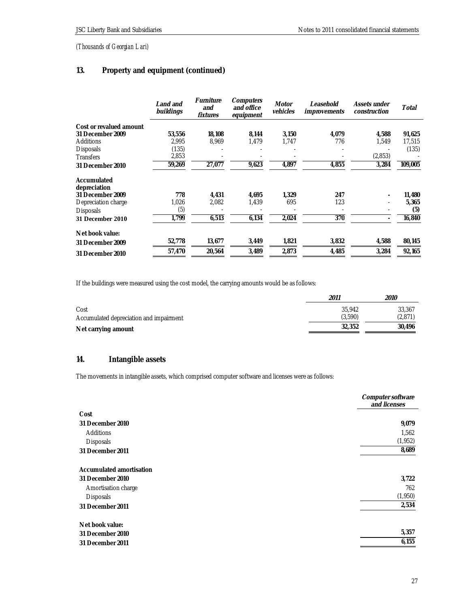# **13. Property and equipment (continued)**

|                             | Land and<br>buildings | Furniture<br>and<br>fixtures | Computers<br>and office<br>equipment | Motor<br>vehicles | Leasehold<br>improvements | Assets under<br>construction | Total   |
|-----------------------------|-----------------------|------------------------------|--------------------------------------|-------------------|---------------------------|------------------------------|---------|
| Cost or revalued amount     |                       |                              |                                      |                   |                           |                              |         |
| 31 December 2009            | 53,556                | 18,108                       | 8,144                                | 3,150             | 4,079                     | 4,588                        | 91,625  |
| Additions                   | 2,995                 | 8,969                        | 1,479                                | 1,747             | 776                       | 1.549                        | 17,515  |
| <b>Disposals</b>            | (135)                 |                              |                                      |                   |                           |                              | (135)   |
| <b>Transfers</b>            | 2,853                 |                              |                                      |                   |                           | (2,853)                      |         |
| 31 December 2010            | 59,269                | 27,077                       | 9,623                                | 4,897             | 4,855                     | 3,284                        | 109,005 |
| Accumulated<br>depreciation |                       |                              |                                      |                   |                           |                              |         |
| 31 December 2009            | 778                   | 4.431                        | 4.695                                | 1.329             | 247                       |                              | 11,480  |
| Depreciation charge         | 1,026                 | 2,082                        | 1,439                                | 695               | 123                       | ۰                            | 5,365   |
| <b>Disposals</b>            | (5)                   |                              |                                      |                   |                           |                              | (5)     |
| 31 December 2010            | 1.799                 | 6,513                        | 6,134                                | 2,024             | 370                       |                              | 16,840  |
| Net book value:             |                       |                              |                                      |                   |                           |                              |         |
| 31 December 2009            | 52,778                | 13,677                       | 3,449                                | 1,821             | 3,832                     | 4,588                        | 80,145  |
| 31 December 2010            | 57.470                | 20,564                       | 3,489                                | 2,873             | 4,485                     | 3,284                        | 92,165  |

If the buildings were measured using the cost model, the carrying amounts would be as follows:

|                                                 | 2011              | <i>2010</i>       |
|-------------------------------------------------|-------------------|-------------------|
| Cost<br>Accumulated depreciation and impairment | 35.942<br>(3.590) | 33,367<br>(2,871) |
| Net carrying amount                             | 32,352            | 30.496            |

# **14. Intangible assets**

The movements in intangible assets, which comprised computer software and licenses were as follows:

|                          | Computer software<br>and licenses |
|--------------------------|-----------------------------------|
| Cost                     |                                   |
| 31 December 2010         | 9,079                             |
| Additions                | 1,562                             |
| Disposals                | (1, 952)                          |
| 31 December 2011         | 8,689                             |
| Accumulated amortisation |                                   |
| 31 December 2010         | 3,722                             |
| Amortisation charge      | 762                               |
| Disposals                | (1,950)                           |
| 31 December 2011         | 2,534                             |
| Net book value:          |                                   |
| 31 December 2010         | 5,357                             |
| 31 December 2011         | 6,155                             |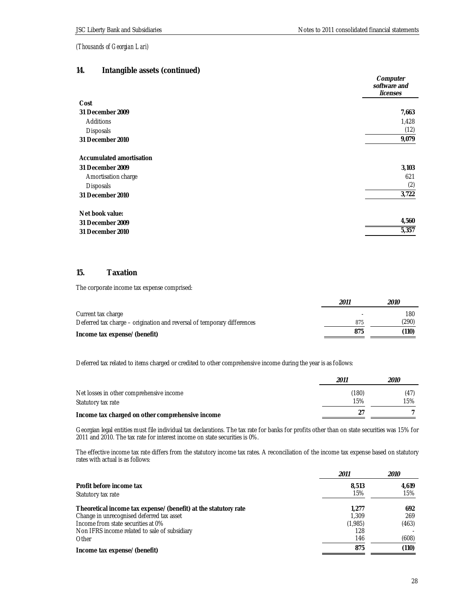# **14. Intangible assets (continued)**

| ັ                        | Computer<br>software and<br>licenses |
|--------------------------|--------------------------------------|
| Cost                     |                                      |
| 31 December 2009         | 7,663                                |
| Additions                | 1,428                                |
| Disposals                | (12)                                 |
| 31 December 2010         | 9,079                                |
| Accumulated amortisation |                                      |
| 31 December 2009         | 3,103                                |
| Amortisation charge      | 621                                  |
| Disposals                | (2)                                  |
| 31 December 2010         | 3,722                                |
| Net book value:          |                                      |
| 31 December 2009         | 4,560                                |
| 31 December 2010         | 5,357                                |

## **15. Taxation**

The corporate income tax expense comprised:

|                                                                         | 2011 | <i>2010</i> |
|-------------------------------------------------------------------------|------|-------------|
| Current tax charge                                                      |      | 180         |
| Deferred tax charge – origination and reversal of temporary differences | 875  | (290)       |
| Income tax expense/(benefit)                                            | 875  | (110)       |

Deferred tax related to items charged or credited to other comprehensive income during the year is as follows:

|                                                  | 2011  | 2010 |
|--------------------------------------------------|-------|------|
| Net losses in other comprehensive income         | (180) | (47) |
| Statutory tax rate                               | 15%   | 15%  |
| Income tax charged on other comprehensive income |       |      |

Georgian legal entities must file individual tax declarations. The tax rate for banks for profits other than on state securities was 15% for 2011 and 2010. The tax rate for interest income on state securities is 0%.

The effective income tax rate differs from the statutory income tax rates. A reconciliation of the income tax expense based on statutory rates with actual is as follows:

|                                                                | 2011    | <i>2010</i> |
|----------------------------------------------------------------|---------|-------------|
| Profit before income tax                                       | 8.513   | 4,619       |
| Statutory tax rate                                             | 15%     | 15%         |
| Theoretical income tax expense/(benefit) at the statutory rate | 1.277   | 692         |
| Change in unrecognised deferred tax asset                      | 1.309   | 269         |
| Income from state securities at 0%                             | (1,985) | (463)       |
| Non IFRS income related to sale of subsidiary                  | 128     |             |
| Other                                                          | 146     | (608)       |
| Income tax expense/(benefit)                                   | 875     | (110)       |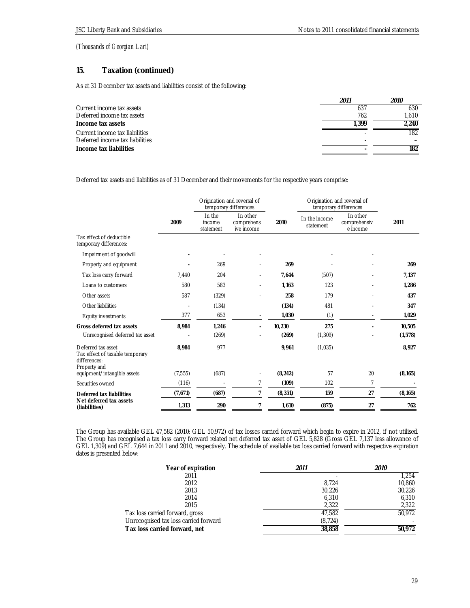## **15. Taxation (continued)**

As at 31 December tax assets and liabilities consist of the following:

|                                 | 2011 | 2010  |
|---------------------------------|------|-------|
| Current income tax assets       | 637  | 630   |
| Deferred income tax assets      | 762  | 1.610 |
| Income tax assets               | .399 | 2.240 |
| Current income tax liabilities  |      | 182   |
| Deferred income tax liabilities |      |       |
| Income tax liabilities          |      | 182   |

Deferred tax assets and liabilities as of 31 December and their movements for the respective years comprise:

|                                                                                       |          | Origination and reversal of<br>temporary differences |                                      | Origination and reversal of<br>temporary differences |                            |                                      |          |
|---------------------------------------------------------------------------------------|----------|------------------------------------------------------|--------------------------------------|------------------------------------------------------|----------------------------|--------------------------------------|----------|
|                                                                                       | 2009     | In the<br>income<br>statement                        | In other<br>comprehens<br>ive income | 2010                                                 | In the income<br>statement | In other<br>comprehensiv<br>e income | 2011     |
| Tax effect of deductible<br>temporary differences:                                    |          |                                                      |                                      |                                                      |                            |                                      |          |
| Impairment of goodwill                                                                |          |                                                      |                                      |                                                      |                            |                                      |          |
| Property and equipment                                                                |          | 269                                                  |                                      | 269                                                  |                            |                                      | 269      |
| Tax loss carry forward                                                                | 7,440    | 204                                                  | ٠                                    | 7,644                                                | (507)                      |                                      | 7,137    |
| Loans to customers                                                                    | 580      | 583                                                  | ٠                                    | 1.163                                                | 123                        |                                      | 1.286    |
| Other assets                                                                          | 587      | (329)                                                |                                      | 258                                                  | 179                        |                                      | 437      |
| Other liabilities                                                                     |          | (134)                                                |                                      | (134)                                                | 481                        |                                      | 347      |
| Equity investments                                                                    | 377      | 653                                                  | $\overline{a}$                       | 1,030                                                | (1)                        |                                      | 1,029    |
| Gross deferred tax assets                                                             | 8,984    | 1,246                                                | ٠                                    | 10,230                                               | 275                        |                                      | 10,505   |
| Unrecognised deferred tax asset                                                       |          | (269)                                                |                                      | (269)                                                | (1, 309)                   |                                      | (1, 578) |
| Deferred tax asset<br>Tax effect of taxable temporary<br>differences:<br>Property and | 8,984    | 977                                                  |                                      | 9,961                                                | (1,035)                    |                                      | 8,927    |
| equipment/intangible assets                                                           | (7, 555) | (687)                                                |                                      | (8, 242)                                             | 57                         | 20                                   | (8, 165) |
| Securities owned                                                                      | (116)    |                                                      | 7                                    | (109)                                                | 102                        | 7                                    |          |
| Deferred tax liabilities                                                              | (7,671)  | (687)                                                | 7                                    | (8, 351)                                             | 159                        | 27                                   | (8, 165) |
| Net deferred tax assets<br>(liabilities)                                              | 1,313    | 290                                                  | 7                                    | 1,610                                                | (875)                      | 27                                   | 762      |

The Group has available GEL 47,582 (2010: GEL 50,972) of tax losses carried forward which begin to expire in 2012, if not utilised. The Group has recognised a tax loss carry forward related net deferred tax asset of GEL 5,828 (Gross GEL 7,137 less allowance of GEL 1,309) and GEL 7,644 in 2011 and 2010, respectively. The schedule of available tax loss carried forward with respective expiration dates is presented below:

| Year of expiration                    | 2011     | <i>2010</i> |
|---------------------------------------|----------|-------------|
| 2011                                  |          | 1.254       |
| 2012                                  | 8.724    | 10,860      |
| 2013                                  | 30,226   | 30,226      |
| 2014                                  | 6.310    | 6,310       |
| 2015                                  | 2,322    | 2,322       |
| Tax loss carried forward, gross       | 47.582   | 50.972      |
| Unrecognised tax loss carried forward | (8, 724) |             |
| Tax loss carried forward, net         | 38,858   | 50,972      |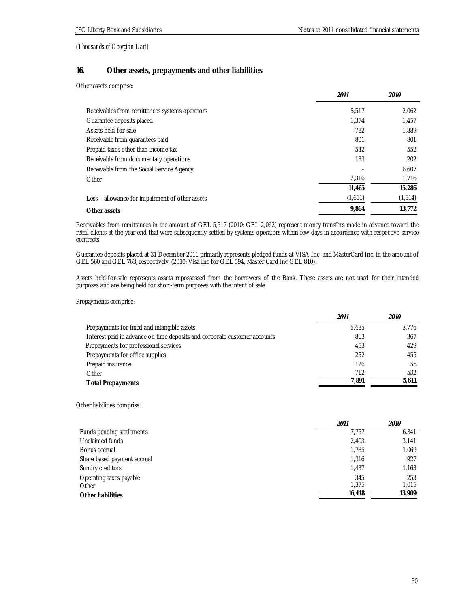## **16. Other assets, prepayments and other liabilities**

Other assets comprise:

|                                                 | 2011    | <i>2010</i> |
|-------------------------------------------------|---------|-------------|
| Receivables from remittances systems operators  | 5,517   | 2,062       |
| Guarantee deposits placed                       | 1.374   | 1,457       |
| Assets held-for-sale                            | 782     | 1,889       |
| Receivable from quarantees paid                 | 801     | 801         |
| Prepaid taxes other than income tax             | 542     | 552         |
| Receivable from documentary operations          | 133     | 202         |
| Receivable from the Social Service Agency       |         | 6,607       |
| Other                                           | 2,316   | 1,716       |
|                                                 | 11,465  | 15,286      |
| Less – allowance for impairment of other assets | (1,601) | (1,514)     |
| Other assets                                    | 9.864   | 13.772      |

Receivables from remittances in the amount of GEL 5,517 (2010: GEL 2,062) represent money transfers made in advance toward the retail clients at the year end that were subsequently settled by systems operators within few days in accordance with respective service contracts.

Guarantee deposits placed at 31 December 2011 primarily represents pledged funds at VISA Inc. and MasterCard Inc. in the amount of GEL 560 and GEL 763, respectively. (2010: Visa Inc for GEL 594, Master Card Inc GEL 810).

Assets held-for-sale represents assets repossessed from the borrowers of the Bank. These assets are not used for their intended purposes and are being held for short-term purposes with the intent of sale.

Prepayments comprise:

|                                                                           | 2011  | <i>2010</i> |
|---------------------------------------------------------------------------|-------|-------------|
| Prepayments for fixed and intangible assets                               | 5.485 | 3.776       |
| Interest paid in advance on time deposits and corporate customer accounts | 863   | 367         |
| Prepayments for professional services                                     | 453   | 429         |
| Prepayments for office supplies                                           | 252   | 455         |
| Prepaid insurance                                                         | 126   | 55          |
| Other                                                                     | 712   | 532         |
| <b>Total Prepayments</b>                                                  | 7.891 | 5.614       |

Other liabilities comprise:

|                             | 2011   | <i>2010</i> |
|-----------------------------|--------|-------------|
| Funds pending settlements   | 7.757  | 6,341       |
| Unclaimed funds             | 2,403  | 3,141       |
| Bonus accrual               | 1.785  | 1,069       |
| Share based payment accrual | 1,316  | 927         |
| Sundry creditors            | 1,437  | 1,163       |
| Operating taxes payable     | 345    | 253         |
| Other                       | 1.375  | 1,015       |
| Other liabilities           | 16,418 | 13.909      |
|                             |        |             |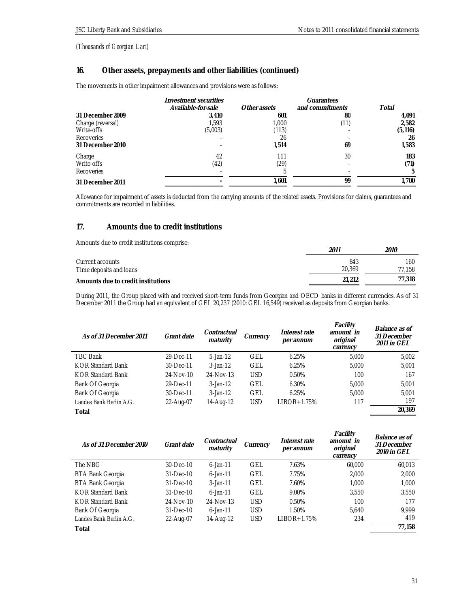# **16. Other assets, prepayments and other liabilities (continued)**

The movements in other impairment allowances and provisions were as follows:

|                   | Investment securities |              | Guarantees      |          |
|-------------------|-----------------------|--------------|-----------------|----------|
|                   | Available-for-sale    | Other assets | and commitments | Total    |
| 31 December 2009  | 3.410                 | 601          | 80              | 4.091    |
| Charge (reversal) | 1.593                 | 1.000        | (11)            | 2,582    |
| Write-offs        | (5,003)               | (113)        |                 | (5, 116) |
| Recoveries        |                       | 26           |                 | 26       |
| 31 December 2010  |                       | 1,514        | 69              | 1,583    |
| Charge            | 42                    | 111          | 30              | 183      |
| Write-offs        | (42)                  | (29)         |                 | (71)     |
| Recoveries        |                       | h            |                 | 5        |
| 31 December 2011  |                       | 1.601        | 99              | 1,700    |

Allowance for impairment of assets is deducted from the carrying amounts of the related assets. Provisions for claims, guarantees and commitments are recorded in liabilities.

# **17. Amounts due to credit institutions**

Amounts due to credit institutions comprise:

|                                    | 2011   | <i>2010</i> |
|------------------------------------|--------|-------------|
| Current accounts                   | 843    | 160         |
| Time deposits and loans            | 20.369 | 77.158      |
| Amounts due to credit institutions | 21.212 | 77.318      |

During 2011, the Group placed with and received short-term funds from Georgian and OECD banks in different currencies. As of 31 December 2011 the Group had an equivalent of GEL 20,237 (2010: GEL 16,549) received as deposits from Georgian banks.

| As of 31 December 2011   | Grant date | Contractual<br>maturity | Currency   | Interest rate<br>per annum | Facility<br>amount in<br>original<br>currency | Balance as of<br>31 December<br>2011 in GEL |
|--------------------------|------------|-------------------------|------------|----------------------------|-----------------------------------------------|---------------------------------------------|
| TBC Bank                 | 29-Dec-11  | $5 - Jan-12$            | GEL        | 6.25%                      | 5,000                                         | 5,002                                       |
| <b>KOR Standard Bank</b> | 30-Dec-11  | $3$ -Jan-12             | GEL        | 6.25%                      | 5.000                                         | 5,001                                       |
| <b>KOR Standard Bank</b> | 24-Nov-10  | 24-Nov-13               | <b>USD</b> | 0.50%                      | 100                                           | 167                                         |
| Bank Of Georgia          | 29-Dec-11  | $3$ -Jan-12             | GEL        | 6.30%                      | 5.000                                         | 5.001                                       |
| Bank Of Georgia          | 30-Dec-11  | $3$ -Jan-12             | <b>GEL</b> | 6.25%                      | 5.000                                         | 5.001                                       |
| Landes Bank Berlin A.G.  | 22-Aug-07  | 14-Aug-12               | <b>USD</b> | LIBOR+1.75%                | 117                                           | 197                                         |
| Total                    |            |                         |            |                            |                                               | 20.369                                      |

| As of 31 December 2010  | Grant date      | Contractual<br>maturity | Currency   | Interest rate<br>per annum | Facility<br>amount in<br>original<br>currency | Balance as of<br>31 December<br>2010 in GEL |
|-------------------------|-----------------|-------------------------|------------|----------------------------|-----------------------------------------------|---------------------------------------------|
| The NBG                 | $30 - Dec - 10$ | $6 - Jan - 11$          | <b>GEL</b> | 7.63%                      | 60,000                                        | 60,013                                      |
| <b>BTA Bank Georgia</b> | $31 - Dec - 10$ | $6$ -Jan-11             | GEL        | 7.75%                      | 2.000                                         | 2,000                                       |
| <b>BTA Bank Georgia</b> | $31 - Dec - 10$ | $3$ -Jan-11             | <b>GEL</b> | 7.60%                      | 1.000                                         | 1.000                                       |
| KOR Standard Bank       | $31 - Dec - 10$ | $6 - \text{lan} - 11$   | GEL        | 9.00%                      | 3,550                                         | 3,550                                       |
| KOR Standard Bank       | 24-Nov-10       | 24-Nov-13               | <b>USD</b> | 0.50%                      | 100                                           | 177                                         |
| Bank Of Georgia         | $31 - Dec - 10$ | $6$ -Jan-11             | <b>USD</b> | 1.50%                      | 5.640                                         | 9.999                                       |
| Landes Bank Berlin A.G. | 22-Aug-07       | 14-Aug-12               | <b>USD</b> | $LIBOR+1.75%$              | 234                                           | 419                                         |
| Total                   |                 |                         |            |                            |                                               | 77,158                                      |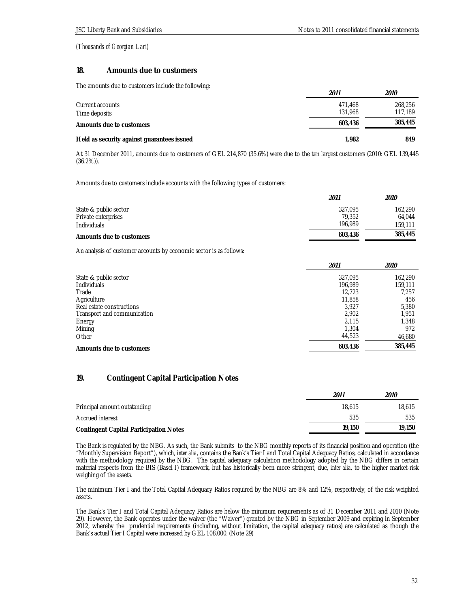## **18. Amounts due to customers**

The amounts due to customers include the following:

|                                            | 2011    | 2010    |
|--------------------------------------------|---------|---------|
| Current accounts                           | 471.468 | 268.256 |
| Time deposits                              | 131,968 | 117.189 |
| Amounts due to customers                   | 603,436 | 385,445 |
| Held as security against guarantees issued | 1.982   | 849     |

At 31 December 2011, amounts due to customers of GEL 214,870 (35.6%) were due to the ten largest customers (2010: GEL 139,445 (36.2%)).

Amounts due to customers include accounts with the following types of customers:

|                          | 2011    | 2010    |
|--------------------------|---------|---------|
| State & public sector    | 327.095 | 162.290 |
| Private enterprises      | 79.352  | 64.044  |
| <b>Individuals</b>       | 196.989 | 159.111 |
| Amounts due to customers | 603,436 | 385,445 |

An analysis of customer accounts by economic sector is as follows:

|                             | 2011    | <i>2010</i> |
|-----------------------------|---------|-------------|
| State & public sector       | 327,095 | 162,290     |
| <b>Individuals</b>          | 196.989 | 159,111     |
| Trade                       | 12.723  | 7,257       |
| Agriculture                 | 11,858  | 456         |
| Real estate constructions   | 3.927   | 5,380       |
| Transport and communication | 2,902   | 1.951       |
| Energy                      | 2.115   | 1.348       |
| Mining                      | 1.304   | 972         |
| Other                       | 44,523  | 46,680      |
| Amounts due to customers    | 603,436 | 385,445     |

# **19. Contingent Capital Participation Notes**

|                                        | 2011   | 2010   |
|----------------------------------------|--------|--------|
| Principal amount outstanding           | 18.615 | 18.615 |
| Accrued interest                       | 535    | 535    |
| Contingent Capital Participation Notes | 19,150 | 19.150 |

The Bank is regulated by the NBG. As such, the Bank submits to the NBG monthly reports of its financial position and operation (the "Monthly Supervision Report"), which, *inter alia*, contains the Bank's Tier I and Total Capital Adequacy Ratios, calculated in accordance with the methodology required by the NBG. The capital adequacy calculation methodology adopted by the NBG differs in certain material respects from the BIS (Basel I) framework, but has historically been more stringent, due, *inter alia*, to the higher market-risk weighing of the assets.

The minimum Tier I and the Total Capital Adequacy Ratios required by the NBG are 8% and 12%, respectively, of the risk weighted assets.

The Bank's Tier I and Total Capital Adequacy Ratios are below the minimum requirements as of 31 December 2011 and 2010 (Note 29). However, the Bank operates under the waiver (the "Waiver") granted by the NBG in September 2009 and expiring in September 2012, whereby the prudential requirements (including, without limitation, the capital adequacy ratios) are calculated as though the Bank's actual Tier I Capital were increased by GEL 108,000. (Note 29)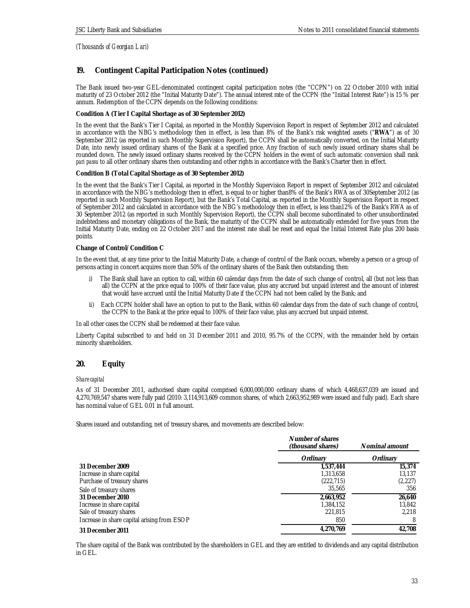# **19. Contingent Capital Participation Notes (continued)**

The Bank issued two-year GEL-denominated contingent capital participation notes (the "CCPN") on 22 October 2010 with initial maturity of 23 October 2012 (the "Initial Maturity Date"). The annual interest rate of the CCPN (the "Initial Interest Rate") is 15 % per annum. Redemption of the CCPN depends on the following conditions:

**Condition A (Tier I Capital Shortage as of 30 September 2012)** 

In the event that the Bank's Tier I Capital, as reported in the Monthly Supervision Report in respect of September 2012 and calculated in accordance with the NBG's methodology then in effect, is less than 8% of the Bank's risk weighted assets ("**RWA**") as of 30 September 2012 (as reported in such Monthly Supervision Report), the CCPN shall be automatically converted, on the Initial Maturity Date, into newly issued ordinary shares of the Bank at a specified price. Any fraction of such newly issued ordinary shares shall be rounded down. The newly issued ordinary shares received by the CCPN holders in the event of such automatic conversion shall rank *pari passu* to all other ordinary shares then outstanding and other rights in accordance with the Bank's Charter then in effect.

## **Condition B (Total Capital Shortage as of 30 September 2012)**

In the event that the Bank's Tier I Capital, as reported in the Monthly Supervision Report in respect of September 2012 and calculated in accordance with the NBG's methodology then in effect, is equal to or higher than8% of the Bank's RWA as of 30September 2012 (as reported in such Monthly Supervision Report), but the Bank's Total Capital, as reported in the Monthly Supervision Report in respect of September 2012 and calculated in accordance with the NBG's methodology then in effect, is less than12% of the Bank's RWA as of 30 September 2012 (as reported in such Monthly Supervision Report), the CCPN shall become subordinated to other unsubordinated indebtedness and monetary obligations of the Bank, the maturity of the CCPN shall be automatically extended for five years from the Initial Maturity Date, ending on 22 October 2017 and the interest rate shall be reset and equal the Initial Interest Rate plus 200 basis points.

#### **Change of Control/Condition C**

In the event that, at any time prior to the Initial Maturity Date, a change of control of the Bank occurs, whereby a person or a group of persons acting in concert acquires more than 50% of the ordinary shares of the Bank then outstanding, then:

- The Bank shall have an option to call, within 60 calendar days from the date of such change of control, all (but not less than all) the CCPN at the price equal to 100% of their face value, plus any accrued but unpaid interest and the amount of interest that would have accrued until the Initial Maturity Date if the CCPN had not been called by the Bank; and
- ii) Each CCPN holder shall have an option to put to the Bank, within 60 calendar days from the date of such change of control, the CCPN to the Bank at the price equal to 100% of their face value, plus any accrued but unpaid interest.

In all other cases the CCPN shall be redeemed at their face value.

Liberty Capital subscribed to and held on 31 December 2011 and 2010, 95.7% of the CCPN, with the remainder held by certain minority shareholders.

## **20. Equity**

## *Share capital*

As of 31 December 2011, authorised share capital comprised 6,000,000,000 ordinary shares of which 4,468,637,039 are issued and 4,270,769,547 shares were fully paid (2010: 3,114,913,609 common shares, of which 2,663,952,989 were issued and fully paid). Each share has nominal value of GEL 0.01 in full amount.

Shares issued and outstanding, net of treasury shares, and movements are described below:

|                                             | Number of shares<br>(thousand shares) | Nominal amount |
|---------------------------------------------|---------------------------------------|----------------|
|                                             | Ordinary                              | Ordinary       |
| 31 December 2009                            | 1,537,444                             | 15,374         |
| Increase in share capital                   | 1,313,658                             | 13,137         |
| Purchase of treasury shares                 | (222, 715)                            | (2,227)        |
| Sale of treasury shares                     | 35,565                                | 356            |
| 31 December 2010                            | 2,663,952                             | 26,640         |
| Increase in share capital                   | 1,384,152                             | 13,842         |
| Sale of treasury shares                     | 221,815                               | 2.218          |
| Increase in share capital arising from ESOP | 850                                   |                |
| 31 December 2011                            | 4,270,769                             | 42.708         |

The share capital of the Bank was contributed by the shareholders in GEL and they are entitled to dividends and any capital distribution in GEL.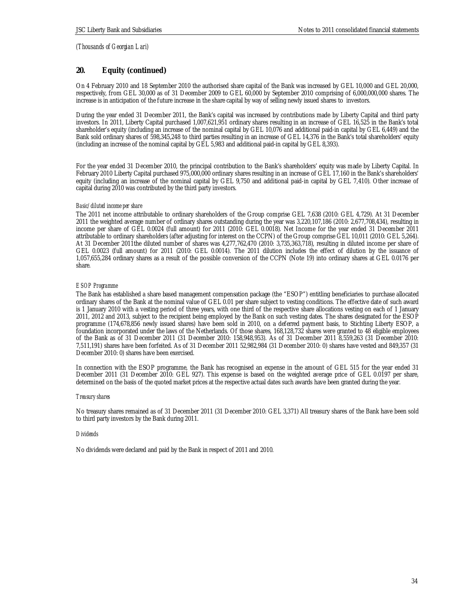## **20. Equity (continued)**

On 4 February 2010 and 18 September 2010 the authorised share capital of the Bank was increased by GEL 10,000 and GEL 20,000, respectively, from GEL 30,000 as of 31 December 2009 to GEL 60,000 by September 2010 comprising of 6,000,000,000 shares. The increase is in anticipation of the future increase in the share capital by way of selling newly issued shares to investors.

During the year ended 31 December 2011, the Bank's capital was increased by contributions made by Liberty Capital and third party investors. In 2011, Liberty Capital purchased 1,007,621,951 ordinary shares resulting in an increase of GEL 16,525 in the Bank's total shareholder's equity (including an increase of the nominal capital by GEL 10,076 and additional paid-in capital by GEL 6,449) and the Bank sold ordinary shares of 598,345,248 to third parties resulting in an increase of GEL 14,376 in the Bank's total shareholders' equity (including an increase of the nominal capital by GEL 5,983 and additional paid-in capital by GEL 8,393).

For the year ended 31 December 2010, the principal contribution to the Bank's shareholders' equity was made by Liberty Capital. In February 2010 Liberty Capital purchased 975,000,000 ordinary shares resulting in an increase of GEL 17,160 in the Bank's shareholders' equity (including an increase of the nominal capital by GEL 9,750 and additional paid-in capital by GEL 7,410). Other increase of capital during 2010 was contributed by the third party investors.

## *Basic/diluted income per share*

The 2011 net income attributable to ordinary shareholders of the Group comprise GEL 7,638 (2010: GEL 4,729). At 31 December 2011 the weighted average number of ordinary shares outstanding during the year was 3,220,107,186 (2010: 2,677,708,434), resulting in income per share of GEL 0.0024 (full amount) for 2011 (2010: GEL 0.0018). Net Income for the year ended 31 December 2011 attributable to ordinary shareholders (after adjusting for interest on the CCPN) of the Group comprise GEL 10,011 (2010: GEL 5,264). At 31 December 2011the diluted number of shares was 4,277,762,470 (2010: 3,735,363,718), resulting in diluted income per share of GEL 0.0023 (full amount) for 2011 (2010: GEL 0.0014). The 2011 dilution includes the effect of dilution by the issuance of 1,057,655,284 ordinary shares as a result of the possible conversion of the CCPN (Note 19) into ordinary shares at GEL 0.0176 per share.

## *ESOP Programme*

The Bank has established a share based management compensation package (the "ESOP") entitling beneficiaries to purchase allocated ordinary shares of the Bank at the nominal value of GEL 0.01 per share subject to vesting conditions. The effective date of such award is 1 January 2010 with a vesting period of three years, with one third of the respective share allocations vesting on each of 1 January 2011, 2012 and 2013, subject to the recipient being employed by the Bank on such vesting dates. The shares designated for the ESOP programme (174,678,856 newly issued shares) have been sold in 2010, on a deferred payment basis, to Stichting Liberty ESOP, a foundation incorporated under the laws of the Netherlands. Of those shares, 168,128,732 shares were granted to 48 eligible employees of the Bank as of 31 December 2011 (31 December 2010: 158,948,953). As of 31 December 2011 8,559,263 (31 December 2010: 7,511,191) shares have been forfeited. As of 31 December 2011 52,982,984 (31 December 2010: 0) shares have vested and 849,357 (31 December 2010: 0) shares have been exercised.

In connection with the ESOP programme, the Bank has recognised an expense in the amount of GEL 515 for the year ended 31 December 2011 (31 December 2010: GEL 927). This expense is based on the weighted average price of GEL 0.0197 per share, determined on the basis of the quoted market prices at the respective actual dates such awards have been granted during the year.

## *Treasury shares*

No treasury shares remained as of 31 December 2011 (31 December 2010: GEL 3,371) All treasury shares of the Bank have been sold to third party investors by the Bank during 2011.

## *Dividends*

No dividends were declared and paid by the Bank in respect of 2011 and 2010.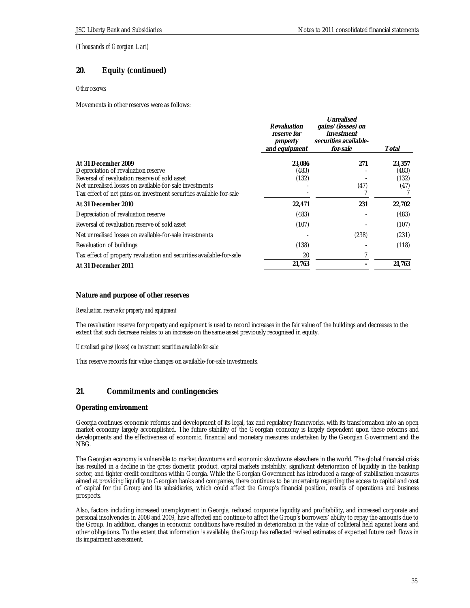# **20. Equity (continued)**

## *Other reserves*

Movements in other reserves were as follows:

|                                                                                                                                                                                                                                               | Revaluation<br>reserve for<br>property<br>and equipment | Unrealised<br>gains/(losses) on<br>investment<br>securities available-<br>for-sale | Total                            |
|-----------------------------------------------------------------------------------------------------------------------------------------------------------------------------------------------------------------------------------------------|---------------------------------------------------------|------------------------------------------------------------------------------------|----------------------------------|
| At 31 December 2009<br>Depreciation of revaluation reserve<br>Reversal of revaluation reserve of sold asset<br>Net unrealised losses on available-for-sale investments<br>Tax effect of net gains on investment securities available-for-sale | 23,086<br>(483)<br>(132)                                | 271<br>(47)                                                                        | 23,357<br>(483)<br>(132)<br>(47) |
| At 31 December 2010                                                                                                                                                                                                                           | 22,471                                                  | 231                                                                                | 22,702                           |
| Depreciation of revaluation reserve                                                                                                                                                                                                           | (483)                                                   |                                                                                    | (483)                            |
| Reversal of revaluation reserve of sold asset                                                                                                                                                                                                 | (107)                                                   |                                                                                    | (107)                            |
| Net unrealised losses on available-for-sale investments                                                                                                                                                                                       |                                                         | (238)                                                                              | (231)                            |
| Revaluation of buildings                                                                                                                                                                                                                      | (138)                                                   |                                                                                    | (118)                            |
| Tax effect of property revaluation and securities available-for-sale                                                                                                                                                                          | 20                                                      |                                                                                    |                                  |
| At 31 December 2011                                                                                                                                                                                                                           | 21,763                                                  |                                                                                    | 21.763                           |
|                                                                                                                                                                                                                                               |                                                         |                                                                                    |                                  |

## **Nature and purpose of other reserves**

*Revaluation reserve for property and equipment* 

The revaluation reserve for property and equipment is used to record increases in the fair value of the buildings and decreases to the extent that such decrease relates to an increase on the same asset previously recognised in equity.

*Unrealised gains/(losses) on investment securities available-for-sale* 

This reserve records fair value changes on available-for-sale investments.

## **21. Commitments and contingencies**

## **Operating environment**

Georgia continues economic reforms and development of its legal, tax and regulatory frameworks, with its transformation into an open market economy largely accomplished. The future stability of the Georgian economy is largely dependent upon these reforms and developments and the effectiveness of economic, financial and monetary measures undertaken by the Georgian Government and the NBG.

The Georgian economy is vulnerable to market downturns and economic slowdowns elsewhere in the world. The global financial crisis has resulted in a decline in the gross domestic product, capital markets instability, significant deterioration of liquidity in the banking sector, and tighter credit conditions within Georgia. While the Georgian Government has introduced a range of stabilisation measures aimed at providing liquidity to Georgian banks and companies, there continues to be uncertainty regarding the access to capital and cost of capital for the Group and its subsidiaries, which could affect the Group's financial position, results of operations and business prospects.

Also, factors including increased unemployment in Georgia, reduced corporate liquidity and profitability, and increased corporate and personal insolvencies in 2008 and 2009, have affected and continue to affect the Group's borrowers' ability to repay the amounts due to the Group. In addition, changes in economic conditions have resulted in deterioration in the value of collateral held against loans and other obligations. To the extent that information is available, the Group has reflected revised estimates of expected future cash flows in its impairment assessment.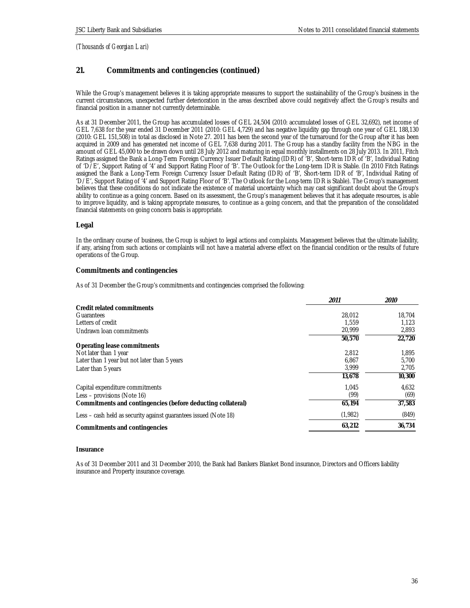# **21. Commitments and contingencies (continued)**

While the Group's management believes it is taking appropriate measures to support the sustainability of the Group's business in the current circumstances, unexpected further deterioration in the areas described above could negatively affect the Group's results and financial position in a manner not currently determinable.

As at 31 December 2011, the Group has accumulated losses of GEL 24,504 (2010: accumulated losses of GEL 32,692), net income of GEL 7,638 for the year ended 31 December 2011 (2010: GEL 4,729) and has negative liquidity gap through one year of GEL 188,130 (2010: GEL 151,508) in total as disclosed in Note 27. 2011 has been the second year of the turnaround for the Group after it has been acquired in 2009 and has generated net income of GEL 7,638 during 2011. The Group has a standby facility from the NBG in the amount of GEL 45,000 to be drawn down until 28 July 2012 and maturing in equal monthly installments on 28 July 2013. In 2011, Fitch Ratings assigned the Bank a Long-Term Foreign Currency Issuer Default Rating (IDR) of 'B', Short-term IDR of 'B', Individual Rating of 'D/E', Support Rating of '4' and Support Rating Floor of 'B'. The Outlook for the Long-term IDR is Stable. (In 2010 Fitch Ratings assigned the Bank a Long-Term Foreign Currency Issuer Default Rating (IDR) of 'B', Short-term IDR of 'B', Individual Rating of 'D/E', Support Rating of '4' and Support Rating Floor of 'B'. The Outlook for the Long-term IDR is Stable). The Group's management believes that these conditions do not indicate the existence of material uncertainty which may cast significant doubt about the Group's ability to continue as a going concern. Based on its assessment, the Group's management believes that it has adequate resources, is able to improve liquidity, and is taking appropriate measures, to continue as a going concern, and that the preparation of the consolidated financial statements on going concern basis is appropriate.

## **Legal**

In the ordinary course of business, the Group is subject to legal actions and complaints. Management believes that the ultimate liability, if any, arising from such actions or complaints will not have a material adverse effect on the financial condition or the results of future operations of the Group.

## **Commitments and contingencies**

As of 31 December the Group's commitments and contingencies comprised the following:

|                                                                  | 2011    | 2010   |
|------------------------------------------------------------------|---------|--------|
| Credit related commitments                                       |         |        |
| Guarantees                                                       | 28.012  | 18.704 |
| Letters of credit                                                | 1.559   | 1.123  |
| Undrawn Ioan commitments                                         | 20,999  | 2,893  |
|                                                                  | 50,570  | 22,720 |
| Operating lease commitments                                      |         |        |
| Not later than 1 year                                            | 2.812   | 1.895  |
| Later than 1 year but not later than 5 years                     | 6,867   | 5.700  |
| Later than 5 years                                               | 3,999   | 2,705  |
|                                                                  | 13,678  | 10,300 |
| Capital expenditure commitments                                  | 1.045   | 4,632  |
| Less – provisions (Note 16)                                      | (99)    | (69)   |
| Commitments and contingencies (before deducting collateral)      | 65.194  | 37,583 |
| Less – cash held as security against guarantees issued (Note 18) | (1,982) | (849)  |
| Commitments and contingencies                                    | 63.212  | 36,734 |

#### **Insurance**

As of 31 December 2011 and 31 December 2010, the Bank had Bankers Blanket Bond insurance, Directors and Officers liability insurance and Property insurance coverage.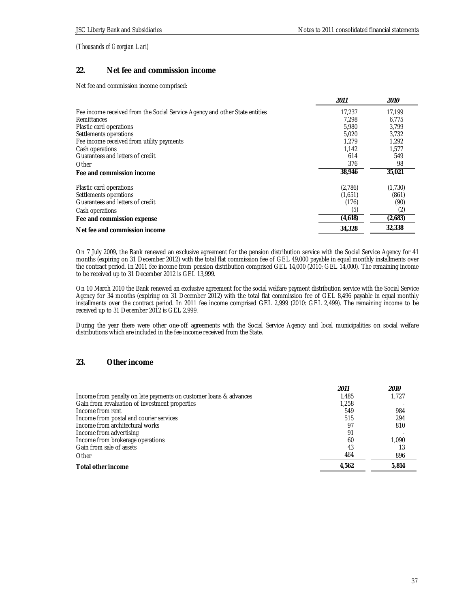# **22. Net fee and commission income**

Net fee and commission income comprised:

|                                                                             | 2011    | <i>2010</i> |
|-----------------------------------------------------------------------------|---------|-------------|
| Fee income received from the Social Service Agency and other State entities | 17.237  | 17,199      |
| Remittances                                                                 | 7.298   | 6,775       |
| Plastic card operations                                                     | 5.980   | 3.799       |
| Settlements operations                                                      | 5,020   | 3,732       |
| Fee income received from utility payments                                   | 1.279   | 1.292       |
| Cash operations                                                             | 1.142   | 1,577       |
| Guarantees and letters of credit                                            | 614     | 549         |
| Other                                                                       | 376     | 98          |
| Fee and commission income                                                   | 38,946  | 35,021      |
| Plastic card operations                                                     | (2,786) | (1,730)     |
| Settlements operations                                                      | (1,651) | (861)       |
| Guarantees and letters of credit                                            | (176)   | (90)        |
| Cash operations                                                             | (5)     | (2)         |
| Fee and commission expense                                                  | (4,618) | (2,683)     |
| Net fee and commission income                                               | 34,328  | 32,338      |

On 7 July 2009, the Bank renewed an exclusive agreement for the pension distribution service with the Social Service Agency for 41 months (expiring on 31 December 2012) with the total flat commission fee of GEL 49,000 payable in equal monthly installments over the contract period. In 2011 fee income from pension distribution comprised GEL 14,000 (2010: GEL 14,000). The remaining income to be received up to 31 December 2012 is GEL 13,999.

On 10 March 2010 the Bank renewed an exclusive agreement for the social welfare payment distribution service with the Social Service Agency for 34 months (expiring on 31 December 2012) with the total flat commission fee of GEL 8,496 payable in equal monthly installments over the contract period. In 2011 fee income comprised GEL 2,999 (2010: GEL 2,499). The remaining income to be received up to 31 December 2012 is GEL 2,999.

During the year there were other one-off agreements with the Social Service Agency and local municipalities on social welfare distributions which are included in the fee income received from the State.

## **23. Other income**

|                                                                   | 2011  | 2010  |
|-------------------------------------------------------------------|-------|-------|
| Income from penalty on late payments on customer loans & advances | 1.485 | 1.727 |
| Gain from revaluation of investment properties                    | 1.258 |       |
| Income from rent                                                  | 549   | 984   |
| Income from postal and courier services                           | 515   | 294   |
| Income from architectural works                                   | 97    | 810   |
| Income from advertising                                           | 91    |       |
| Income from brokerage operations                                  | 60    | 1.090 |
| Gain from sale of assets                                          | 43    |       |
| Other                                                             | 464   | 896   |
| Total other income                                                | 4.562 | 5.814 |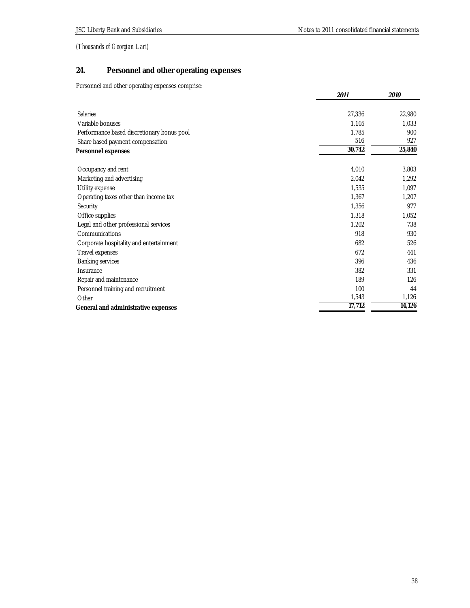# **24. Personnel and other operating expenses**

Personnel and other operating expenses comprise:

|                                            | 2011   | 2010   |
|--------------------------------------------|--------|--------|
|                                            |        |        |
| <b>Salaries</b>                            | 27,336 | 22,980 |
| Variable bonuses                           | 1,105  | 1,033  |
| Performance based discretionary bonus pool | 1,785  | 900    |
| Share based payment compensation           | 516    | 927    |
| Personnel expenses                         | 30,742 | 25,840 |
| Occupancy and rent                         | 4,010  | 3,803  |
| Marketing and advertising                  | 2,042  | 1,292  |
| Utility expense                            | 1,535  | 1,097  |
| Operating taxes other than income tax      | 1,367  | 1,207  |
| Security                                   | 1,356  | 977    |
| Office supplies                            | 1,318  | 1,052  |
| Legal and other professional services      | 1,202  | 738    |
| Communications                             | 918    | 930    |
| Corporate hospitality and entertainment    | 682    | 526    |
| Travel expenses                            | 672    | 441    |
| <b>Banking services</b>                    | 396    | 436    |
| Insurance                                  | 382    | 331    |
| Repair and maintenance                     | 189    | 126    |
| Personnel training and recruitment         | 100    | 44     |
| Other                                      | 1,543  | 1,126  |
| General and administrative expenses        | 17,712 | 14,126 |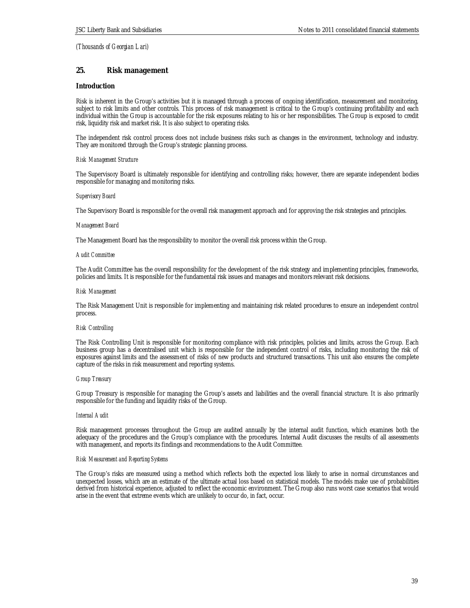## **25. Risk management**

## **Introduction**

Risk is inherent in the Group's activities but it is managed through a process of ongoing identification, measurement and monitoring, subject to risk limits and other controls. This process of risk management is critical to the Group's continuing profitability and each individual within the Group is accountable for the risk exposures relating to his or her responsibilities. The Group is exposed to credit risk, liquidity risk and market risk. It is also subject to operating risks.

The independent risk control process does not include business risks such as changes in the environment, technology and industry. They are monitored through the Group's strategic planning process.

#### *Risk Management Structure*

The Supervisory Board is ultimately responsible for identifying and controlling risks; however, there are separate independent bodies responsible for managing and monitoring risks.

#### *Supervisory Board*

The Supervisory Board is responsible for the overall risk management approach and for approving the risk strategies and principles.

#### *Management Board*

The Management Board has the responsibility to monitor the overall risk process within the Group.

#### *Audit Committee*

The Audit Committee has the overall responsibility for the development of the risk strategy and implementing principles, frameworks, policies and limits. It is responsible for the fundamental risk issues and manages and monitors relevant risk decisions.

#### *Risk Management*

The Risk Management Unit is responsible for implementing and maintaining risk related procedures to ensure an independent control process.

#### *Risk Controlling*

The Risk Controlling Unit is responsible for monitoring compliance with risk principles, policies and limits, across the Group. Each business group has a decentralised unit which is responsible for the independent control of risks, including monitoring the risk of exposures against limits and the assessment of risks of new products and structured transactions. This unit also ensures the complete capture of the risks in risk measurement and reporting systems.

#### *Group Treasury*

Group Treasury is responsible for managing the Group's assets and liabilities and the overall financial structure. It is also primarily responsible for the funding and liquidity risks of the Group.

#### *Internal Audit*

Risk management processes throughout the Group are audited annually by the internal audit function, which examines both the adequacy of the procedures and the Group's compliance with the procedures. Internal Audit discusses the results of all assessments with management, and reports its findings and recommendations to the Audit Committee.

#### *Risk Measurement and Reporting Systems*

The Group's risks are measured using a method which reflects both the expected loss likely to arise in normal circumstances and unexpected losses, which are an estimate of the ultimate actual loss based on statistical models. The models make use of probabilities derived from historical experience, adjusted to reflect the economic environment. The Group also runs worst case scenarios that would arise in the event that extreme events which are unlikely to occur do, in fact, occur.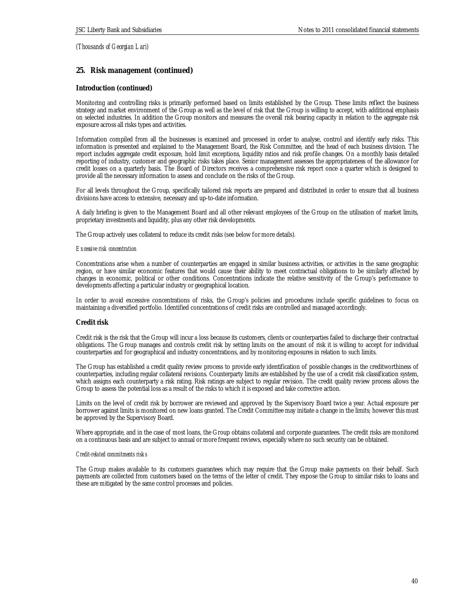## **25. Risk management (continued)**

## **Introduction (continued)**

Monitoring and controlling risks is primarily performed based on limits established by the Group. These limits reflect the business strategy and market environment of the Group as well as the level of risk that the Group is willing to accept, with additional emphasis on selected industries. In addition the Group monitors and measures the overall risk bearing capacity in relation to the aggregate risk exposure across all risks types and activities.

Information compiled from all the businesses is examined and processed in order to analyse, control and identify early risks. This information is presented and explained to the Management Board, the Risk Committee, and the head of each business division. The report includes aggregate credit exposure, hold limit exceptions, liquidity ratios and risk profile changes. On a monthly basis detailed reporting of industry, customer and geographic risks takes place. Senior management assesses the appropriateness of the allowance for credit losses on a quarterly basis. The Board of Directors receives a comprehensive risk report once a quarter which is designed to provide all the necessary information to assess and conclude on the risks of the Group.

For all levels throughout the Group, specifically tailored risk reports are prepared and distributed in order to ensure that all business divisions have access to extensive, necessary and up-to-date information.

A daily briefing is given to the Management Board and all other relevant employees of the Group on the utilisation of market limits, proprietary investments and liquidity, plus any other risk developments.

The Group actively uses collateral to reduce its credit risks (see below for more details).

#### *Excessive risk concentration*

Concentrations arise when a number of counterparties are engaged in similar business activities, or activities in the same geographic region, or have similar economic features that would cause their ability to meet contractual obligations to be similarly affected by changes in economic, political or other conditions. Concentrations indicate the relative sensitivity of the Group's performance to developments affecting a particular industry or geographical location.

In order to avoid excessive concentrations of risks, the Group's policies and procedures include specific guidelines to focus on maintaining a diversified portfolio. Identified concentrations of credit risks are controlled and managed accordingly.

#### **Credit risk**

Credit risk is the risk that the Group will incur a loss because its customers, clients or counterparties failed to discharge their contractual obligations. The Group manages and controls credit risk by setting limits on the amount of risk it is willing to accept for individual counterparties and for geographical and industry concentrations, and by monitoring exposures in relation to such limits.

The Group has established a credit quality review process to provide early identification of possible changes in the creditworthiness of counterparties, including regular collateral revisions. Counterparty limits are established by the use of a credit risk classification system, which assigns each counterparty a risk rating. Risk ratings are subject to regular revision. The credit quality review process allows the Group to assess the potential loss as a result of the risks to which it is exposed and take corrective action.

Limits on the level of credit risk by borrower are reviewed and approved by the Supervisory Board twice a year. Actual exposure per borrower against limits is monitored on new loans granted. The Credit Committee may initiate a change in the limits; however this must be approved by the Supervisory Board.

Where appropriate, and in the case of most loans, the Group obtains collateral and corporate guarantees. The credit risks are monitored on a continuous basis and are subject to annual or more frequent reviews, especially where no such security can be obtained.

#### *Credit-related commitments risks*

The Group makes available to its customers guarantees which may require that the Group make payments on their behalf. Such payments are collected from customers based on the terms of the letter of credit. They expose the Group to similar risks to loans and these are mitigated by the same control processes and policies.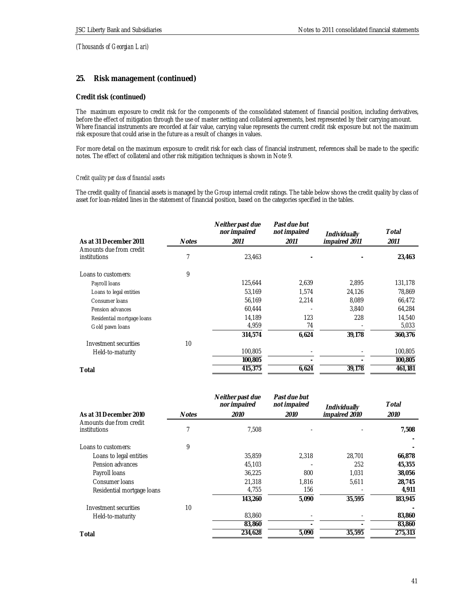## **25. Risk management (continued)**

## **Credit risk (continued)**

The maximum exposure to credit risk for the components of the consolidated statement of financial position, including derivatives, before the effect of mitigation through the use of master netting and collateral agreements, best represented by their carrying amount. Where financial instruments are recorded at fair value, carrying value represents the current credit risk exposure but not the maximum risk exposure that could arise in the future as a result of changes in values.

For more detail on the maximum exposure to credit risk for each class of financial instrument, references shall be made to the specific notes. The effect of collateral and other risk mitigation techniques is shown in Note 9.

## *Credit quality per class of financial assets*

The credit quality of financial assets is managed by the Group internal credit ratings. The table below shows the credit quality by class of asset for loan-related lines in the statement of financial position, based on the categories specified in the tables.

| As at 31 December 2011                  | <b>Notes</b> | Neither past due<br>nor impaired<br>2011 | Past due but<br>not impaired<br>2011 | Individually<br>impaired 2011 | Total<br>2011 |
|-----------------------------------------|--------------|------------------------------------------|--------------------------------------|-------------------------------|---------------|
| Amounts due from credit<br>institutions | 7            | 23.463                                   |                                      |                               | 23,463        |
| Loans to customers:                     | 9            |                                          |                                      |                               |               |
| Payroll Ioans                           |              | 125,644                                  | 2,639                                | 2,895                         | 131,178       |
| Loans to legal entities                 |              | 53,169                                   | 1,574                                | 24,126                        | 78,869        |
| Consumer Ioans                          |              | 56,169                                   | 2,214                                | 8,089                         | 66,472        |
| Pension advances                        |              | 60,444                                   |                                      | 3,840                         | 64,284        |
| Residential mortgage loans              |              | 14.189                                   | 123                                  | 228                           | 14,540        |
| Gold pawn loans                         |              | 4,959                                    | 74                                   |                               | 5,033         |
|                                         |              | 314,574                                  | 6,624                                | 39,178                        | 360,376       |
| Investment securities                   | 10           |                                          |                                      |                               |               |
| Held-to-maturity                        |              | 100,805                                  |                                      |                               | 100,805       |
|                                         |              | 100,805                                  |                                      |                               | 100,805       |
| Total                                   |              | 415,375                                  | 6,624                                | 39,178                        | 461,181       |

|                                         |       | Neither past due<br>nor impaired | Past due but<br>not impaired | Individually  | Total   |
|-----------------------------------------|-------|----------------------------------|------------------------------|---------------|---------|
| As at 31 December 2010                  | Notes | 2010                             | <i>2010</i>                  | impaired 2010 | 2010    |
| Amounts due from credit<br>institutions |       | 7.508                            |                              |               | 7,508   |
| Loans to customers:                     | 9     |                                  |                              |               |         |
| Loans to legal entities                 |       | 35,859                           | 2,318                        | 28,701        | 66,878  |
| Pension advances                        |       | 45,103                           |                              | 252           | 45,355  |
| Payroll loans                           |       | 36,225                           | 800                          | 1,031         | 38,056  |
| Consumer Joans                          |       | 21,318                           | 1,816                        | 5,611         | 28,745  |
| Residential mortgage loans              |       | 4,755                            | 156                          |               | 4,911   |
|                                         |       | 143,260                          | 5,090                        | 35,595        | 183,945 |
| Investment securities                   | 10    |                                  |                              |               |         |
| Held-to-maturity                        |       | 83,860                           |                              |               | 83,860  |
|                                         |       | 83,860                           |                              |               | 83,860  |
| Total                                   |       | 234,628                          | 5,090                        | 35,595        | 275,313 |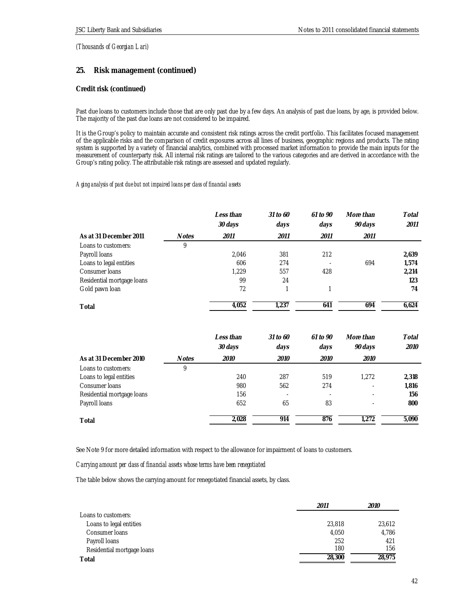## **25. Risk management (continued)**

## **Credit risk (continued)**

Past due loans to customers include those that are only past due by a few days. An analysis of past due loans, by age, is provided below. The majority of the past due loans are not considered to be impaired.

It is the Group's policy to maintain accurate and consistent risk ratings across the credit portfolio. This facilitates focused management of the applicable risks and the comparison of credit exposures across all lines of business, geographic regions and products. The rating system is supported by a variety of financial analytics, combined with processed market information to provide the main inputs for the measurement of counterparty risk. All internal risk ratings are tailored to the various categories and are derived in accordance with the Group's rating policy. The attributable risk ratings are assessed and updated regularly.

#### *Aging analysis of past due but not impaired loans per class of financial assets*

|                            |              | Less than<br>30 days | 31 to 60<br>days | $61$ to $90$<br>days | More than<br>90 days | Total<br>2011 |
|----------------------------|--------------|----------------------|------------------|----------------------|----------------------|---------------|
| As at 31 December 2011     | <b>Notes</b> | 2011                 | 2011             | 2011                 | 2011                 |               |
| Loans to customers:        | 9            |                      |                  |                      |                      |               |
| Payroll loans              |              | 2,046                | 381              | 212                  |                      | 2,639         |
| Loans to legal entities    |              | 606                  | 274              |                      | 694                  | 1,574         |
| Consumer Ioans             |              | 1.229                | 557              | 428                  |                      | 2,214         |
| Residential mortgage loans |              | 99                   | 24               |                      |                      | 123           |
| Gold pawn Ioan             |              | 72                   |                  |                      |                      | 74            |
| Total                      |              | 4,052                | 1.237            | 641                  | 694                  | 6,624         |

|                            |              | Less than<br>30 days | $31$ to 60<br>days | $61$ to $90$<br>days | More than<br>90 days | Total<br>2010 |
|----------------------------|--------------|----------------------|--------------------|----------------------|----------------------|---------------|
| As at 31 December 2010     | <b>Notes</b> | 2010                 | 2010               | 2010                 | 2010                 |               |
| Loans to customers:        | 9            |                      |                    |                      |                      |               |
| Loans to legal entities    |              | 240                  | 287                | 519                  | 1.272                | 2,318         |
| Consumer Ioans             |              | 980                  | 562                | 274                  | ٠                    | 1,816         |
| Residential mortgage loans |              | 156                  |                    |                      |                      | 156           |
| Payroll loans              |              | 652                  | 65                 | 83                   |                      | 800           |
| Total                      |              | 2.028                | 914                | 876                  | 1.272                | 5.090         |

See Note 9 for more detailed information with respect to the allowance for impairment of loans to customers.

## *Carrying amount per class of financial assets whose terms have been renegotiated*

The table below shows the carrying amount for renegotiated financial assets, by class.

|                            | 2011   | 2010   |  |
|----------------------------|--------|--------|--|
| Loans to customers:        |        |        |  |
| Loans to legal entities    | 23,818 | 23,612 |  |
| Consumer Ioans             | 4,050  | 4,786  |  |
| Payroll Ioans              | 252    | 421    |  |
| Residential mortgage loans | 180    | 156    |  |
| Total                      | 28,300 | 28.975 |  |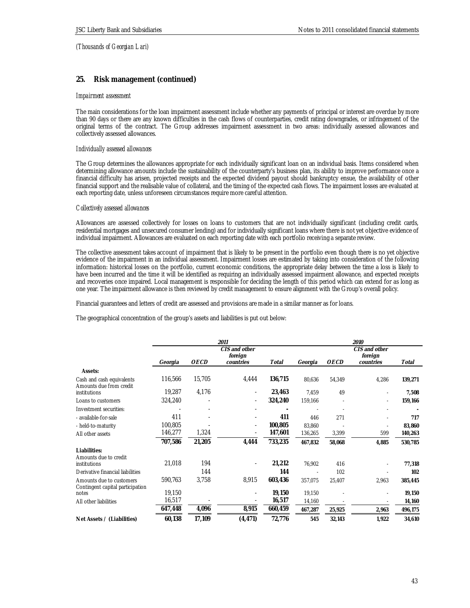## **25. Risk management (continued)**

## *Impairment assessment*

The main considerations for the loan impairment assessment include whether any payments of principal or interest are overdue by more than 90 days or there are any known difficulties in the cash flows of counterparties, credit rating downgrades, or infringement of the original terms of the contract. The Group addresses impairment assessment in two areas: individually assessed allowances and collectively assessed allowances.

#### *Individually assessed allowances*

The Group determines the allowances appropriate for each individually significant loan on an individual basis. Items considered when determining allowance amounts include the sustainability of the counterparty's business plan, its ability to improve performance once a financial difficulty has arisen, projected receipts and the expected dividend payout should bankruptcy ensue, the availability of other financial support and the realisable value of collateral, and the timing of the expected cash flows. The impairment losses are evaluated at each reporting date, unless unforeseen circumstances require more careful attention.

#### *Collectively assessed allowances*

Allowances are assessed collectively for losses on loans to customers that are not individually significant (including credit cards, residential mortgages and unsecured consumer lending) and for individually significant loans where there is not yet objective evidence of individual impairment. Allowances are evaluated on each reporting date with each portfolio receiving a separate review.

The collective assessment takes account of impairment that is likely to be present in the portfolio even though there is no yet objective evidence of the impairment in an individual assessment. Impairment losses are estimated by taking into consideration of the following information: historical losses on the portfolio, current economic conditions, the appropriate delay between the time a loss is likely to have been incurred and the time it will be identified as requiring an individually assessed impairment allowance, and expected receipts and recoveries once impaired. Local management is responsible for deciding the length of this period which can extend for as long as one year. The impairment allowance is then reviewed by credit management to ensure alignment with the Group's overall policy.

Financial guarantees and letters of credit are assessed and provisions are made in a similar manner as for loans.

The geographical concentration of the group's assets and liabilities is put out below:

|                                                              | 2011    |             |                              |         |                          | 2010        |           |         |  |
|--------------------------------------------------------------|---------|-------------|------------------------------|---------|--------------------------|-------------|-----------|---------|--|
|                                                              |         |             | CIS and other<br>foreign     |         | CIS and other<br>foreign |             |           |         |  |
|                                                              | Georgia | <b>OECD</b> | countries                    | Total   | Georgia                  | <b>OECD</b> | countries | Total   |  |
| Assets:                                                      |         |             |                              |         |                          |             |           |         |  |
| Cash and cash equivalents<br>Amounts due from credit         | 116,566 | 15,705      | 4,444                        | 136,715 | 80,636                   | 54,349      | 4,286     | 139,271 |  |
| institutions                                                 | 19,287  | 4,176       |                              | 23,463  | 7,459                    | 49          | ٠         | 7,508   |  |
| Loans to customers                                           | 324,240 |             | $\overline{\phantom{a}}$     | 324,240 | 159,166                  |             | ٠         | 159,166 |  |
| Investment securities:                                       |         |             |                              |         |                          |             |           |         |  |
| - available-for-sale                                         | 411     |             |                              | 411     | 446                      | 271         | ä,        | 717     |  |
| - held-to-maturity                                           | 100,805 |             | $\overline{\phantom{a}}$     | 100,805 | 83,860                   |             |           | 83,860  |  |
| All other assets                                             | 146,277 | 1,324       | $\qquad \qquad \blacksquare$ | 147,601 | 136,265                  | 3,399       | 599       | 140,263 |  |
|                                                              | 707,586 | 21,205      | 4,444                        | 733,235 | 467,832                  | 58,068      | 4,885     | 530,785 |  |
| Liabilities:                                                 |         |             |                              |         |                          |             |           |         |  |
| Amounts due to credit<br>institutions                        | 21,018  | 194         |                              | 21,212  | 76,902                   | 416         |           | 77,318  |  |
| Derivative financial liabilities                             |         | 144         |                              | 144     |                          | 102         |           | 102     |  |
| Amounts due to customers<br>Contingent capital participation | 590,763 | 3,758       | 8,915                        | 603,436 | 357,075                  | 25,407      | 2,963     | 385,445 |  |
| notes                                                        | 19,150  |             |                              | 19,150  | 19,150                   |             |           | 19,150  |  |
| All other liabilities                                        | 16,517  |             |                              | 16,517  | 14,160                   |             |           | 14,160  |  |
|                                                              | 647,448 | 4,096       | 8,915                        | 660,459 | 467,287                  | 25,925      | 2,963     | 496,175 |  |
| Net Assets / (Liabilities)                                   | 60,138  | 17,109      | (4, 471)                     | 72,776  | 545                      | 32,143      | 1,922     | 34,610  |  |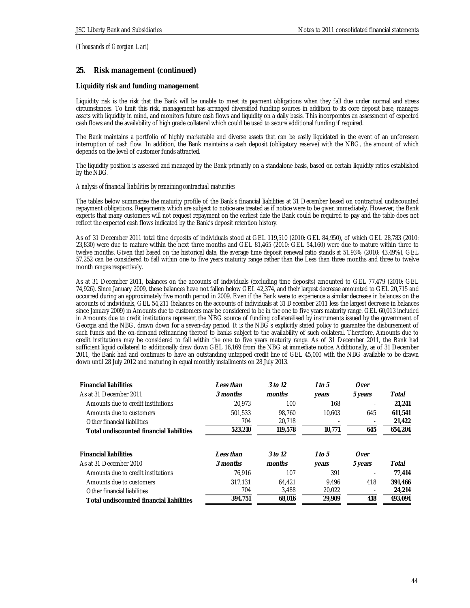## **25. Risk management (continued)**

## **Liquidity risk and funding management**

Liquidity risk is the risk that the Bank will be unable to meet its payment obligations when they fall due under normal and stress circumstances. To limit this risk, management has arranged diversified funding sources in addition to its core deposit base, manages assets with liquidity in mind, and monitors future cash flows and liquidity on a daily basis. This incorporates an assessment of expected cash flows and the availability of high grade collateral which could be used to secure additional funding if required.

The Bank maintains a portfolio of highly marketable and diverse assets that can be easily liquidated in the event of an unforeseen interruption of cash flow. In addition, the Bank maintains a cash deposit (obligatory reserve) with the NBG, the amount of which depends on the level of customer funds attracted.

The liquidity position is assessed and managed by the Bank primarily on a standalone basis, based on certain liquidity ratios established by the NBG.

#### *Analysis of financial liabilities by remaining contractual maturities*

The tables below summarise the maturity profile of the Bank's financial liabilities at 31 December based on contractual undiscounted repayment obligations. Repayments which are subject to notice are treated as if notice were to be given immediately. However, the Bank expects that many customers will not request repayment on the earliest date the Bank could be required to pay and the table does not reflect the expected cash flows indicated by the Bank's deposit retention history.

As of 31 December 2011 total time deposits of individuals stood at GEL 119,510 (2010: GEL 84,950), of which GEL 28,783 (2010: 23,830) were due to mature within the next three months and GEL 81,465 (2010: GEL 54,160) were due to mature within three to twelve months. Given that based on the historical data, the average time deposit renewal ratio stands at 51.93% (2010: 43.49%), GEL 57,252 can be considered to fall within one to five years maturity range rather than the Less than three months and three to twelve month ranges respectively.

As at 31 December 2011, balances on the accounts of individuals (excluding time deposits) amounted to GEL 77,479 (2010: GEL 74,926). Since January 2009, these balances have not fallen below GEL 42,374, and their largest decrease amounted to GEL 20,715 and occurred during an approximately five month period in 2009. Even if the Bank were to experience a similar decrease in balances on the accounts of individuals, GEL 54,211 (balances on the accounts of individuals at 31 December 2011 less the largest decrease in balances since January 2009) in Amounts due to customers may be considered to be in the one to five years maturity range. GEL 60,013 included in Amounts due to credit institutions represent the NBG source of funding collateralised by instruments issued by the government of Georgia and the NBG, drawn down for a seven-day period. It is the NBG's explicitly stated policy to guarantee the disbursement of such funds and the on-demand refinancing thereof to banks subject to the availability of such collateral. Therefore, Amounts due to credit institutions may be considered to fall within the one to five years maturity range. As of 31 December 2011, the Bank had sufficient liquid collateral to additionally draw down GEL 16,169 from the NBG at immediate notice. Additionally, as of 31 December 2011, the Bank had and continues to have an outstanding untapped credit line of GEL 45,000 with the NBG available to be drawn down until 28 July 2012 and maturing in equal monthly installments on 28 July 2013.

| <b>Financial liabilities</b>             | Less than | 3 to 12 | 1 to 5 | Over                     |         |
|------------------------------------------|-----------|---------|--------|--------------------------|---------|
| As at 31 December 2011                   | 3 months  | months  | years  | 5 years                  | Total   |
| Amounts due to credit institutions       | 20.973    | 100     | 168    |                          | 21.241  |
| Amounts due to customers                 | 501.533   | 98.760  | 10.603 | 645                      | 611.541 |
| Other financial liabilities              | 704       | 20.718  |        | $\overline{\phantom{a}}$ | 21,422  |
| Total undiscounted financial liabilities | 523,210   | 119,578 | 10,771 | 645                      | 654,204 |
|                                          |           |         |        |                          |         |
| <b>Financial liabilities</b>             | Less than | 3 to 12 | 1 to 5 | Over                     |         |
| As at 31 December 2010                   | 3 months  | months  | years  | 5 years                  | Total   |
| Amounts due to credit institutions       | 76.916    | 107     | 391    |                          | 77.414  |
| Amounts due to customers                 | 317.131   | 64.421  | 9.496  | 418                      | 391,466 |
| Other financial liabilities              | 704       | 3.488   | 20,022 | $\blacksquare$           | 24,214  |
| Total undiscounted financial liabilities | 394.751   | 68.016  | 29.909 | 418                      | 493.094 |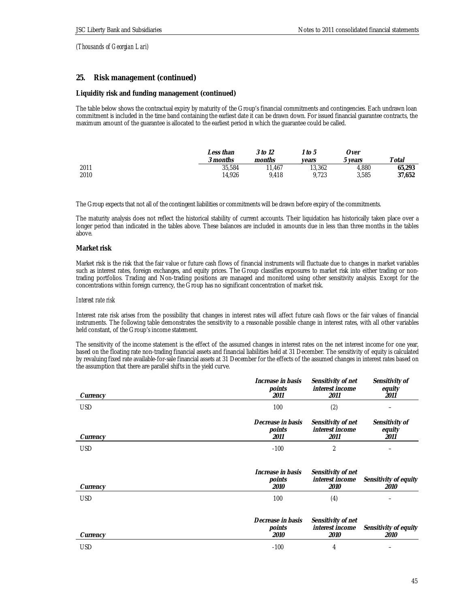# **25. Risk management (continued)**

## **Liquidity risk and funding management (continued)**

The table below shows the contractual expiry by maturity of the Group's financial commitments and contingencies. Each undrawn loan commitment is included in the time band containing the earliest date it can be drawn down. For issued financial guarantee contracts, the maximum amount of the guarantee is allocated to the earliest period in which the guarantee could be called.

|      | ∟ess than<br>3 months | 3 to 12<br>months | $^{\prime}$ to 5<br>vears | Over<br>vears | Total  |
|------|-----------------------|-------------------|---------------------------|---------------|--------|
| 2011 | 35,584                | 11.467            | 13,362                    | 4.880         | 65.293 |
| 2010 | 14.926                | 9.418             | 9.723                     | 3.585         | 37,652 |

The Group expects that not all of the contingent liabilities or commitments will be drawn before expiry of the commitments.

The maturity analysis does not reflect the historical stability of current accounts. Their liquidation has historically taken place over a longer period than indicated in the tables above. These balances are included in amounts due in less than three months in the tables above.

#### **Market risk**

Market risk is the risk that the fair value or future cash flows of financial instruments will fluctuate due to changes in market variables such as interest rates, foreign exchanges, and equity prices. The Group classifies exposures to market risk into either trading or nontrading portfolios. Trading and Non-trading positions are managed and monitored using other sensitivity analysis. Except for the concentrations within foreign currency, the Group has no significant concentration of market risk.

## *Interest rate risk*

Interest rate risk arises from the possibility that changes in interest rates will affect future cash flows or the fair values of financial instruments. The following table demonstrates the sensitivity to a reasonable possible change in interest rates, with all other variables held constant, of the Group's income statement.

The sensitivity of the income statement is the effect of the assumed changes in interest rates on the net interest income for one year, based on the floating rate non-trading financial assets and financial liabilities held at 31 December. The sensitivity of equity is calculated by revaluing fixed rate available-for-sale financial assets at 31 December for the effects of the assumed changes in interest rates based on the assumption that there are parallel shifts in the yield curve.

| Currency   | Increase in basis<br>points<br>2011 | Sensitivity of net<br>interest income<br>2011 | Sensitivity of<br>equity<br>2011 |
|------------|-------------------------------------|-----------------------------------------------|----------------------------------|
| <b>USD</b> | 100                                 | (2)                                           |                                  |
| Currency   | Decrease in basis<br>points<br>2011 | Sensitivity of net<br>interest income<br>2011 | Sensitivity of<br>equity<br>2011 |
| <b>USD</b> | $-100$                              | $\overline{2}$                                |                                  |
| Currency   | Increase in basis<br>points<br>2010 | Sensitivity of net<br>interest income<br>2010 | Sensitivity of equity<br>2010    |
| <b>USD</b> | 100                                 | (4)                                           |                                  |
|            | Decrease in basis<br>points         | Sensitivity of net<br>interest income         | Sensitivity of equity            |
| Currency   | 2010                                | 2010                                          | <i>2010</i>                      |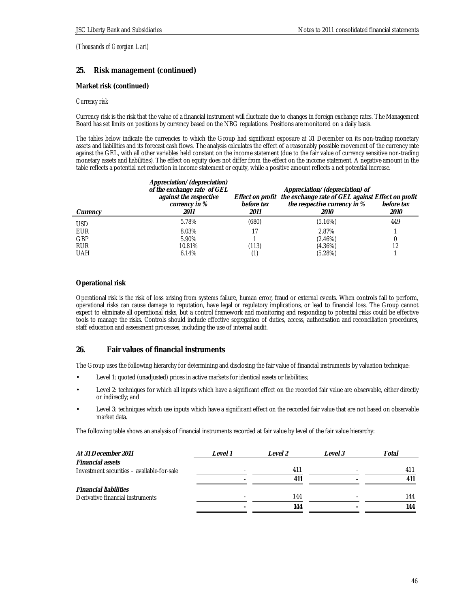## **25. Risk management (continued)**

## **Market risk (continued)**

## *Currency risk*

Currency risk is the risk that the value of a financial instrument will fluctuate due to changes in foreign exchange rates. The Management Board has set limits on positions by currency based on the NBG regulations. Positions are monitored on a daily basis.

The tables below indicate the currencies to which the Group had significant exposure at 31 December on its non-trading monetary assets and liabilities and its forecast cash flows. The analysis calculates the effect of a reasonably possible movement of the currency rate against the GEL, with all other variables held constant on the income statement (due to the fair value of currency sensitive non-trading monetary assets and liabilities). The effect on equity does not differ from the effect on the income statement. A negative amount in the table reflects a potential net reduction in income statement or equity, while a positive amount reflects a net potential increase.

|            | Appreciation/(depreciation)<br>of the exchange rate of GEL |            | Appreciation/(depreciation) of                                     |             |
|------------|------------------------------------------------------------|------------|--------------------------------------------------------------------|-------------|
|            | against the respective                                     |            | Effect on profit the exchange rate of GEL against Effect on profit |             |
|            | currency in %                                              | before tax | the respective currency in %                                       | before tax  |
| Currency   | 2011                                                       | 2011       | <i>2010</i>                                                        | <i>2010</i> |
| USD.       | 5.78%                                                      | (680)      | (5.16%)                                                            | 449         |
| <b>EUR</b> | 8.03%                                                      |            | 2.87%                                                              |             |
| <b>GBP</b> | 5.90%                                                      |            | $(2.46\%)$                                                         |             |
| <b>RUR</b> | 10.81%                                                     | (113)      | $(4.36\%)$                                                         | 12          |
| <b>UAH</b> | 6.14%                                                      |            | (5.28%)                                                            |             |

## **Operational risk**

Operational risk is the risk of loss arising from systems failure, human error, fraud or external events. When controls fail to perform, operational risks can cause damage to reputation, have legal or regulatory implications, or lead to financial loss. The Group cannot expect to eliminate all operational risks, but a control framework and monitoring and responding to potential risks could be effective tools to manage the risks. Controls should include effective segregation of duties, access, authorisation and reconciliation procedures, staff education and assessment processes, including the use of internal audit.

## **26. Fair values of financial instruments**

The Group uses the following hierarchy for determining and disclosing the fair value of financial instruments by valuation technique:

- Level 1: quoted (unadjusted) prices in active markets for identical assets or liabilities;
- Level 2: techniques for which all inputs which have a significant effect on the recorded fair value are observable, either directly or indirectly; and
- Level 3: techniques which use inputs which have a significant effect on the recorded fair value that are not based on observable market data.

The following table shows an analysis of financial instruments recorded at fair value by level of the fair value hierarchy:

| At 31 December 2011                        | Level 1 | Level 2 | Level 3 | Total |
|--------------------------------------------|---------|---------|---------|-------|
| <b>Financial assets</b>                    |         |         |         |       |
| Investment securities – available-for-sale |         | 411     |         | 411   |
|                                            |         | 411     |         | 411   |
| <b>Financial liabilities</b>               |         |         |         |       |
| Derivative financial instruments           |         | 144     |         | 144   |
|                                            |         | 144     |         | 144   |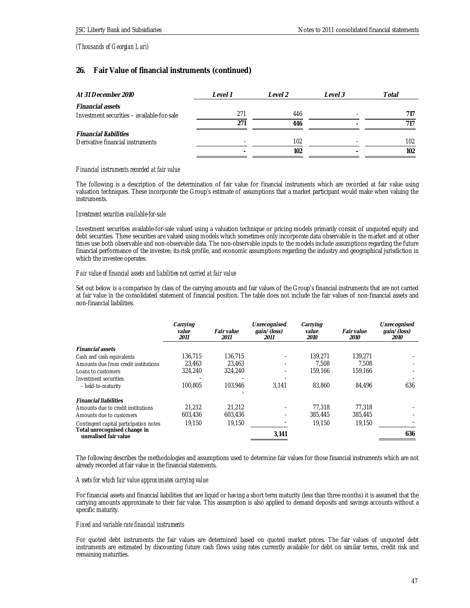# **26. Fair Value of financial instruments (continued)**

| At 31 December 2010                        | Level 1 | Level 2 | Level 3 | Total |
|--------------------------------------------|---------|---------|---------|-------|
| <b>Financial assets</b>                    |         |         |         |       |
| Investment securities – available-for-sale | 271     | 446     |         |       |
|                                            | 271     | 446     |         |       |
| <b>Financial liabilities</b>               |         |         |         |       |
| Derivative financial instruments           |         | 102     |         | 102   |
|                                            |         | 102     |         | 102   |

## *Financial instruments recorded at fair value*

The following is a description of the determination of fair value for financial instruments which are recorded at fair value using valuation techniques. These incorporate the Group's estimate of assumptions that a market participant would make when valuing the instruments.

## *Investment securities available-for-sale*

Investment securities available-for-sale valued using a valuation technique or pricing models primarily consist of unquoted equity and debt securities. These securities are valued using models which sometimes only incorporate data observable in the market and at other times use both observable and non-observable data. The non-observable inputs to the models include assumptions regarding the future financial performance of the investee, its risk profile, and economic assumptions regarding the industry and geographical jurisdiction in which the investee operates.

## *Fair value of financial assets and liabilities not carried at fair value*

Set out below is a comparison by class of the carrying amounts and fair values of the Group's financial instruments that are not carried at fair value in the consolidated statement of financial position. The table does not include the fair values of non-financial assets and non-financial liabilities.

|                                                       | Carrying<br>value<br>2011 | Fair value<br>2011 | Unrecognised<br>$qain/$ (loss)<br>2011 | Carrying<br>value<br>2010 | Fair value<br>2010 | Unrecognised<br>gain/(loss)<br>2010 |
|-------------------------------------------------------|---------------------------|--------------------|----------------------------------------|---------------------------|--------------------|-------------------------------------|
| <b>Financial assets</b>                               |                           |                    |                                        |                           |                    |                                     |
| Cash and cash equivalents                             | 136.715                   | 136.715            |                                        | 139,271                   | 139.271            |                                     |
| Amounts due from credit institutions                  | 23.463                    | 23.463             |                                        | 7.508                     | 7.508              |                                     |
| Loans to customers                                    | 324,240                   | 324,240            |                                        | 159.166                   | 159.166            |                                     |
| Investment securities:                                |                           |                    |                                        |                           |                    |                                     |
| - held-to-maturity                                    | 100.805                   | 103.946            | 3.141                                  | 83.860                    | 84.496             | 636                                 |
| <b>Financial liabilities</b>                          |                           |                    |                                        |                           |                    |                                     |
| Amounts due to credit institutions                    | 21,212                    | 21.212             |                                        | 77.318                    | 77.318             |                                     |
| Amounts due to customers                              | 603.436                   | 603.436            |                                        | 385,445                   | 385,445            |                                     |
| Contingent capital participation notes                | 19.150                    | 19.150             |                                        | 19.150                    | 19.150             |                                     |
| Total unrecognised change in<br>unrealised fair value |                           |                    | 3,141                                  |                           |                    | 636                                 |

The following describes the methodologies and assumptions used to determine fair values for those financial instruments which are not already recorded at fair value in the financial statements.

## *Assets for which fair value approximates carrying value*

For financial assets and financial liabilities that are liquid or having a short term maturity (less than three months) it is assumed that the carrying amounts approximate to their fair value. This assumption is also applied to demand deposits and savings accounts without a specific maturity.

## *Fixed and variable rate financial instruments*

For quoted debt instruments the fair values are determined based on quoted market prices. The fair values of unquoted debt instruments are estimated by discounting future cash flows using rates currently available for debt on similar terms, credit risk and remaining maturities.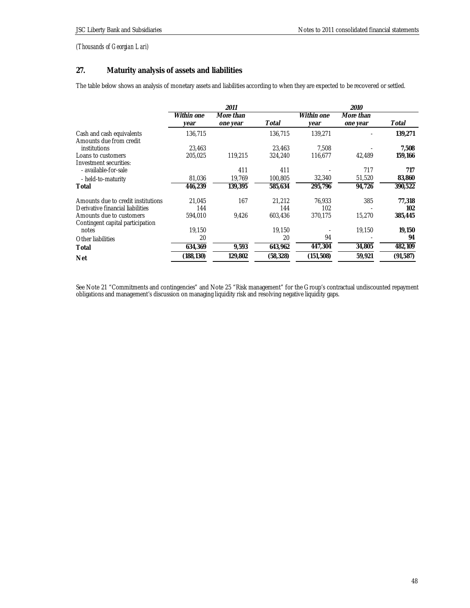# **27. Maturity analysis of assets and liabilities**

The table below shows an analysis of monetary assets and liabilities according to when they are expected to be recovered or settled.

|                                                      |                    | 2011                  |           |                    | 2010                  |          |
|------------------------------------------------------|--------------------|-----------------------|-----------|--------------------|-----------------------|----------|
|                                                      | Within one<br>year | More than<br>one year | Total     | Within one<br>year | More than<br>one year | Total    |
| Cash and cash equivalents<br>Amounts due from credit | 136,715            |                       | 136,715   | 139,271            |                       | 139,271  |
| institutions                                         | 23.463             |                       | 23.463    | 7.508              |                       | 7.508    |
| Loans to customers                                   | 205,025            | 119,215               | 324,240   | 116,677            | 42,489                | 159,166  |
| Investment securities:                               |                    |                       |           |                    |                       |          |
| - available-for-sale                                 |                    | 411                   | 411       |                    | 717                   | 717      |
| - held-to-maturity                                   | 81,036             | 19,769                | 100,805   | 32,340             | 51,520                | 83,860   |
| Total                                                | 446,239            | 139,395               | 585,634   | 295,796            | 94,726                | 390,522  |
| Amounts due to credit institutions                   | 21.045             | 167                   | 21,212    | 76.933             | 385                   | 77,318   |
| Derivative financial liabilities                     | 144                |                       | 144       | 102                |                       | 102      |
| Amounts due to customers                             | 594,010            | 9,426                 | 603,436   | 370,175            | 15,270                | 385,445  |
| Contingent capital participation                     |                    |                       |           |                    |                       |          |
| notes                                                | 19,150             |                       | 19.150    |                    | 19,150                | 19,150   |
| Other liabilities                                    | 20                 |                       | 20        | 94                 |                       | 94       |
| Total                                                | 634,369            | 9,593                 | 643,962   | 447,304            | 34,805                | 482,109  |
| <b>Net</b>                                           | (188,130)          | 129,802               | (58, 328) | (151,508)          | 59,921                | (91,587) |

See Note 21 "Commitments and contingencies" and Note 25 "Risk management" for the Group's contractual undiscounted repayment obligations and management's discussion on managing liquidity risk and resolving negative liquidity gaps.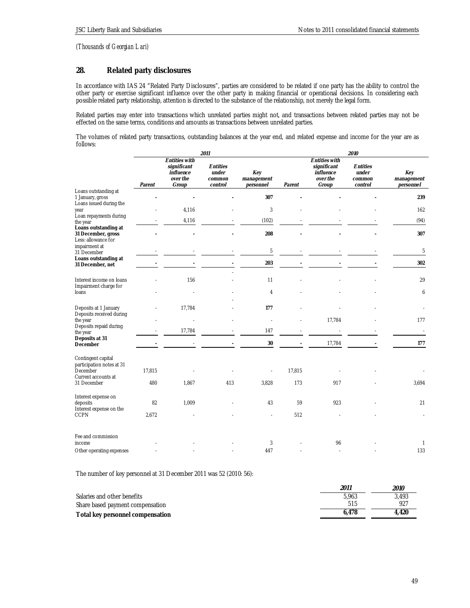# **28. Related party disclosures**

In accordance with IAS 24 "Related Party Disclosures", parties are considered to be related if one party has the ability to control the other party or exercise significant influence over the other party in making financial or operational decisions. In considering each possible related party relationship, attention is directed to the substance of the relationship, not merely the legal form.

Related parties may enter into transactions which unrelated parties might not, and transactions between related parties may not be effected on the same terms, conditions and amounts as transactions between unrelated parties.

The volumes of related party transactions, outstanding balances at the year end, and related expense and income for the year are as follows:

|                                                                   | 2011   |                                                                       |                                        |                                |        | <i>2010</i>                                                           |                                        |                                |  |
|-------------------------------------------------------------------|--------|-----------------------------------------------------------------------|----------------------------------------|--------------------------------|--------|-----------------------------------------------------------------------|----------------------------------------|--------------------------------|--|
|                                                                   | Parent | <b>Entities with</b><br>significant<br>influence<br>over the<br>Group | Entities<br>under<br>common<br>control | Key<br>management<br>personnel | Parent | <b>Entities with</b><br>significant<br>influence<br>over the<br>Group | Entities<br>under<br>common<br>control | Key<br>management<br>personnel |  |
| Loans outstanding at<br>1 January, gross                          |        |                                                                       |                                        | 307                            |        |                                                                       |                                        | 239                            |  |
| Loans issued during the<br>year                                   |        | 4,116                                                                 |                                        | 3                              |        |                                                                       |                                        | 162                            |  |
| Loan repayments during<br>the year                                |        | 4,116                                                                 |                                        | (102)                          |        |                                                                       |                                        | (94)                           |  |
| Loans outstanding at<br>31 December, gross<br>Less: allowance for |        |                                                                       |                                        | 208                            |        |                                                                       |                                        | 307                            |  |
| impairment at<br>31 December                                      |        |                                                                       |                                        | 5                              |        |                                                                       |                                        | 5                              |  |
| Loans outstanding at<br>31 December, net                          |        |                                                                       |                                        | 203                            |        |                                                                       |                                        | 302                            |  |
| Interest income on loans<br>Impairment charge for                 |        | 156                                                                   |                                        | 11                             |        |                                                                       |                                        | 29                             |  |
| loans                                                             |        |                                                                       |                                        | 4                              |        |                                                                       |                                        | 6                              |  |
| Deposits at 1 January<br>Deposits received during                 |        | 17,784                                                                |                                        | 177                            |        |                                                                       |                                        |                                |  |
| the year<br>Deposits repaid during                                |        |                                                                       |                                        |                                |        | 17,784                                                                |                                        | 177                            |  |
| the year<br>Deposits at 31                                        |        | 17,784                                                                |                                        | 147                            |        |                                                                       |                                        |                                |  |
| December                                                          |        |                                                                       |                                        | 30                             |        | 17,784                                                                |                                        | 177                            |  |
| Contingent capital<br>participation notes at 31<br>December       | 17,815 |                                                                       |                                        |                                | 17,815 |                                                                       |                                        |                                |  |
| Current accounts at<br>31 December                                | 480    | 1,867                                                                 | 413                                    | 3,828                          | 173    | 917                                                                   |                                        | 3,694                          |  |
| Interest expense on<br>deposits<br>Interest expense on the        | 82     | 1,009                                                                 |                                        | 43                             | 59     | 923                                                                   |                                        | 21                             |  |
| <b>CCPN</b>                                                       | 2,672  |                                                                       |                                        |                                | 512    |                                                                       |                                        |                                |  |
| Fee and commission                                                |        |                                                                       |                                        |                                |        |                                                                       |                                        |                                |  |
| income<br>Other operating expenses                                |        |                                                                       |                                        | 3<br>447                       |        | 96                                                                    |                                        | -1<br>133                      |  |
|                                                                   |        |                                                                       |                                        |                                |        |                                                                       |                                        |                                |  |

The number of key personnel at 31 December 2011 was 52 (2010: 56):

|                                  | 2011  | 2010  |
|----------------------------------|-------|-------|
| Salaries and other benefits      | 5.963 | 3.493 |
| Share based payment compensation | 515   | 927   |
| Total key personnel compensation | 6.478 | 4.420 |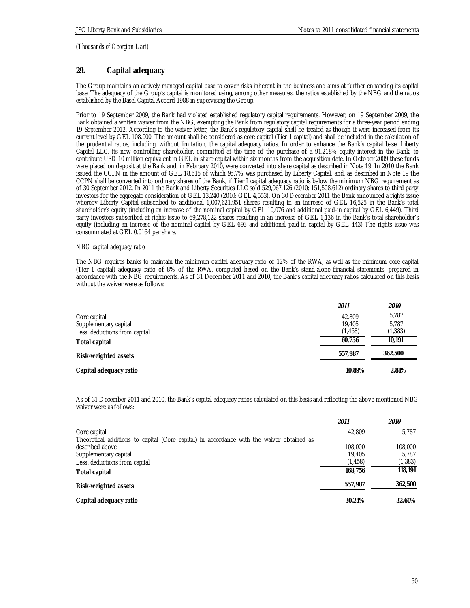## **29. Capital adequacy**

The Group maintains an actively managed capital base to cover risks inherent in the business and aims at further enhancing its capital base. The adequacy of the Group's capital is monitored using, among other measures, the ratios established by the NBG and the ratios established by the Basel Capital Accord 1988 in supervising the Group.

Prior to 19 September 2009, the Bank had violated established regulatory capital requirements. However, on 19 September 2009, the Bank obtained a written waiver from the NBG, exempting the Bank from regulatory capital requirements for a three-year period ending 19 September 2012. According to the waiver letter, the Bank's regulatory capital shall be treated as though it were increased from its current level by GEL 108,000. The amount shall be considered as core capital (Tier 1 capital) and shall be included in the calculation of the prudential ratios, including, without limitation, the capital adequacy ratios. In order to enhance the Bank's capital base, Liberty Capital LLC, its new controlling shareholder, committed at the time of the purchase of a 91.218% equity interest in the Bank, to contribute USD 10 million equivalent in GEL in share capital within six months from the acquisition date. In October 2009 these funds were placed on deposit at the Bank and, in February 2010, were converted into share capital as described in Note 19. In 2010 the Bank issued the CCPN in the amount of GEL 18,615 of which 95.7% was purchased by Liberty Capital, and, as described in Note 19 the CCPN shall be converted into ordinary shares of the Bank, if Tier I capital adequacy ratio is below the minimum NBG requirement as of 30 September 2012. In 2011 the Bank and Liberty Securities LLC sold 529,067,126 (2010: 151,508,612) ordinary shares to third party investors for the aggregate consideration of GEL 13,240 (2010: GEL 4,553). On 30 December 2011 the Bank announced a rights issue whereby Liberty Capital subscribed to additional 1,007,621,951 shares resulting in an increase of GEL 16,525 in the Bank's total shareholder's equity (including an increase of the nominal capital by GEL 10,076 and additional paid-in capital by GEL 6,449). Third party investors subscribed at rights issue to 69,278,122 shares resulting in an increase of GEL 1,136 in the Bank's total shareholder's equity (including an increase of the nominal capital by GEL 693 and additional paid-in capital by GEL 443) The rights issue was consummated at GEL 0.0164 per share.

## *NBG capital adequacy ratio*

The NBG requires banks to maintain the minimum capital adequacy ratio of 12% of the RWA, as well as the minimum core capital (Tier 1 capital) adequacy ratio of 8% of the RWA, computed based on the Bank's stand-alone financial statements, prepared in accordance with the NBG requirements. As of 31 December 2011 and 2010, the Bank's capital adequacy ratios calculated on this basis without the waiver were as follows:

|                               | 2011     | 2010     |
|-------------------------------|----------|----------|
| Core capital                  | 42,809   | 5,787    |
| Supplementary capital         | 19,405   | 5.787    |
| Less: deductions from capital | (1, 458) | (1, 383) |
| Total capital                 | 60.756   | 10.191   |
| Risk-weighted assets          | 557.987  | 362.500  |
| Capital adequacy ratio        | 10.89%   | 2.81%    |

As of 31 December 2011 and 2010, the Bank's capital adequacy ratios calculated on this basis and reflecting the above-mentioned NBG waiver were as follows:

|                                                                                                                                                                        | 2011                          | <i>2010</i>                  |
|------------------------------------------------------------------------------------------------------------------------------------------------------------------------|-------------------------------|------------------------------|
| Core capital                                                                                                                                                           | 42.809                        | 5,787                        |
| Theoretical additions to capital (Core capital) in accordance with the waiver obtained as<br>described above<br>Supplementary capital<br>Less: deductions from capital | 108,000<br>19.405<br>(1, 458) | 108,000<br>5.787<br>(1, 383) |
| Total capital                                                                                                                                                          | 168.756                       | 118,191                      |
| Risk-weighted assets                                                                                                                                                   | 557.987                       | 362,500                      |
| Capital adequacy ratio                                                                                                                                                 | 30.24%                        | 32.60%                       |